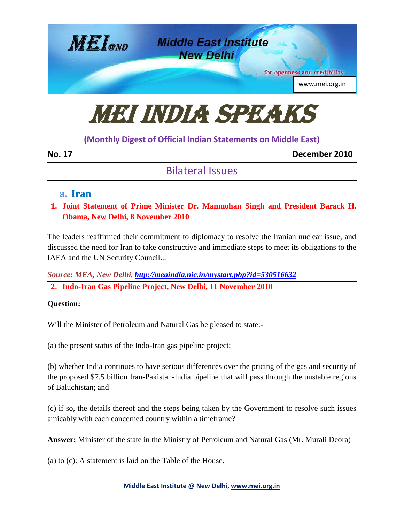

# MEI India Speaks

## **(Monthly Digest of Official Indian Statements on Middle East)**

| ×<br>۰, |  |
|---------|--|
|---------|--|

December 2010

## Bilateral Issues

## **a. Iran**

**1. Joint Statement of Prime Minister Dr. Manmohan Singh and President Barack H. Obama, New Delhi, 8 November 2010**

The leaders reaffirmed their commitment to diplomacy to resolve the Iranian nuclear issue, and discussed the need for Iran to take constructive and immediate steps to meet its obligations to the IAEA and the UN Security Council...

*Source: MEA, New Delhi, <http://meaindia.nic.in/mystart.php?id=530516632>* **2. Indo-Iran Gas Pipeline Project, New Delhi, 11 November 2010**

## **Question:**

Will the Minister of Petroleum and Natural Gas be pleased to state:-

(a) the present status of the Indo-Iran gas pipeline project;

(b) whether India continues to have serious differences over the pricing of the gas and security of the proposed \$7.5 billion Iran-Pakistan-India pipeline that will pass through the unstable regions of Baluchistan; and

(c) if so, the details thereof and the steps being taken by the Government to resolve such issues amicably with each concerned country within a timeframe?

**Answer:** Minister of the state in the Ministry of Petroleum and Natural Gas (Mr. Murali Deora)

(a) to (c): A statement is laid on the Table of the House.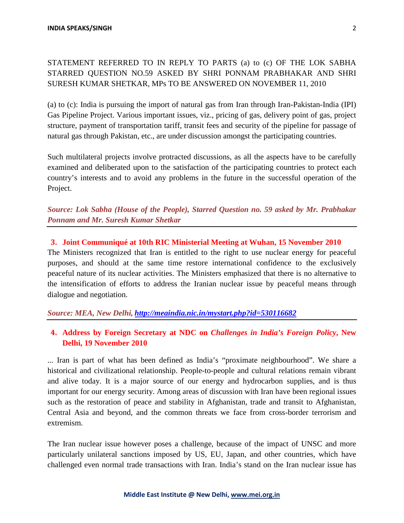## STATEMENT REFERRED TO IN REPLY TO PARTS (a) to (c) OF THE LOK SABHA STARRED QUESTION NO.59 ASKED BY SHRI PONNAM PRABHAKAR AND SHRI SURESH KUMAR SHETKAR, MPs TO BE ANSWERED ON NOVEMBER 11, 2010

(a) to (c): India is pursuing the import of natural gas from Iran through Iran-Pakistan-India (IPI) Gas Pipeline Project. Various important issues, viz., pricing of gas, delivery point of gas, project structure, payment of transportation tariff, transit fees and security of the pipeline for passage of natural gas through Pakistan, etc., are under discussion amongst the participating countries.

Such multilateral projects involve protracted discussions, as all the aspects have to be carefully examined and deliberated upon to the satisfaction of the participating countries to protect each country's interests and to avoid any problems in the future in the successful operation of the Project.

*Source: Lok Sabha (House of the People), Starred Question no. 59 asked by Mr. Prabhakar Ponnam and Mr. Suresh Kumar Shetkar*

## **3. Joint Communiqué at 10th RIC Ministerial Meeting at Wuhan, 15 November 2010**

The Ministers recognized that Iran is entitled to the right to use nuclear energy for peaceful purposes, and should at the same time restore international confidence to the exclusively peaceful nature of its nuclear activities. The Ministers emphasized that there is no alternative to the intensification of efforts to address the Iranian nuclear issue by peaceful means through dialogue and negotiation.

## *Source: MEA, New Delhi, <http://meaindia.nic.in/mystart.php?id=530116682>*

## **4. Address by Foreign Secretary at NDC on** *Challenges in India's Foreign Policy***, New Delhi, 19 November 2010**

... Iran is part of what has been defined as India's "proximate neighbourhood". We share a historical and civilizational relationship. People-to-people and cultural relations remain vibrant and alive today. It is a major source of our energy and hydrocarbon supplies, and is thus important for our energy security. Among areas of discussion with Iran have been regional issues such as the restoration of peace and stability in Afghanistan, trade and transit to Afghanistan, Central Asia and beyond, and the common threats we face from cross-border terrorism and extremism.

The Iran nuclear issue however poses a challenge, because of the impact of UNSC and more particularly unilateral sanctions imposed by US, EU, Japan, and other countries, which have challenged even normal trade transactions with Iran. India's stand on the Iran nuclear issue has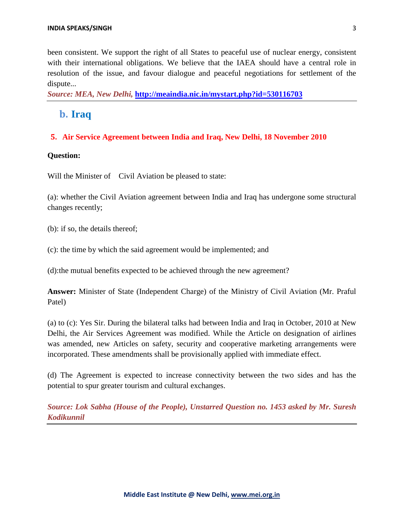been consistent. We support the right of all States to peaceful use of nuclear energy, consistent with their international obligations. We believe that the IAEA should have a central role in resolution of the issue, and favour dialogue and peaceful negotiations for settlement of the dispute...

*Source: MEA, New Delhi,* **<http://meaindia.nic.in/mystart.php?id=530116703>**

## **b. Iraq**

#### **5. Air Service Agreement between India and Iraq, New Delhi, 18 November 2010**

#### **Question:**

Will the Minister of Civil Aviation be pleased to state:

(a): whether the Civil Aviation agreement between India and Iraq has undergone some structural changes recently;

(b): if so, the details thereof;

(c): the time by which the said agreement would be implemented; and

(d):the mutual benefits expected to be achieved through the new agreement?

**Answer:** Minister of State (Independent Charge) of the Ministry of Civil Aviation (Mr. Praful Patel)

(a) to (c): Yes Sir. During the bilateral talks had between India and Iraq in October, 2010 at New Delhi, the Air Services Agreement was modified. While the Article on designation of airlines was amended, new Articles on safety, security and cooperative marketing arrangements were incorporated. These amendments shall be provisionally applied with immediate effect.

(d) The Agreement is expected to increase connectivity between the two sides and has the potential to spur greater tourism and cultural exchanges.

*Source: Lok Sabha (House of the People), Unstarred Question no. 1453 asked by Mr. Suresh Kodikunnil*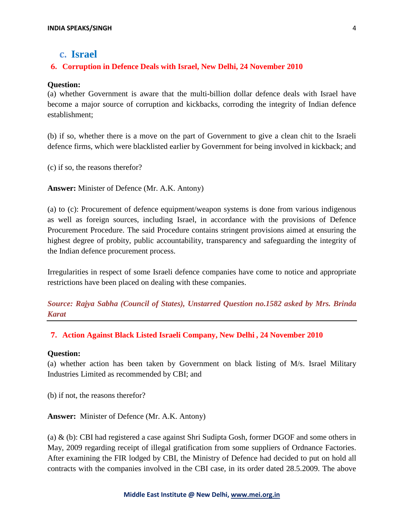## **c. Israel**

#### **6. Corruption in Defence Deals with Israel, New Delhi, 24 November 2010**

#### **Question:**

(a) whether Government is aware that the multi-billion dollar defence deals with Israel have become a major source of corruption and kickbacks, corroding the integrity of Indian defence establishment;

(b) if so, whether there is a move on the part of Government to give a clean chit to the Israeli defence firms, which were blacklisted earlier by Government for being involved in kickback; and

(c) if so, the reasons therefor?

**Answer:** Minister of Defence (Mr. A.K. Antony)

(a) to (c): Procurement of defence equipment/weapon systems is done from various indigenous as well as foreign sources, including Israel, in accordance with the provisions of Defence Procurement Procedure. The said Procedure contains stringent provisions aimed at ensuring the highest degree of probity, public accountability, transparency and safeguarding the integrity of the Indian defence procurement process.

Irregularities in respect of some Israeli defence companies have come to notice and appropriate restrictions have been placed on dealing with these companies.

*Source: Rajya Sabha (Council of States), Unstarred Question no.1582 asked by Mrs. Brinda Karat*

#### **7. Action Against Black Listed Israeli Company, New Delhi , 24 November 2010**

#### **Question:**

(a) whether action has been taken by Government on black listing of M/s. Israel Military Industries Limited as recommended by CBI; and

(b) if not, the reasons therefor?

**Answer:** Minister of Defence (Mr. A.K. Antony)

(a) & (b): CBI had registered a case against Shri Sudipta Gosh, former DGOF and some others in May, 2009 regarding receipt of illegal gratification from some suppliers of Ordnance Factories. After examining the FIR lodged by CBI, the Ministry of Defence had decided to put on hold all contracts with the companies involved in the CBI case, in its order dated 28.5.2009. The above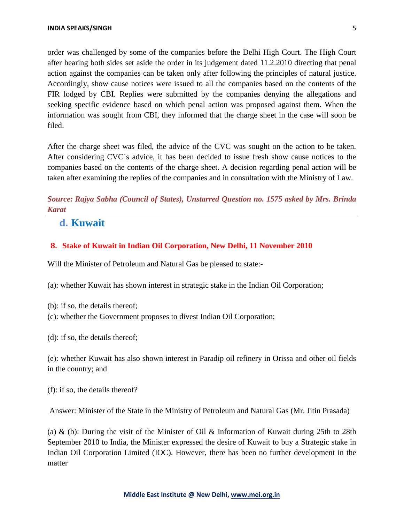order was challenged by some of the companies before the Delhi High Court. The High Court after hearing both sides set aside the order in its judgement dated 11.2.2010 directing that penal action against the companies can be taken only after following the principles of natural justice. Accordingly, show cause notices were issued to all the companies based on the contents of the FIR lodged by CBI. Replies were submitted by the companies denying the allegations and seeking specific evidence based on which penal action was proposed against them. When the information was sought from CBI, they informed that the charge sheet in the case will soon be filed.

After the charge sheet was filed, the advice of the CVC was sought on the action to be taken. After considering CVC`s advice, it has been decided to issue fresh show cause notices to the companies based on the contents of the charge sheet. A decision regarding penal action will be taken after examining the replies of the companies and in consultation with the Ministry of Law.

*Source: Rajya Sabha (Council of States), Unstarred Question no. 1575 asked by Mrs. Brinda Karat*

## **d. Kuwait**

#### **8. Stake of Kuwait in Indian Oil Corporation, New Delhi, 11 November 2010**

Will the Minister of Petroleum and Natural Gas be pleased to state:-

(a): whether Kuwait has shown interest in strategic stake in the Indian Oil Corporation;

(b): if so, the details thereof;

(c): whether the Government proposes to divest Indian Oil Corporation;

(d): if so, the details thereof;

(e): whether Kuwait has also shown interest in Paradip oil refinery in Orissa and other oil fields in the country; and

(f): if so, the details thereof?

Answer: Minister of the State in the Ministry of Petroleum and Natural Gas (Mr. Jitin Prasada)

(a) & (b): During the visit of the Minister of Oil & Information of Kuwait during 25th to 28th September 2010 to India, the Minister expressed the desire of Kuwait to buy a Strategic stake in Indian Oil Corporation Limited (IOC). However, there has been no further development in the matter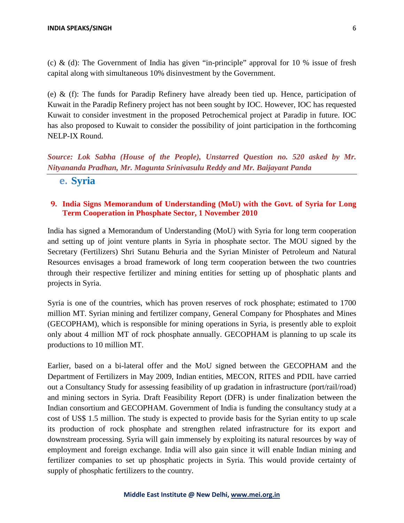(c) & (d): The Government of India has given "in-principle" approval for 10 % issue of fresh capital along with simultaneous 10% disinvestment by the Government.

(e) & (f): The funds for Paradip Refinery have already been tied up. Hence, participation of Kuwait in the Paradip Refinery project has not been sought by IOC. However, IOC has requested Kuwait to consider investment in the proposed Petrochemical project at Paradip in future. IOC has also proposed to Kuwait to consider the possibility of joint participation in the forthcoming NELP-IX Round.

*Source: Lok Sabha (House of the People), Unstarred Question no. 520 asked by Mr. Nityananda Pradhan, Mr. Magunta Srinivasulu Reddy and Mr. Baijayant Panda*

**e. Syria**

#### **9. India Signs Memorandum of Understanding (MoU) with the Govt. of Syria for Long Term Cooperation in Phosphate Sector, 1 November 2010**

India has signed a Memorandum of Understanding (MoU) with Syria for long term cooperation and setting up of joint venture plants in Syria in phosphate sector. The MOU signed by the Secretary (Fertilizers) Shri Sutanu Behuria and the Syrian Minister of Petroleum and Natural Resources envisages a broad framework of long term cooperation between the two countries through their respective fertilizer and mining entities for setting up of phosphatic plants and projects in Syria.

Syria is one of the countries, which has proven reserves of rock phosphate; estimated to 1700 million MT. Syrian mining and fertilizer company, General Company for Phosphates and Mines (GECOPHAM), which is responsible for mining operations in Syria, is presently able to exploit only about 4 million MT of rock phosphate annually. GECOPHAM is planning to up scale its productions to 10 million MT.

Earlier, based on a bi-lateral offer and the MoU signed between the GECOPHAM and the Department of Fertilizers in May 2009, Indian entities, MECON, RITES and PDIL have carried out a Consultancy Study for assessing feasibility of up gradation in infrastructure (port/rail/road) and mining sectors in Syria. Draft Feasibility Report (DFR) is under finalization between the Indian consortium and GECOPHAM. Government of India is funding the consultancy study at a cost of US\$ 1.5 million. The study is expected to provide basis for the Syrian entity to up scale its production of rock phosphate and strengthen related infrastructure for its export and downstream processing. Syria will gain immensely by exploiting its natural resources by way of employment and foreign exchange. India will also gain since it will enable Indian mining and fertilizer companies to set up phosphatic projects in Syria. This would provide certainty of supply of phosphatic fertilizers to the country.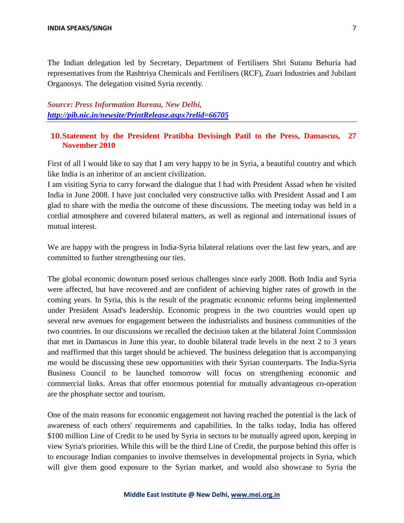The Indian delegation led by Secretary, Department of Fertilisers Shri Sutanu Behuria had representatives from the Rashtriya Chemicals and Fertilisers (RCF), Zuari Industries and Jubilant Organosys. The delegation visited Syria recently.

*Source: Press Information Bureau, New Delhi, <http://pib.nic.in/newsite/PrintRelease.aspx?relid=66705>*

#### **10.Statement by the President Pratibha Devisingh Patil to the Press, Damascus, 27 November 2010**

First of all I would like to say that I am very happy to be in Syria, a beautiful country and which like India is an inheritor of an ancient civilization.

I am visiting Syria to carry forward the dialogue that I had with President Assad when he visited India in June 2008. I have just concluded very constructive talks with President Assad and I am glad to share with the media the outcome of these discussions. The meeting today was held in a cordial atmosphere and covered bilateral matters, as well as regional and international issues of mutual interest.

We are happy with the progress in India-Syria bilateral relations over the last few years, and are committed to further strengthening our ties.

The global economic downturn posed serious challenges since early 2008. Both India and Syria were affected, but have recovered and are confident of achieving higher rates of growth in the coming years. In Syria, this is the result of the pragmatic economic reforms being implemented under President Assad's leadership. Economic progress in the two countries would open up several new avenues for engagement between the industrialists and business communities of the two countries. In our discussions we recalled the decision taken at the bilateral Joint Commission that met in Damascus in June this year, to double bilateral trade levels in the next 2 to 3 years and reaffirmed that this target should be achieved. The business delegation that is accompanying me would be discussing these new opportunities with their Syrian counterparts. The India-Syria Business Council to be launched tomorrow will focus on strengthening economic and commercial links. Areas that offer enormous potential for mutually advantageous co-operation are the phosphate sector and tourism.

One of the main reasons for economic engagement not having reached the potential is the lack of awareness of each others' requirements and capabilities. In the talks today, India has offered \$100 million Line of Credit to be used by Syria in sectors to be mutually agreed upon, keeping in view Syria's priorities. While this will be the third Line of Credit, the purpose behind this offer is to encourage Indian companies to involve themselves in developmental projects in Syria, which will give them good exposure to the Syrian market, and would also showcase to Syria the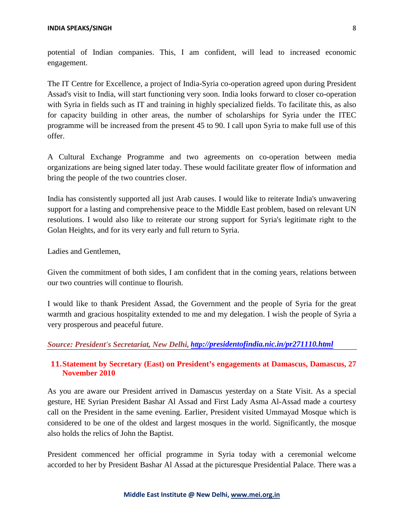potential of Indian companies. This, I am confident, will lead to increased economic engagement.

The IT Centre for Excellence, a project of India-Syria co-operation agreed upon during President Assad's visit to India, will start functioning very soon. India looks forward to closer co-operation with Syria in fields such as IT and training in highly specialized fields. To facilitate this, as also for capacity building in other areas, the number of scholarships for Syria under the ITEC programme will be increased from the present 45 to 90. I call upon Syria to make full use of this offer.

A Cultural Exchange Programme and two agreements on co-operation between media organizations are being signed later today. These would facilitate greater flow of information and bring the people of the two countries closer.

India has consistently supported all just Arab causes. I would like to reiterate India's unwavering support for a lasting and comprehensive peace to the Middle East problem, based on relevant UN resolutions. I would also like to reiterate our strong support for Syria's legitimate right to the Golan Heights, and for its very early and full return to Syria.

Ladies and Gentlemen,

Given the commitment of both sides, I am confident that in the coming years, relations between our two countries will continue to flourish.

I would like to thank President Assad, the Government and the people of Syria for the great warmth and gracious hospitality extended to me and my delegation. I wish the people of Syria a very prosperous and peaceful future.

#### *Source: President's Secretariat, New Delhi, <http://presidentofindia.nic.in/pr271110.html>*

#### **11.Statement by Secretary (East) on President's engagements at Damascus, Damascus, 27 November 2010**

As you are aware our President arrived in Damascus yesterday on a State Visit. As a special gesture, HE Syrian President Bashar Al Assad and First Lady Asma Al-Assad made a courtesy call on the President in the same evening. Earlier, President visited Ummayad Mosque which is considered to be one of the oldest and largest mosques in the world. Significantly, the mosque also holds the relics of John the Baptist.

President commenced her official programme in Syria today with a ceremonial welcome accorded to her by President Bashar Al Assad at the picturesque Presidential Palace. There was a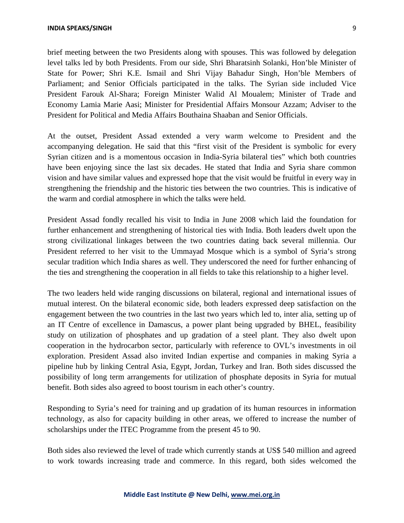brief meeting between the two Presidents along with spouses. This was followed by delegation level talks led by both Presidents. From our side, Shri Bharatsinh Solanki, Hon'ble Minister of State for Power; Shri K.E. Ismail and Shri Vijay Bahadur Singh, Hon'ble Members of Parliament; and Senior Officials participated in the talks. The Syrian side included Vice President Farouk Al-Shara; Foreign Minister Walid Al Moualem; Minister of Trade and Economy Lamia Marie Aasi; Minister for Presidential Affairs Monsour Azzam; Adviser to the President for Political and Media Affairs Bouthaina Shaaban and Senior Officials.

At the outset, President Assad extended a very warm welcome to President and the accompanying delegation. He said that this "first visit of the President is symbolic for every Syrian citizen and is a momentous occasion in India-Syria bilateral ties" which both countries have been enjoying since the last six decades. He stated that India and Syria share common vision and have similar values and expressed hope that the visit would be fruitful in every way in strengthening the friendship and the historic ties between the two countries. This is indicative of the warm and cordial atmosphere in which the talks were held.

President Assad fondly recalled his visit to India in June 2008 which laid the foundation for further enhancement and strengthening of historical ties with India. Both leaders dwelt upon the strong civilizational linkages between the two countries dating back several millennia. Our President referred to her visit to the Ummayad Mosque which is a symbol of Syria's strong secular tradition which India shares as well. They underscored the need for further enhancing of the ties and strengthening the cooperation in all fields to take this relationship to a higher level.

The two leaders held wide ranging discussions on bilateral, regional and international issues of mutual interest. On the bilateral economic side, both leaders expressed deep satisfaction on the engagement between the two countries in the last two years which led to, inter alia, setting up of an IT Centre of excellence in Damascus, a power plant being upgraded by BHEL, feasibility study on utilization of phosphates and up gradation of a steel plant. They also dwelt upon cooperation in the hydrocarbon sector, particularly with reference to OVL's investments in oil exploration. President Assad also invited Indian expertise and companies in making Syria a pipeline hub by linking Central Asia, Egypt, Jordan, Turkey and Iran. Both sides discussed the possibility of long term arrangements for utilization of phosphate deposits in Syria for mutual benefit. Both sides also agreed to boost tourism in each other's country.

Responding to Syria's need for training and up gradation of its human resources in information technology, as also for capacity building in other areas, we offered to increase the number of scholarships under the ITEC Programme from the present 45 to 90.

Both sides also reviewed the level of trade which currently stands at US\$ 540 million and agreed to work towards increasing trade and commerce. In this regard, both sides welcomed the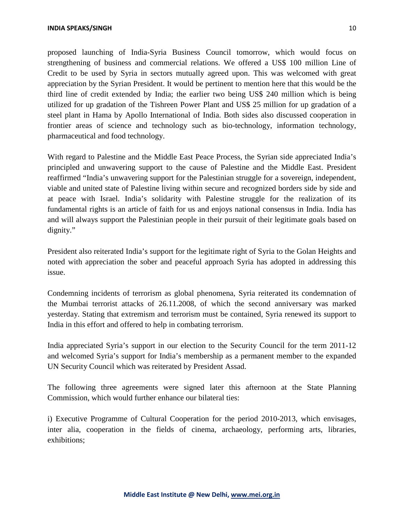proposed launching of India-Syria Business Council tomorrow, which would focus on strengthening of business and commercial relations. We offered a US\$ 100 million Line of Credit to be used by Syria in sectors mutually agreed upon. This was welcomed with great appreciation by the Syrian President. It would be pertinent to mention here that this would be the third line of credit extended by India; the earlier two being US\$ 240 million which is being utilized for up gradation of the Tishreen Power Plant and US\$ 25 million for up gradation of a steel plant in Hama by Apollo International of India. Both sides also discussed cooperation in frontier areas of science and technology such as bio-technology, information technology, pharmaceutical and food technology.

With regard to Palestine and the Middle East Peace Process, the Syrian side appreciated India's principled and unwavering support to the cause of Palestine and the Middle East. President reaffirmed "India's unwavering support for the Palestinian struggle for a sovereign, independent, viable and united state of Palestine living within secure and recognized borders side by side and at peace with Israel. India's solidarity with Palestine struggle for the realization of its fundamental rights is an article of faith for us and enjoys national consensus in India. India has and will always support the Palestinian people in their pursuit of their legitimate goals based on dignity."

President also reiterated India's support for the legitimate right of Syria to the Golan Heights and noted with appreciation the sober and peaceful approach Syria has adopted in addressing this issue.

Condemning incidents of terrorism as global phenomena, Syria reiterated its condemnation of the Mumbai terrorist attacks of 26.11.2008, of which the second anniversary was marked yesterday. Stating that extremism and terrorism must be contained, Syria renewed its support to India in this effort and offered to help in combating terrorism.

India appreciated Syria's support in our election to the Security Council for the term 2011-12 and welcomed Syria's support for India's membership as a permanent member to the expanded UN Security Council which was reiterated by President Assad.

The following three agreements were signed later this afternoon at the State Planning Commission, which would further enhance our bilateral ties:

i) Executive Programme of Cultural Cooperation for the period 2010-2013, which envisages, inter alia, cooperation in the fields of cinema, archaeology, performing arts, libraries, exhibitions;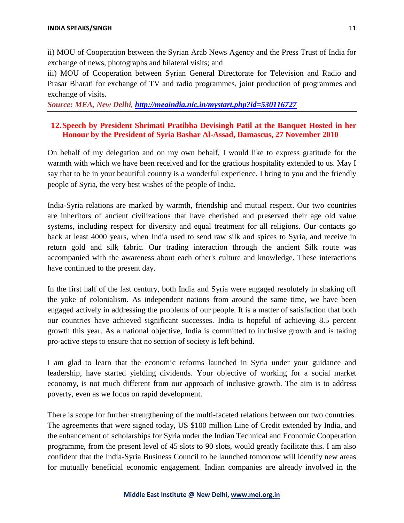ii) MOU of Cooperation between the Syrian Arab News Agency and the Press Trust of India for exchange of news, photographs and bilateral visits; and

iii) MOU of Cooperation between Syrian General Directorate for Television and Radio and Prasar Bharati for exchange of TV and radio programmes, joint production of programmes and exchange of visits.

*Source: MEA, New Delhi,<http://meaindia.nic.in/mystart.php?id=530116727>*

#### **12.Speech by President Shrimati Pratibha Devisingh Patil at the Banquet Hosted in her Honour by the President of Syria Bashar Al-Assad, Damascus, 27 November 2010**

On behalf of my delegation and on my own behalf, I would like to express gratitude for the warmth with which we have been received and for the gracious hospitality extended to us. May I say that to be in your beautiful country is a wonderful experience. I bring to you and the friendly people of Syria, the very best wishes of the people of India.

India-Syria relations are marked by warmth, friendship and mutual respect. Our two countries are inheritors of ancient civilizations that have cherished and preserved their age old value systems, including respect for diversity and equal treatment for all religions. Our contacts go back at least 4000 years, when India used to send raw silk and spices to Syria, and receive in return gold and silk fabric. Our trading interaction through the ancient Silk route was accompanied with the awareness about each other's culture and knowledge. These interactions have continued to the present day.

In the first half of the last century, both India and Syria were engaged resolutely in shaking off the yoke of colonialism. As independent nations from around the same time, we have been engaged actively in addressing the problems of our people. It is a matter of satisfaction that both our countries have achieved significant successes. India is hopeful of achieving 8.5 percent growth this year. As a national objective, India is committed to inclusive growth and is taking pro-active steps to ensure that no section of society is left behind.

I am glad to learn that the economic reforms launched in Syria under your guidance and leadership, have started yielding dividends. Your objective of working for a social market economy, is not much different from our approach of inclusive growth. The aim is to address poverty, even as we focus on rapid development.

There is scope for further strengthening of the multi-faceted relations between our two countries. The agreements that were signed today, US \$100 million Line of Credit extended by India, and the enhancement of scholarships for Syria under the Indian Technical and Economic Cooperation programme, from the present level of 45 slots to 90 slots, would greatly facilitate this. I am also confident that the India-Syria Business Council to be launched tomorrow will identify new areas for mutually beneficial economic engagement. Indian companies are already involved in the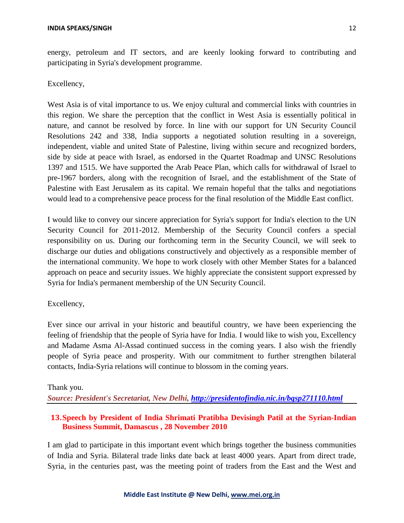energy, petroleum and IT sectors, and are keenly looking forward to contributing and participating in Syria's development programme.

#### Excellency,

West Asia is of vital importance to us. We enjoy cultural and commercial links with countries in this region. We share the perception that the conflict in West Asia is essentially political in nature, and cannot be resolved by force. In line with our support for UN Security Council Resolutions 242 and 338, India supports a negotiated solution resulting in a sovereign, independent, viable and united State of Palestine, living within secure and recognized borders, side by side at peace with Israel, as endorsed in the Quartet Roadmap and UNSC Resolutions 1397 and 1515. We have supported the Arab Peace Plan, which calls for withdrawal of Israel to pre-1967 borders, along with the recognition of Israel, and the establishment of the State of Palestine with East Jerusalem as its capital. We remain hopeful that the talks and negotiations would lead to a comprehensive peace process for the final resolution of the Middle East conflict.

I would like to convey our sincere appreciation for Syria's support for India's election to the UN Security Council for 2011-2012. Membership of the Security Council confers a special responsibility on us. During our forthcoming term in the Security Council, we will seek to discharge our duties and obligations constructively and objectively as a responsible member of the international community. We hope to work closely with other Member States for a balanced approach on peace and security issues. We highly appreciate the consistent support expressed by Syria for India's permanent membership of the UN Security Council.

#### Excellency,

Ever since our arrival in your historic and beautiful country, we have been experiencing the feeling of friendship that the people of Syria have for India. I would like to wish you, Excellency and Madame Asma Al-Assad continued success in the coming years. I also wish the friendly people of Syria peace and prosperity. With our commitment to further strengthen bilateral contacts, India-Syria relations will continue to blossom in the coming years.

#### Thank you.

*Source: President's Secretariat, New Delhi, <http://presidentofindia.nic.in/bqsp271110.html>*

## **13.Speech by President of India Shrimati Pratibha Devisingh Patil at the Syrian-Indian Business Summit, Damascus , 28 November 2010**

I am glad to participate in this important event which brings together the business communities of India and Syria. Bilateral trade links date back at least 4000 years. Apart from direct trade, Syria, in the centuries past, was the meeting point of traders from the East and the West and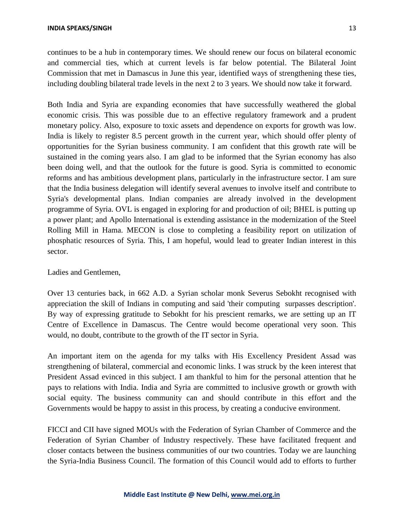continues to be a hub in contemporary times. We should renew our focus on bilateral economic and commercial ties, which at current levels is far below potential. The Bilateral Joint Commission that met in Damascus in June this year, identified ways of strengthening these ties, including doubling bilateral trade levels in the next 2 to 3 years. We should now take it forward.

Both India and Syria are expanding economies that have successfully weathered the global economic crisis. This was possible due to an effective regulatory framework and a prudent monetary policy. Also, exposure to toxic assets and dependence on exports for growth was low. India is likely to register 8.5 percent growth in the current year, which should offer plenty of opportunities for the Syrian business community. I am confident that this growth rate will be sustained in the coming years also. I am glad to be informed that the Syrian economy has also been doing well, and that the outlook for the future is good. Syria is committed to economic reforms and has ambitious development plans, particularly in the infrastructure sector. I am sure that the India business delegation will identify several avenues to involve itself and contribute to Syria's developmental plans. Indian companies are already involved in the development programme of Syria. OVL is engaged in exploring for and production of oil; BHEL is putting up a power plant; and Apollo International is extending assistance in the modernization of the Steel Rolling Mill in Hama. MECON is close to completing a feasibility report on utilization of phosphatic resources of Syria. This, I am hopeful, would lead to greater Indian interest in this sector.

#### Ladies and Gentlemen,

Over 13 centuries back, in 662 A.D. a Syrian scholar monk Severus Sebokht recognised with appreciation the skill of Indians in computing and said 'their computing surpasses description'. By way of expressing gratitude to Sebokht for his prescient remarks, we are setting up an IT Centre of Excellence in Damascus. The Centre would become operational very soon. This would, no doubt, contribute to the growth of the IT sector in Syria.

An important item on the agenda for my talks with His Excellency President Assad was strengthening of bilateral, commercial and economic links. I was struck by the keen interest that President Assad evinced in this subject. I am thankful to him for the personal attention that he pays to relations with India. India and Syria are committed to inclusive growth or growth with social equity. The business community can and should contribute in this effort and the Governments would be happy to assist in this process, by creating a conducive environment.

FICCI and CII have signed MOUs with the Federation of Syrian Chamber of Commerce and the Federation of Syrian Chamber of Industry respectively. These have facilitated frequent and closer contacts between the business communities of our two countries. Today we are launching the Syria-India Business Council. The formation of this Council would add to efforts to further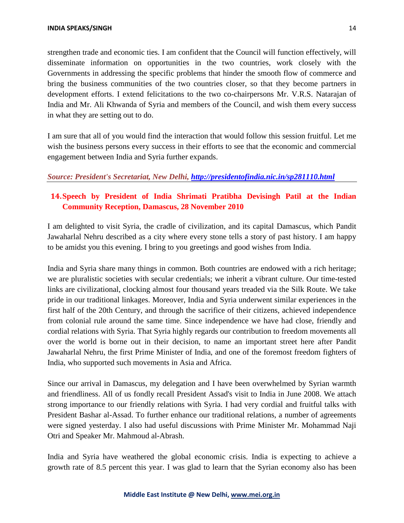strengthen trade and economic ties. I am confident that the Council will function effectively, will disseminate information on opportunities in the two countries, work closely with the Governments in addressing the specific problems that hinder the smooth flow of commerce and bring the business communities of the two countries closer, so that they become partners in development efforts. I extend felicitations to the two co-chairpersons Mr. V.R.S. Natarajan of India and Mr. Ali Khwanda of Syria and members of the Council, and wish them every success in what they are setting out to do.

I am sure that all of you would find the interaction that would follow this session fruitful. Let me wish the business persons every success in their efforts to see that the economic and commercial engagement between India and Syria further expands.

#### *Source: President's Secretariat, New Delhi,<http://presidentofindia.nic.in/sp281110.html>*

## **14.Speech by President of India Shrimati Pratibha Devisingh Patil at the Indian Community Reception, Damascus, 28 November 2010**

I am delighted to visit Syria, the cradle of civilization, and its capital Damascus, which Pandit Jawaharlal Nehru described as a city where every stone tells a story of past history. I am happy to be amidst you this evening. I bring to you greetings and good wishes from India.

India and Syria share many things in common. Both countries are endowed with a rich heritage; we are pluralistic societies with secular credentials; we inherit a vibrant culture. Our time-tested links are civilizational, clocking almost four thousand years treaded via the Silk Route. We take pride in our traditional linkages. Moreover, India and Syria underwent similar experiences in the first half of the 20th Century, and through the sacrifice of their citizens, achieved independence from colonial rule around the same time. Since independence we have had close, friendly and cordial relations with Syria. That Syria highly regards our contribution to freedom movements all over the world is borne out in their decision, to name an important street here after Pandit Jawaharlal Nehru, the first Prime Minister of India, and one of the foremost freedom fighters of India, who supported such movements in Asia and Africa.

Since our arrival in Damascus, my delegation and I have been overwhelmed by Syrian warmth and friendliness. All of us fondly recall President Assad's visit to India in June 2008. We attach strong importance to our friendly relations with Syria. I had very cordial and fruitful talks with President Bashar al-Assad. To further enhance our traditional relations, a number of agreements were signed yesterday. I also had useful discussions with Prime Minister Mr. Mohammad Naji Otri and Speaker Mr. Mahmoud al-Abrash.

India and Syria have weathered the global economic crisis. India is expecting to achieve a growth rate of 8.5 percent this year. I was glad to learn that the Syrian economy also has been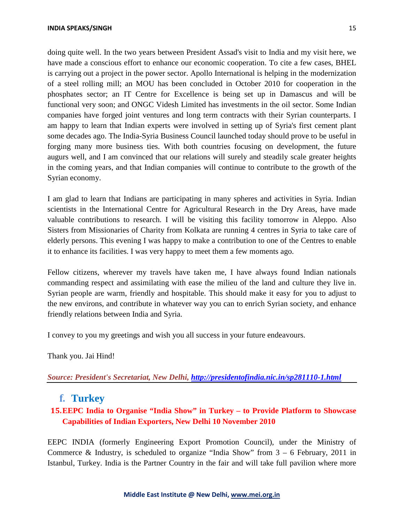#### **INDIA SPEAKS/SINGH** 15

doing quite well. In the two years between President Assad's visit to India and my visit here, we have made a conscious effort to enhance our economic cooperation. To cite a few cases, BHEL is carrying out a project in the power sector. Apollo International is helping in the modernization of a steel rolling mill; an MOU has been concluded in October 2010 for cooperation in the phosphates sector; an IT Centre for Excellence is being set up in Damascus and will be functional very soon; and ONGC Videsh Limited has investments in the oil sector. Some Indian companies have forged joint ventures and long term contracts with their Syrian counterparts. I am happy to learn that Indian experts were involved in setting up of Syria's first cement plant some decades ago. The India-Syria Business Council launched today should prove to be useful in forging many more business ties. With both countries focusing on development, the future augurs well, and I am convinced that our relations will surely and steadily scale greater heights in the coming years, and that Indian companies will continue to contribute to the growth of the Syrian economy.

I am glad to learn that Indians are participating in many spheres and activities in Syria. Indian scientists in the International Centre for Agricultural Research in the Dry Areas, have made valuable contributions to research. I will be visiting this facility tomorrow in Aleppo. Also Sisters from Missionaries of Charity from Kolkata are running 4 centres in Syria to take care of elderly persons. This evening I was happy to make a contribution to one of the Centres to enable it to enhance its facilities. I was very happy to meet them a few moments ago.

Fellow citizens, wherever my travels have taken me, I have always found Indian nationals commanding respect and assimilating with ease the milieu of the land and culture they live in. Syrian people are warm, friendly and hospitable. This should make it easy for you to adjust to the new environs, and contribute in whatever way you can to enrich Syrian society, and enhance friendly relations between India and Syria.

I convey to you my greetings and wish you all success in your future endeavours.

Thank you. Jai Hind!

*Source: President's Secretariat, New Delhi, <http://presidentofindia.nic.in/sp281110-1.html>*

## **f. Turkey**

## **15.EEPC India to Organise "India Show" in Turkey – to Provide Platform to Showcase Capabilities of Indian Exporters, New Delhi 10 November 2010**

EEPC INDIA (formerly Engineering Export Promotion Council), under the Ministry of Commerce & Industry, is scheduled to organize "India Show" from  $3 - 6$  February, 2011 in Istanbul, Turkey. India is the Partner Country in the fair and will take full pavilion where more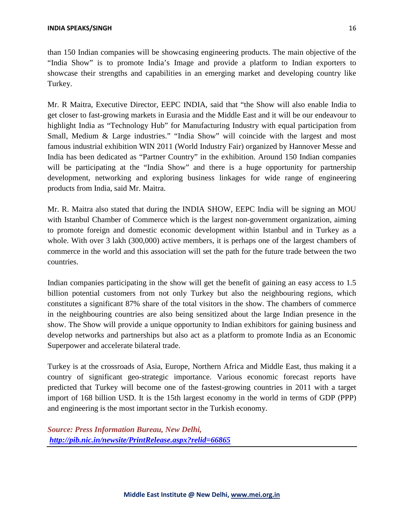than 150 Indian companies will be showcasing engineering products. The main objective of the "India Show" is to promote India's Image and provide a platform to Indian exporters to showcase their strengths and capabilities in an emerging market and developing country like Turkey.

Mr. R Maitra, Executive Director, EEPC INDIA, said that "the Show will also enable India to get closer to fast-growing markets in Eurasia and the Middle East and it will be our endeavour to highlight India as "Technology Hub" for Manufacturing Industry with equal participation from Small, Medium & Large industries." "India Show" will coincide with the largest and most famous industrial exhibition WIN 2011 (World Industry Fair) organized by Hannover Messe and India has been dedicated as "Partner Country" in the exhibition. Around 150 Indian companies will be participating at the "India Show" and there is a huge opportunity for partnership development, networking and exploring business linkages for wide range of engineering products from India, said Mr. Maitra.

Mr. R. Maitra also stated that during the INDIA SHOW, EEPC India will be signing an MOU with Istanbul Chamber of Commerce which is the largest non-government organization, aiming to promote foreign and domestic economic development within Istanbul and in Turkey as a whole. With over 3 lakh (300,000) active members, it is perhaps one of the largest chambers of commerce in the world and this association will set the path for the future trade between the two countries.

Indian companies participating in the show will get the benefit of gaining an easy access to 1.5 billion potential customers from not only Turkey but also the neighbouring regions, which constitutes a significant 87% share of the total visitors in the show. The chambers of commerce in the neighbouring countries are also being sensitized about the large Indian presence in the show. The Show will provide a unique opportunity to Indian exhibitors for gaining business and develop networks and partnerships but also act as a platform to promote India as an Economic Superpower and accelerate bilateral trade.

Turkey is at the crossroads of Asia, Europe, Northern Africa and Middle East, thus making it a country of significant geo-strategic importance. Various economic forecast reports have predicted that Turkey will become one of the fastest-growing countries in 2011 with a target import of 168 billion USD. It is the 15th largest economy in the world in terms of GDP (PPP) and engineering is the most important sector in the Turkish economy.

*Source: Press Information Bureau, New Delhi, <http://pib.nic.in/newsite/PrintRelease.aspx?relid=66865>*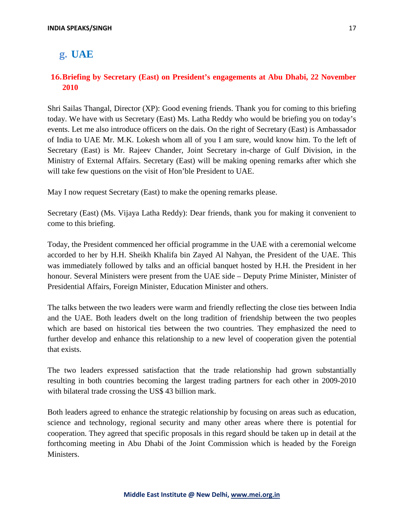## **g. UAE**

## **16.Briefing by Secretary (East) on President's engagements at Abu Dhabi, 22 November 2010**

Shri Sailas Thangal, Director (XP): Good evening friends. Thank you for coming to this briefing today. We have with us Secretary (East) Ms. Latha Reddy who would be briefing you on today's events. Let me also introduce officers on the dais. On the right of Secretary (East) is Ambassador of India to UAE Mr. M.K. Lokesh whom all of you I am sure, would know him. To the left of Secretary (East) is Mr. Rajeev Chander, Joint Secretary in-charge of Gulf Division, in the Ministry of External Affairs. Secretary (East) will be making opening remarks after which she will take few questions on the visit of Hon'ble President to UAE.

May I now request Secretary (East) to make the opening remarks please.

Secretary (East) (Ms. Vijaya Latha Reddy): Dear friends, thank you for making it convenient to come to this briefing.

Today, the President commenced her official programme in the UAE with a ceremonial welcome accorded to her by H.H. Sheikh Khalifa bin Zayed Al Nahyan, the President of the UAE. This was immediately followed by talks and an official banquet hosted by H.H. the President in her honour. Several Ministers were present from the UAE side – Deputy Prime Minister, Minister of Presidential Affairs, Foreign Minister, Education Minister and others.

The talks between the two leaders were warm and friendly reflecting the close ties between India and the UAE. Both leaders dwelt on the long tradition of friendship between the two peoples which are based on historical ties between the two countries. They emphasized the need to further develop and enhance this relationship to a new level of cooperation given the potential that exists.

The two leaders expressed satisfaction that the trade relationship had grown substantially resulting in both countries becoming the largest trading partners for each other in 2009-2010 with bilateral trade crossing the US\$ 43 billion mark.

Both leaders agreed to enhance the strategic relationship by focusing on areas such as education, science and technology, regional security and many other areas where there is potential for cooperation. They agreed that specific proposals in this regard should be taken up in detail at the forthcoming meeting in Abu Dhabi of the Joint Commission which is headed by the Foreign Ministers.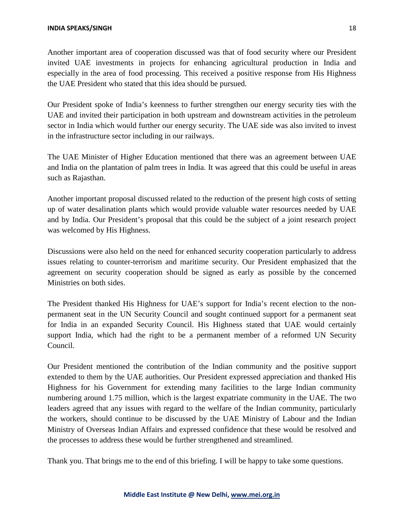Another important area of cooperation discussed was that of food security where our President invited UAE investments in projects for enhancing agricultural production in India and especially in the area of food processing. This received a positive response from His Highness the UAE President who stated that this idea should be pursued.

Our President spoke of India's keenness to further strengthen our energy security ties with the UAE and invited their participation in both upstream and downstream activities in the petroleum sector in India which would further our energy security. The UAE side was also invited to invest in the infrastructure sector including in our railways.

The UAE Minister of Higher Education mentioned that there was an agreement between UAE and India on the plantation of palm trees in India. It was agreed that this could be useful in areas such as Rajasthan.

Another important proposal discussed related to the reduction of the present high costs of setting up of water desalination plants which would provide valuable water resources needed by UAE and by India. Our President's proposal that this could be the subject of a joint research project was welcomed by His Highness.

Discussions were also held on the need for enhanced security cooperation particularly to address issues relating to counter-terrorism and maritime security. Our President emphasized that the agreement on security cooperation should be signed as early as possible by the concerned Ministries on both sides.

The President thanked His Highness for UAE's support for India's recent election to the nonpermanent seat in the UN Security Council and sought continued support for a permanent seat for India in an expanded Security Council. His Highness stated that UAE would certainly support India, which had the right to be a permanent member of a reformed UN Security Council.

Our President mentioned the contribution of the Indian community and the positive support extended to them by the UAE authorities. Our President expressed appreciation and thanked His Highness for his Government for extending many facilities to the large Indian community numbering around 1.75 million, which is the largest expatriate community in the UAE. The two leaders agreed that any issues with regard to the welfare of the Indian community, particularly the workers, should continue to be discussed by the UAE Ministry of Labour and the Indian Ministry of Overseas Indian Affairs and expressed confidence that these would be resolved and the processes to address these would be further strengthened and streamlined.

Thank you. That brings me to the end of this briefing. I will be happy to take some questions.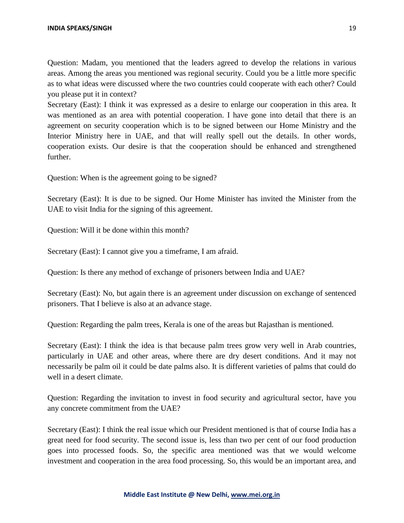Question: Madam, you mentioned that the leaders agreed to develop the relations in various areas. Among the areas you mentioned was regional security. Could you be a little more specific as to what ideas were discussed where the two countries could cooperate with each other? Could you please put it in context?

Secretary (East): I think it was expressed as a desire to enlarge our cooperation in this area. It was mentioned as an area with potential cooperation. I have gone into detail that there is an agreement on security cooperation which is to be signed between our Home Ministry and the Interior Ministry here in UAE, and that will really spell out the details. In other words, cooperation exists. Our desire is that the cooperation should be enhanced and strengthened further.

Question: When is the agreement going to be signed?

Secretary (East): It is due to be signed. Our Home Minister has invited the Minister from the UAE to visit India for the signing of this agreement.

Question: Will it be done within this month?

Secretary (East): I cannot give you a timeframe, I am afraid.

Question: Is there any method of exchange of prisoners between India and UAE?

Secretary (East): No, but again there is an agreement under discussion on exchange of sentenced prisoners. That I believe is also at an advance stage.

Question: Regarding the palm trees, Kerala is one of the areas but Rajasthan is mentioned.

Secretary (East): I think the idea is that because palm trees grow very well in Arab countries, particularly in UAE and other areas, where there are dry desert conditions. And it may not necessarily be palm oil it could be date palms also. It is different varieties of palms that could do well in a desert climate.

Question: Regarding the invitation to invest in food security and agricultural sector, have you any concrete commitment from the UAE?

Secretary (East): I think the real issue which our President mentioned is that of course India has a great need for food security. The second issue is, less than two per cent of our food production goes into processed foods. So, the specific area mentioned was that we would welcome investment and cooperation in the area food processing. So, this would be an important area, and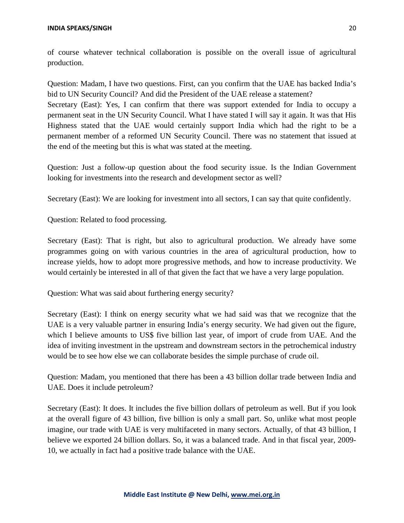of course whatever technical collaboration is possible on the overall issue of agricultural production.

Question: Madam, I have two questions. First, can you confirm that the UAE has backed India's bid to UN Security Council? And did the President of the UAE release a statement? Secretary (East): Yes, I can confirm that there was support extended for India to occupy a permanent seat in the UN Security Council. What I have stated I will say it again. It was that His Highness stated that the UAE would certainly support India which had the right to be a permanent member of a reformed UN Security Council. There was no statement that issued at the end of the meeting but this is what was stated at the meeting.

Question: Just a follow-up question about the food security issue. Is the Indian Government looking for investments into the research and development sector as well?

Secretary (East): We are looking for investment into all sectors, I can say that quite confidently.

Question: Related to food processing.

Secretary (East): That is right, but also to agricultural production. We already have some programmes going on with various countries in the area of agricultural production, how to increase yields, how to adopt more progressive methods, and how to increase productivity. We would certainly be interested in all of that given the fact that we have a very large population.

Question: What was said about furthering energy security?

Secretary (East): I think on energy security what we had said was that we recognize that the UAE is a very valuable partner in ensuring India's energy security. We had given out the figure, which I believe amounts to US\$ five billion last year, of import of crude from UAE. And the idea of inviting investment in the upstream and downstream sectors in the petrochemical industry would be to see how else we can collaborate besides the simple purchase of crude oil.

Question: Madam, you mentioned that there has been a 43 billion dollar trade between India and UAE. Does it include petroleum?

Secretary (East): It does. It includes the five billion dollars of petroleum as well. But if you look at the overall figure of 43 billion, five billion is only a small part. So, unlike what most people imagine, our trade with UAE is very multifaceted in many sectors. Actually, of that 43 billion, I believe we exported 24 billion dollars. So, it was a balanced trade. And in that fiscal year, 2009- 10, we actually in fact had a positive trade balance with the UAE.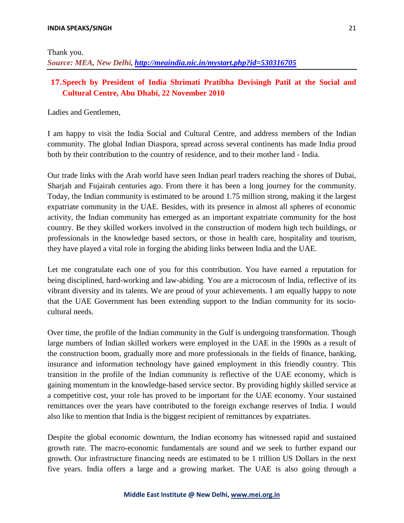Thank you.

*Source: MEA, New Delhi, <http://meaindia.nic.in/mystart.php?id=530316705>*

## **17.Speech by President of India Shrimati Pratibha Devisingh Patil at the Social and Cultural Centre, Abu Dhabi, 22 November 2010**

Ladies and Gentlemen,

I am happy to visit the India Social and Cultural Centre, and address members of the Indian community. The global Indian Diaspora, spread across several continents has made India proud both by their contribution to the country of residence, and to their mother land - India.

Our trade links with the Arab world have seen Indian pearl traders reaching the shores of Dubai, Sharjah and Fujairah centuries ago. From there it has been a long journey for the community. Today, the Indian community is estimated to be around 1.75 million strong, making it the largest expatriate community in the UAE. Besides, with its presence in almost all spheres of economic activity, the Indian community has emerged as an important expatriate community for the host country. Be they skilled workers involved in the construction of modern high tech buildings, or professionals in the knowledge based sectors, or those in health care, hospitality and tourism, they have played a vital role in forging the abiding links between India and the UAE.

Let me congratulate each one of you for this contribution. You have earned a reputation for being disciplined, hard-working and law-abiding. You are a microcosm of India, reflective of its vibrant diversity and its talents. We are proud of your achievements. I am equally happy to note that the UAE Government has been extending support to the Indian community for its sociocultural needs.

Over time, the profile of the Indian community in the Gulf is undergoing transformation. Though large numbers of Indian skilled workers were employed in the UAE in the 1990s as a result of the construction boom, gradually more and more professionals in the fields of finance, banking, insurance and information technology have gained employment in this friendly country. This transition in the profile of the Indian community is reflective of the UAE economy, which is gaining momentum in the knowledge-based service sector. By providing highly skilled service at a competitive cost, your role has proved to be important for the UAE economy. Your sustained remittances over the years have contributed to the foreign exchange reserves of India. I would also like to mention that India is the biggest recipient of remittances by expatriates.

Despite the global economic downturn, the Indian economy has witnessed rapid and sustained growth rate. The macro-economic fundamentals are sound and we seek to further expand our growth. Our infrastructure financing needs are estimated to be 1 trillion US Dollars in the next five years. India offers a large and a growing market. The UAE is also going through a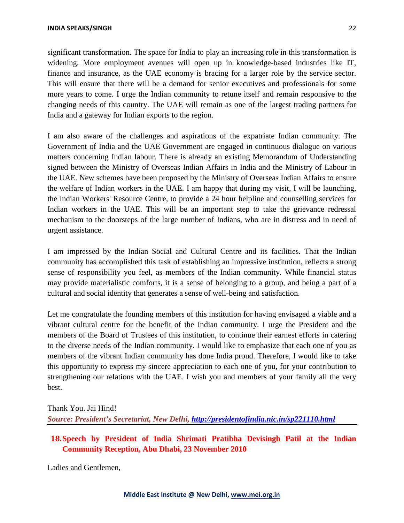significant transformation. The space for India to play an increasing role in this transformation is widening. More employment avenues will open up in knowledge-based industries like IT, finance and insurance, as the UAE economy is bracing for a larger role by the service sector. This will ensure that there will be a demand for senior executives and professionals for some more years to come. I urge the Indian community to retune itself and remain responsive to the changing needs of this country. The UAE will remain as one of the largest trading partners for India and a gateway for Indian exports to the region.

I am also aware of the challenges and aspirations of the expatriate Indian community. The Government of India and the UAE Government are engaged in continuous dialogue on various matters concerning Indian labour. There is already an existing Memorandum of Understanding signed between the Ministry of Overseas Indian Affairs in India and the Ministry of Labour in the UAE. New schemes have been proposed by the Ministry of Overseas Indian Affairs to ensure the welfare of Indian workers in the UAE. I am happy that during my visit, I will be launching, the Indian Workers' Resource Centre, to provide a 24 hour helpline and counselling services for Indian workers in the UAE. This will be an important step to take the grievance redressal mechanism to the doorsteps of the large number of Indians, who are in distress and in need of urgent assistance.

I am impressed by the Indian Social and Cultural Centre and its facilities. That the Indian community has accomplished this task of establishing an impressive institution, reflects a strong sense of responsibility you feel, as members of the Indian community. While financial status may provide materialistic comforts, it is a sense of belonging to a group, and being a part of a cultural and social identity that generates a sense of well-being and satisfaction.

Let me congratulate the founding members of this institution for having envisaged a viable and a vibrant cultural centre for the benefit of the Indian community. I urge the President and the members of the Board of Trustees of this institution, to continue their earnest efforts in catering to the diverse needs of the Indian community. I would like to emphasize that each one of you as members of the vibrant Indian community has done India proud. Therefore, I would like to take this opportunity to express my sincere appreciation to each one of you, for your contribution to strengthening our relations with the UAE. I wish you and members of your family all the very best.

Thank You. Jai Hind! *Source: President's Secretariat, New Delhi, <http://presidentofindia.nic.in/sp221110.html>*

**18.Speech by President of India Shrimati Pratibha Devisingh Patil at the Indian Community Reception, Abu Dhabi, 23 November 2010**

Ladies and Gentlemen,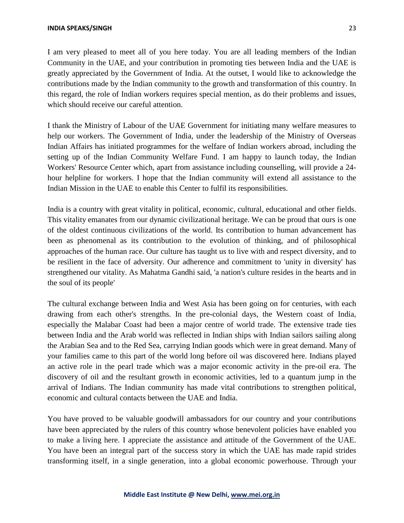I am very pleased to meet all of you here today. You are all leading members of the Indian Community in the UAE, and your contribution in promoting ties between India and the UAE is greatly appreciated by the Government of India. At the outset, I would like to acknowledge the contributions made by the Indian community to the growth and transformation of this country. In this regard, the role of Indian workers requires special mention, as do their problems and issues, which should receive our careful attention.

I thank the Ministry of Labour of the UAE Government for initiating many welfare measures to help our workers. The Government of India, under the leadership of the Ministry of Overseas Indian Affairs has initiated programmes for the welfare of Indian workers abroad, including the setting up of the Indian Community Welfare Fund. I am happy to launch today, the Indian Workers' Resource Center which, apart from assistance including counselling, will provide a 24 hour helpline for workers. I hope that the Indian community will extend all assistance to the Indian Mission in the UAE to enable this Center to fulfil its responsibilities.

India is a country with great vitality in political, economic, cultural, educational and other fields. This vitality emanates from our dynamic civilizational heritage. We can be proud that ours is one of the oldest continuous civilizations of the world. Its contribution to human advancement has been as phenomenal as its contribution to the evolution of thinking, and of philosophical approaches of the human race. Our culture has taught us to live with and respect diversity, and to be resilient in the face of adversity. Our adherence and commitment to 'unity in diversity' has strengthened our vitality. As Mahatma Gandhi said, 'a nation's culture resides in the hearts and in the soul of its people'

The cultural exchange between India and West Asia has been going on for centuries, with each drawing from each other's strengths. In the pre-colonial days, the Western coast of India, especially the Malabar Coast had been a major centre of world trade. The extensive trade ties between India and the Arab world was reflected in Indian ships with Indian sailors sailing along the Arabian Sea and to the Red Sea, carrying Indian goods which were in great demand. Many of your families came to this part of the world long before oil was discovered here. Indians played an active role in the pearl trade which was a major economic activity in the pre-oil era. The discovery of oil and the resultant growth in economic activities, led to a quantum jump in the arrival of Indians. The Indian community has made vital contributions to strengthen political, economic and cultural contacts between the UAE and India.

You have proved to be valuable goodwill ambassadors for our country and your contributions have been appreciated by the rulers of this country whose benevolent policies have enabled you to make a living here. I appreciate the assistance and attitude of the Government of the UAE. You have been an integral part of the success story in which the UAE has made rapid strides transforming itself, in a single generation, into a global economic powerhouse. Through your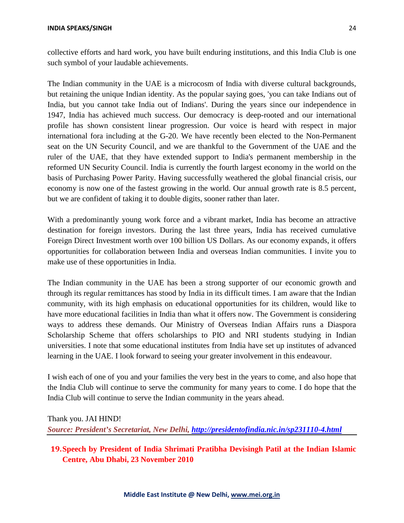The Indian community in the UAE is a microcosm of India with diverse cultural backgrounds, but retaining the unique Indian identity. As the popular saying goes, 'you can take Indians out of India, but you cannot take India out of Indians'. During the years since our independence in 1947, India has achieved much success. Our democracy is deep-rooted and our international profile has shown consistent linear progression. Our voice is heard with respect in major international fora including at the G-20. We have recently been elected to the Non-Permanent seat on the UN Security Council, and we are thankful to the Government of the UAE and the ruler of the UAE, that they have extended support to India's permanent membership in the reformed UN Security Council. India is currently the fourth largest economy in the world on the basis of Purchasing Power Parity. Having successfully weathered the global financial crisis, our economy is now one of the fastest growing in the world. Our annual growth rate is 8.5 percent, but we are confident of taking it to double digits, sooner rather than later.

With a predominantly young work force and a vibrant market, India has become an attractive destination for foreign investors. During the last three years, India has received cumulative Foreign Direct Investment worth over 100 billion US Dollars. As our economy expands, it offers opportunities for collaboration between India and overseas Indian communities. I invite you to make use of these opportunities in India.

The Indian community in the UAE has been a strong supporter of our economic growth and through its regular remittances has stood by India in its difficult times. I am aware that the Indian community, with its high emphasis on educational opportunities for its children, would like to have more educational facilities in India than what it offers now. The Government is considering ways to address these demands. Our Ministry of Overseas Indian Affairs runs a Diaspora Scholarship Scheme that offers scholarships to PIO and NRI students studying in Indian universities. I note that some educational institutes from India have set up institutes of advanced learning in the UAE. I look forward to seeing your greater involvement in this endeavour.

I wish each of one of you and your families the very best in the years to come, and also hope that the India Club will continue to serve the community for many years to come. I do hope that the India Club will continue to serve the Indian community in the years ahead.

Thank you. JAI HIND! *Source: President's Secretariat, New Delhi, <http://presidentofindia.nic.in/sp231110-4.html>*

## **19.Speech by President of India Shrimati Pratibha Devisingh Patil at the Indian Islamic Centre, Abu Dhabi, 23 November 2010**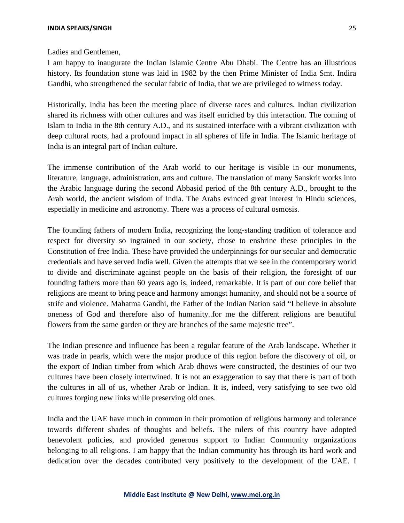Ladies and Gentlemen,

I am happy to inaugurate the Indian Islamic Centre Abu Dhabi. The Centre has an illustrious history. Its foundation stone was laid in 1982 by the then Prime Minister of India Smt. Indira Gandhi, who strengthened the secular fabric of India, that we are privileged to witness today.

Historically, India has been the meeting place of diverse races and cultures. Indian civilization shared its richness with other cultures and was itself enriched by this interaction. The coming of Islam to India in the 8th century A.D., and its sustained interface with a vibrant civilization with deep cultural roots, had a profound impact in all spheres of life in India. The Islamic heritage of India is an integral part of Indian culture.

The immense contribution of the Arab world to our heritage is visible in our monuments, literature, language, administration, arts and culture. The translation of many Sanskrit works into the Arabic language during the second Abbasid period of the 8th century A.D., brought to the Arab world, the ancient wisdom of India. The Arabs evinced great interest in Hindu sciences, especially in medicine and astronomy. There was a process of cultural osmosis.

The founding fathers of modern India, recognizing the long-standing tradition of tolerance and respect for diversity so ingrained in our society, chose to enshrine these principles in the Constitution of free India. These have provided the underpinnings for our secular and democratic credentials and have served India well. Given the attempts that we see in the contemporary world to divide and discriminate against people on the basis of their religion, the foresight of our founding fathers more than 60 years ago is, indeed, remarkable. It is part of our core belief that religions are meant to bring peace and harmony amongst humanity, and should not be a source of strife and violence. Mahatma Gandhi, the Father of the Indian Nation said "I believe in absolute oneness of God and therefore also of humanity..for me the different religions are beautiful flowers from the same garden or they are branches of the same majestic tree".

The Indian presence and influence has been a regular feature of the Arab landscape. Whether it was trade in pearls, which were the major produce of this region before the discovery of oil, or the export of Indian timber from which Arab dhows were constructed, the destinies of our two cultures have been closely intertwined. It is not an exaggeration to say that there is part of both the cultures in all of us, whether Arab or Indian. It is, indeed, very satisfying to see two old cultures forging new links while preserving old ones.

India and the UAE have much in common in their promotion of religious harmony and tolerance towards different shades of thoughts and beliefs. The rulers of this country have adopted benevolent policies, and provided generous support to Indian Community organizations belonging to all religions. I am happy that the Indian community has through its hard work and dedication over the decades contributed very positively to the development of the UAE. I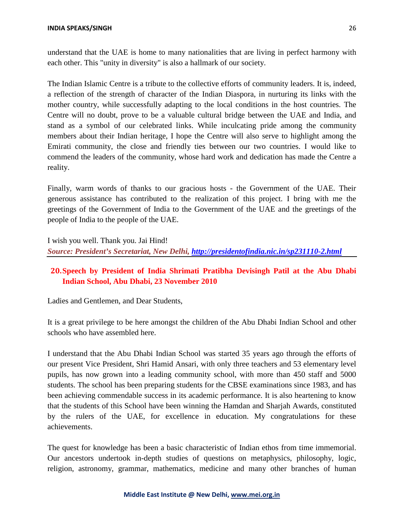understand that the UAE is home to many nationalities that are living in perfect harmony with each other. This "unity in diversity" is also a hallmark of our society.

The Indian Islamic Centre is a tribute to the collective efforts of community leaders. It is, indeed, a reflection of the strength of character of the Indian Diaspora, in nurturing its links with the mother country, while successfully adapting to the local conditions in the host countries. The Centre will no doubt, prove to be a valuable cultural bridge between the UAE and India, and stand as a symbol of our celebrated links. While inculcating pride among the community members about their Indian heritage, I hope the Centre will also serve to highlight among the Emirati community, the close and friendly ties between our two countries. I would like to commend the leaders of the community, whose hard work and dedication has made the Centre a reality.

Finally, warm words of thanks to our gracious hosts - the Government of the UAE. Their generous assistance has contributed to the realization of this project. I bring with me the greetings of the Government of India to the Government of the UAE and the greetings of the people of India to the people of the UAE.

I wish you well. Thank you. Jai Hind! *Source: President's Secretariat, New Delhi, <http://presidentofindia.nic.in/sp231110-2.html>*

## **20.Speech by President of India Shrimati Pratibha Devisingh Patil at the Abu Dhabi Indian School, Abu Dhabi, 23 November 2010**

Ladies and Gentlemen, and Dear Students,

It is a great privilege to be here amongst the children of the Abu Dhabi Indian School and other schools who have assembled here.

I understand that the Abu Dhabi Indian School was started 35 years ago through the efforts of our present Vice President, Shri Hamid Ansari, with only three teachers and 53 elementary level pupils, has now grown into a leading community school, with more than 450 staff and 5000 students. The school has been preparing students for the CBSE examinations since 1983, and has been achieving commendable success in its academic performance. It is also heartening to know that the students of this School have been winning the Hamdan and Sharjah Awards, constituted by the rulers of the UAE, for excellence in education. My congratulations for these achievements.

The quest for knowledge has been a basic characteristic of Indian ethos from time immemorial. Our ancestors undertook in-depth studies of questions on metaphysics, philosophy, logic, religion, astronomy, grammar, mathematics, medicine and many other branches of human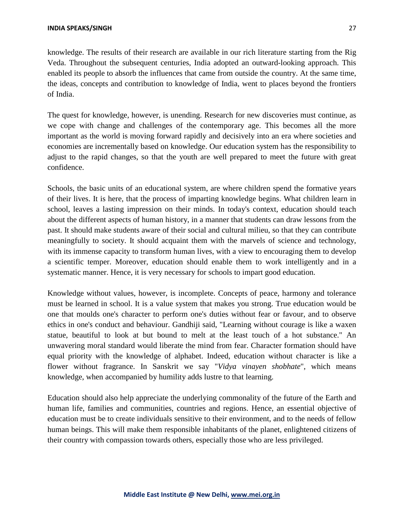knowledge. The results of their research are available in our rich literature starting from the Rig Veda. Throughout the subsequent centuries, India adopted an outward-looking approach. This enabled its people to absorb the influences that came from outside the country. At the same time, the ideas, concepts and contribution to knowledge of India, went to places beyond the frontiers of India.

The quest for knowledge, however, is unending. Research for new discoveries must continue, as we cope with change and challenges of the contemporary age. This becomes all the more important as the world is moving forward rapidly and decisively into an era where societies and economies are incrementally based on knowledge. Our education system has the responsibility to adjust to the rapid changes, so that the youth are well prepared to meet the future with great confidence.

Schools, the basic units of an educational system, are where children spend the formative years of their lives. It is here, that the process of imparting knowledge begins. What children learn in school, leaves a lasting impression on their minds. In today's context, education should teach about the different aspects of human history, in a manner that students can draw lessons from the past. It should make students aware of their social and cultural milieu, so that they can contribute meaningfully to society. It should acquaint them with the marvels of science and technology, with its immense capacity to transform human lives, with a view to encouraging them to develop a scientific temper. Moreover, education should enable them to work intelligently and in a systematic manner. Hence, it is very necessary for schools to impart good education.

Knowledge without values, however, is incomplete. Concepts of peace, harmony and tolerance must be learned in school. It is a value system that makes you strong. True education would be one that moulds one's character to perform one's duties without fear or favour, and to observe ethics in one's conduct and behaviour. Gandhiji said, "Learning without courage is like a waxen statue, beautiful to look at but bound to melt at the least touch of a hot substance." An unwavering moral standard would liberate the mind from fear. Character formation should have equal priority with the knowledge of alphabet. Indeed, education without character is like a flower without fragrance. In Sanskrit we say "*Vidya vinayen shobhate*", which means knowledge, when accompanied by humility adds lustre to that learning.

Education should also help appreciate the underlying commonality of the future of the Earth and human life, families and communities, countries and regions. Hence, an essential objective of education must be to create individuals sensitive to their environment, and to the needs of fellow human beings. This will make them responsible inhabitants of the planet, enlightened citizens of their country with compassion towards others, especially those who are less privileged.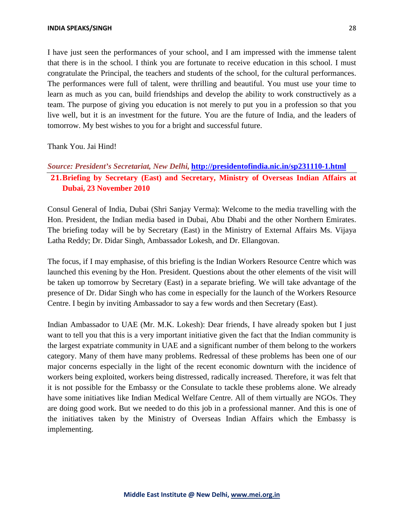I have just seen the performances of your school, and I am impressed with the immense talent that there is in the school. I think you are fortunate to receive education in this school. I must congratulate the Principal, the teachers and students of the school, for the cultural performances. The performances were full of talent, were thrilling and beautiful. You must use your time to learn as much as you can, build friendships and develop the ability to work constructively as a team. The purpose of giving you education is not merely to put you in a profession so that you live well, but it is an investment for the future. You are the future of India, and the leaders of tomorrow. My best wishes to you for a bright and successful future.

#### Thank You. Jai Hind!

## *Source: President's Secretariat, New Delhi,* **<http://presidentofindia.nic.in/sp231110-1.html> 21.Briefing by Secretary (East) and Secretary, Ministry of Overseas Indian Affairs at Dubai, 23 November 2010**

Consul General of India, Dubai (Shri Sanjay Verma): Welcome to the media travelling with the Hon. President, the Indian media based in Dubai, Abu Dhabi and the other Northern Emirates. The briefing today will be by Secretary (East) in the Ministry of External Affairs Ms. Vijaya Latha Reddy; Dr. Didar Singh, Ambassador Lokesh, and Dr. Ellangovan.

The focus, if I may emphasise, of this briefing is the Indian Workers Resource Centre which was launched this evening by the Hon. President. Questions about the other elements of the visit will be taken up tomorrow by Secretary (East) in a separate briefing. We will take advantage of the presence of Dr. Didar Singh who has come in especially for the launch of the Workers Resource Centre. I begin by inviting Ambassador to say a few words and then Secretary (East).

Indian Ambassador to UAE (Mr. M.K. Lokesh): Dear friends, I have already spoken but I just want to tell you that this is a very important initiative given the fact that the Indian community is the largest expatriate community in UAE and a significant number of them belong to the workers category. Many of them have many problems. Redressal of these problems has been one of our major concerns especially in the light of the recent economic downturn with the incidence of workers being exploited, workers being distressed, radically increased. Therefore, it was felt that it is not possible for the Embassy or the Consulate to tackle these problems alone. We already have some initiatives like Indian Medical Welfare Centre. All of them virtually are NGOs. They are doing good work. But we needed to do this job in a professional manner. And this is one of the initiatives taken by the Ministry of Overseas Indian Affairs which the Embassy is implementing.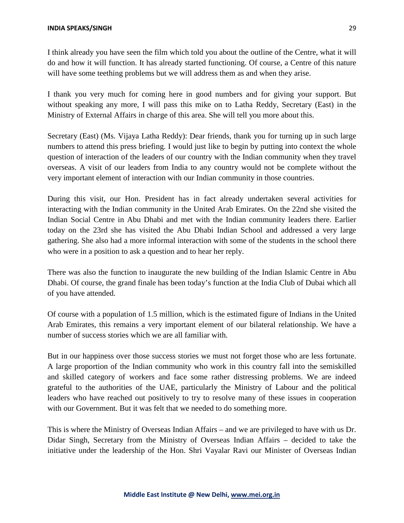I think already you have seen the film which told you about the outline of the Centre, what it will do and how it will function. It has already started functioning. Of course, a Centre of this nature will have some teething problems but we will address them as and when they arise.

I thank you very much for coming here in good numbers and for giving your support. But without speaking any more, I will pass this mike on to Latha Reddy, Secretary (East) in the Ministry of External Affairs in charge of this area. She will tell you more about this.

Secretary (East) (Ms. Vijaya Latha Reddy): Dear friends, thank you for turning up in such large numbers to attend this press briefing. I would just like to begin by putting into context the whole question of interaction of the leaders of our country with the Indian community when they travel overseas. A visit of our leaders from India to any country would not be complete without the very important element of interaction with our Indian community in those countries.

During this visit, our Hon. President has in fact already undertaken several activities for interacting with the Indian community in the United Arab Emirates. On the 22nd she visited the Indian Social Centre in Abu Dhabi and met with the Indian community leaders there. Earlier today on the 23rd she has visited the Abu Dhabi Indian School and addressed a very large gathering. She also had a more informal interaction with some of the students in the school there who were in a position to ask a question and to hear her reply.

There was also the function to inaugurate the new building of the Indian Islamic Centre in Abu Dhabi. Of course, the grand finale has been today's function at the India Club of Dubai which all of you have attended.

Of course with a population of 1.5 million, which is the estimated figure of Indians in the United Arab Emirates, this remains a very important element of our bilateral relationship. We have a number of success stories which we are all familiar with.

But in our happiness over those success stories we must not forget those who are less fortunate. A large proportion of the Indian community who work in this country fall into the semiskilled and skilled category of workers and face some rather distressing problems. We are indeed grateful to the authorities of the UAE, particularly the Ministry of Labour and the political leaders who have reached out positively to try to resolve many of these issues in cooperation with our Government. But it was felt that we needed to do something more.

This is where the Ministry of Overseas Indian Affairs – and we are privileged to have with us Dr. Didar Singh, Secretary from the Ministry of Overseas Indian Affairs – decided to take the initiative under the leadership of the Hon. Shri Vayalar Ravi our Minister of Overseas Indian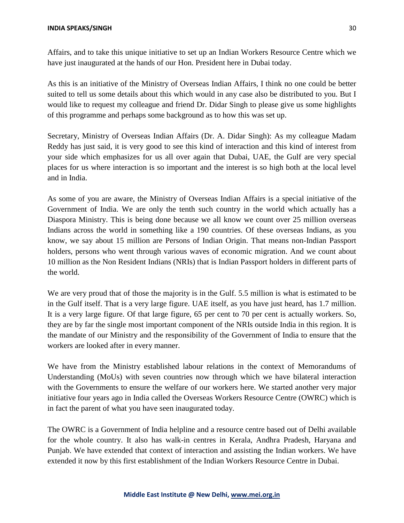Affairs, and to take this unique initiative to set up an Indian Workers Resource Centre which we have just inaugurated at the hands of our Hon. President here in Dubai today.

As this is an initiative of the Ministry of Overseas Indian Affairs, I think no one could be better suited to tell us some details about this which would in any case also be distributed to you. But I would like to request my colleague and friend Dr. Didar Singh to please give us some highlights of this programme and perhaps some background as to how this was set up.

Secretary, Ministry of Overseas Indian Affairs (Dr. A. Didar Singh): As my colleague Madam Reddy has just said, it is very good to see this kind of interaction and this kind of interest from your side which emphasizes for us all over again that Dubai, UAE, the Gulf are very special places for us where interaction is so important and the interest is so high both at the local level and in India.

As some of you are aware, the Ministry of Overseas Indian Affairs is a special initiative of the Government of India. We are only the tenth such country in the world which actually has a Diaspora Ministry. This is being done because we all know we count over 25 million overseas Indians across the world in something like a 190 countries. Of these overseas Indians, as you know, we say about 15 million are Persons of Indian Origin. That means non-Indian Passport holders, persons who went through various waves of economic migration. And we count about 10 million as the Non Resident Indians (NRIs) that is Indian Passport holders in different parts of the world.

We are very proud that of those the majority is in the Gulf. 5.5 million is what is estimated to be in the Gulf itself. That is a very large figure. UAE itself, as you have just heard, has 1.7 million. It is a very large figure. Of that large figure, 65 per cent to 70 per cent is actually workers. So, they are by far the single most important component of the NRIs outside India in this region. It is the mandate of our Ministry and the responsibility of the Government of India to ensure that the workers are looked after in every manner.

We have from the Ministry established labour relations in the context of Memorandums of Understanding (MoUs) with seven countries now through which we have bilateral interaction with the Governments to ensure the welfare of our workers here. We started another very major initiative four years ago in India called the Overseas Workers Resource Centre (OWRC) which is in fact the parent of what you have seen inaugurated today.

The OWRC is a Government of India helpline and a resource centre based out of Delhi available for the whole country. It also has walk-in centres in Kerala, Andhra Pradesh, Haryana and Punjab. We have extended that context of interaction and assisting the Indian workers. We have extended it now by this first establishment of the Indian Workers Resource Centre in Dubai.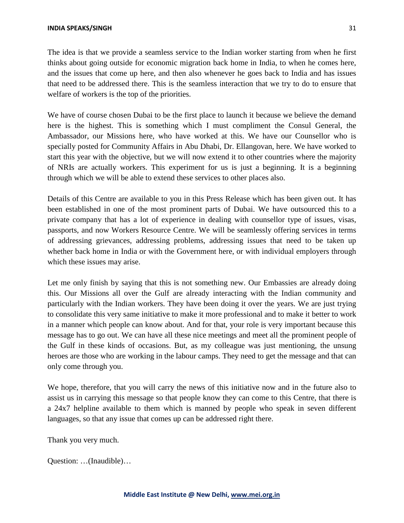The idea is that we provide a seamless service to the Indian worker starting from when he first thinks about going outside for economic migration back home in India, to when he comes here, and the issues that come up here, and then also whenever he goes back to India and has issues that need to be addressed there. This is the seamless interaction that we try to do to ensure that welfare of workers is the top of the priorities.

We have of course chosen Dubai to be the first place to launch it because we believe the demand here is the highest. This is something which I must compliment the Consul General, the Ambassador, our Missions here, who have worked at this. We have our Counsellor who is specially posted for Community Affairs in Abu Dhabi, Dr. Ellangovan, here. We have worked to start this year with the objective, but we will now extend it to other countries where the majority of NRIs are actually workers. This experiment for us is just a beginning. It is a beginning through which we will be able to extend these services to other places also.

Details of this Centre are available to you in this Press Release which has been given out. It has been established in one of the most prominent parts of Dubai. We have outsourced this to a private company that has a lot of experience in dealing with counsellor type of issues, visas, passports, and now Workers Resource Centre. We will be seamlessly offering services in terms of addressing grievances, addressing problems, addressing issues that need to be taken up whether back home in India or with the Government here, or with individual employers through which these issues may arise.

Let me only finish by saying that this is not something new. Our Embassies are already doing this. Our Missions all over the Gulf are already interacting with the Indian community and particularly with the Indian workers. They have been doing it over the years. We are just trying to consolidate this very same initiative to make it more professional and to make it better to work in a manner which people can know about. And for that, your role is very important because this message has to go out. We can have all these nice meetings and meet all the prominent people of the Gulf in these kinds of occasions. But, as my colleague was just mentioning, the unsung heroes are those who are working in the labour camps. They need to get the message and that can only come through you.

We hope, therefore, that you will carry the news of this initiative now and in the future also to assist us in carrying this message so that people know they can come to this Centre, that there is a 24x7 helpline available to them which is manned by people who speak in seven different languages, so that any issue that comes up can be addressed right there.

Thank you very much.

Question: …(Inaudible)…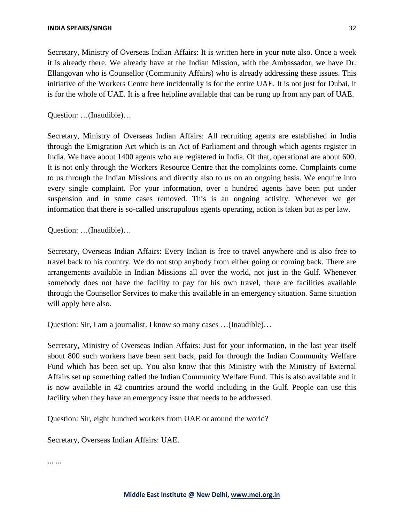Secretary, Ministry of Overseas Indian Affairs: It is written here in your note also. Once a week it is already there. We already have at the Indian Mission, with the Ambassador, we have Dr. Ellangovan who is Counsellor (Community Affairs) who is already addressing these issues. This initiative of the Workers Centre here incidentally is for the entire UAE. It is not just for Dubai, it is for the whole of UAE. It is a free helpline available that can be rung up from any part of UAE.

Question: …(Inaudible)…

Secretary, Ministry of Overseas Indian Affairs: All recruiting agents are established in India through the Emigration Act which is an Act of Parliament and through which agents register in India. We have about 1400 agents who are registered in India. Of that, operational are about 600. It is not only through the Workers Resource Centre that the complaints come. Complaints come to us through the Indian Missions and directly also to us on an ongoing basis. We enquire into every single complaint. For your information, over a hundred agents have been put under suspension and in some cases removed. This is an ongoing activity. Whenever we get information that there is so-called unscrupulous agents operating, action is taken but as per law.

Question: …(Inaudible)…

Secretary, Overseas Indian Affairs: Every Indian is free to travel anywhere and is also free to travel back to his country. We do not stop anybody from either going or coming back. There are arrangements available in Indian Missions all over the world, not just in the Gulf. Whenever somebody does not have the facility to pay for his own travel, there are facilities available through the Counsellor Services to make this available in an emergency situation. Same situation will apply here also.

Question: Sir, I am a journalist. I know so many cases …(Inaudible)…

Secretary, Ministry of Overseas Indian Affairs: Just for your information, in the last year itself about 800 such workers have been sent back, paid for through the Indian Community Welfare Fund which has been set up. You also know that this Ministry with the Ministry of External Affairs set up something called the Indian Community Welfare Fund. This is also available and it is now available in 42 countries around the world including in the Gulf. People can use this facility when they have an emergency issue that needs to be addressed.

Question: Sir, eight hundred workers from UAE or around the world?

Secretary, Overseas Indian Affairs: UAE.

... ...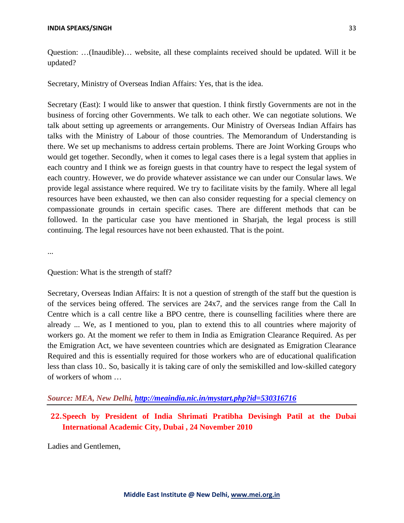Question: …(Inaudible)… website, all these complaints received should be updated. Will it be updated?

Secretary, Ministry of Overseas Indian Affairs: Yes, that is the idea.

Secretary (East): I would like to answer that question. I think firstly Governments are not in the business of forcing other Governments. We talk to each other. We can negotiate solutions. We talk about setting up agreements or arrangements. Our Ministry of Overseas Indian Affairs has talks with the Ministry of Labour of those countries. The Memorandum of Understanding is there. We set up mechanisms to address certain problems. There are Joint Working Groups who would get together. Secondly, when it comes to legal cases there is a legal system that applies in each country and I think we as foreign guests in that country have to respect the legal system of each country. However, we do provide whatever assistance we can under our Consular laws. We provide legal assistance where required. We try to facilitate visits by the family. Where all legal resources have been exhausted, we then can also consider requesting for a special clemency on compassionate grounds in certain specific cases. There are different methods that can be followed. In the particular case you have mentioned in Sharjah, the legal process is still continuing. The legal resources have not been exhausted. That is the point.

...

#### Question: What is the strength of staff?

Secretary, Overseas Indian Affairs: It is not a question of strength of the staff but the question is of the services being offered. The services are 24x7, and the services range from the Call In Centre which is a call centre like a BPO centre, there is counselling facilities where there are already ... We, as I mentioned to you, plan to extend this to all countries where majority of workers go. At the moment we refer to them in India as Emigration Clearance Required. As per the Emigration Act, we have seventeen countries which are designated as Emigration Clearance Required and this is essentially required for those workers who are of educational qualification less than class 10.. So, basically it is taking care of only the semiskilled and low-skilled category of workers of whom …

## *Source: MEA, New Delhi, <http://meaindia.nic.in/mystart.php?id=530316716>*

## **22.Speech by President of India Shrimati Pratibha Devisingh Patil at the Dubai International Academic City, Dubai , 24 November 2010**

Ladies and Gentlemen,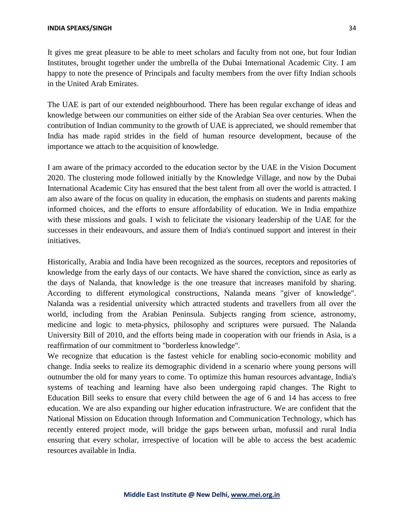It gives me great pleasure to be able to meet scholars and faculty from not one, but four Indian Institutes, brought together under the umbrella of the Dubai International Academic City. I am happy to note the presence of Principals and faculty members from the over fifty Indian schools in the United Arab Emirates.

The UAE is part of our extended neighbourhood. There has been regular exchange of ideas and knowledge between our communities on either side of the Arabian Sea over centuries. When the contribution of Indian community to the growth of UAE is appreciated, we should remember that India has made rapid strides in the field of human resource development, because of the importance we attach to the acquisition of knowledge.

I am aware of the primacy accorded to the education sector by the UAE in the Vision Document 2020. The clustering mode followed initially by the Knowledge Village, and now by the Dubai International Academic City has ensured that the best talent from all over the world is attracted. I am also aware of the focus on quality in education, the emphasis on students and parents making informed choices, and the efforts to ensure affordability of education. We in India empathize with these missions and goals. I wish to felicitate the visionary leadership of the UAE for the successes in their endeavours, and assure them of India's continued support and interest in their initiatives.

Historically, Arabia and India have been recognized as the sources, receptors and repositories of knowledge from the early days of our contacts. We have shared the conviction, since as early as the days of Nalanda, that knowledge is the one treasure that increases manifold by sharing. According to different etymological constructions, Nalanda means "giver of knowledge". Nalanda was a residential university which attracted students and travellers from all over the world, including from the Arabian Peninsula. Subjects ranging from science, astronomy, medicine and logic to meta-physics, philosophy and scriptures were pursued. The Nalanda University Bill of 2010, and the efforts being made in cooperation with our friends in Asia, is a reaffirmation of our commitment to "borderless knowledge".

We recognize that education is the fastest vehicle for enabling socio-economic mobility and change. India seeks to realize its demographic dividend in a scenario where young persons will outnumber the old for many years to come. To optimize this human resources advantage, India's systems of teaching and learning have also been undergoing rapid changes. The Right to Education Bill seeks to ensure that every child between the age of 6 and 14 has access to free education. We are also expanding our higher education infrastructure. We are confident that the National Mission on Education through Information and Communication Technology, which has recently entered project mode, will bridge the gaps between urban, mofussil and rural India ensuring that every scholar, irrespective of location will be able to access the best academic resources available in India.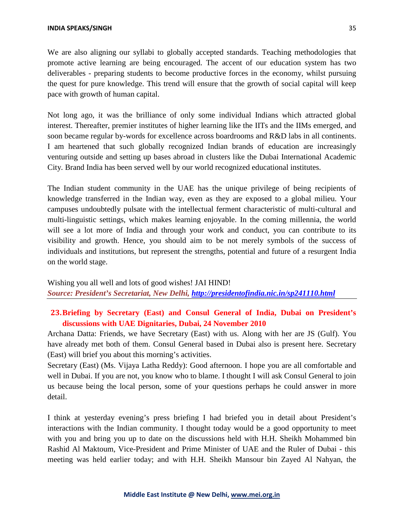We are also aligning our syllabi to globally accepted standards. Teaching methodologies that promote active learning are being encouraged. The accent of our education system has two deliverables - preparing students to become productive forces in the economy, whilst pursuing the quest for pure knowledge. This trend will ensure that the growth of social capital will keep pace with growth of human capital.

Not long ago, it was the brilliance of only some individual Indians which attracted global interest. Thereafter, premier institutes of higher learning like the IITs and the IIMs emerged, and soon became regular by-words for excellence across boardrooms and R&D labs in all continents. I am heartened that such globally recognized Indian brands of education are increasingly venturing outside and setting up bases abroad in clusters like the Dubai International Academic City. Brand India has been served well by our world recognized educational institutes.

The Indian student community in the UAE has the unique privilege of being recipients of knowledge transferred in the Indian way, even as they are exposed to a global milieu. Your campuses undoubtedly pulsate with the intellectual ferment characteristic of multi-cultural and multi-linguistic settings, which makes learning enjoyable. In the coming millennia, the world will see a lot more of India and through your work and conduct, you can contribute to its visibility and growth. Hence, you should aim to be not merely symbols of the success of individuals and institutions, but represent the strengths, potential and future of a resurgent India on the world stage.

Wishing you all well and lots of good wishes! JAI HIND! *Source: President's Secretariat, New Delhi, <http://presidentofindia.nic.in/sp241110.html>*

## **23.Briefing by Secretary (East) and Consul General of India, Dubai on President's discussions with UAE Dignitaries, Dubai, 24 November 2010**

Archana Datta: Friends, we have Secretary (East) with us. Along with her are JS (Gulf). You have already met both of them. Consul General based in Dubai also is present here. Secretary (East) will brief you about this morning's activities.

Secretary (East) (Ms. Vijaya Latha Reddy): Good afternoon. I hope you are all comfortable and well in Dubai. If you are not, you know who to blame. I thought I will ask Consul General to join us because being the local person, some of your questions perhaps he could answer in more detail.

I think at yesterday evening's press briefing I had briefed you in detail about President's interactions with the Indian community. I thought today would be a good opportunity to meet with you and bring you up to date on the discussions held with H.H. Sheikh Mohammed bin Rashid Al Maktoum, Vice-President and Prime Minister of UAE and the Ruler of Dubai - this meeting was held earlier today; and with H.H. Sheikh Mansour bin Zayed Al Nahyan, the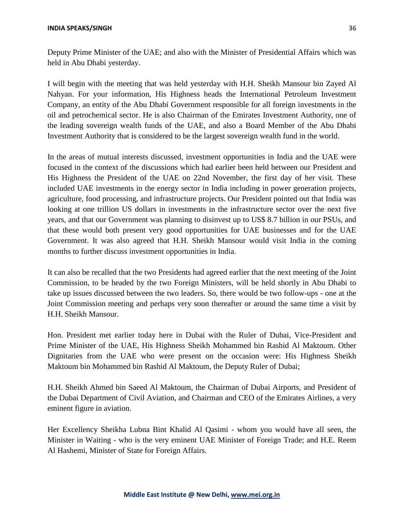Deputy Prime Minister of the UAE; and also with the Minister of Presidential Affairs which was held in Abu Dhabi yesterday.

I will begin with the meeting that was held yesterday with H.H. Sheikh Mansour bin Zayed Al Nahyan. For your information, His Highness heads the International Petroleum Investment Company, an entity of the Abu Dhabi Government responsible for all foreign investments in the oil and petrochemical sector. He is also Chairman of the Emirates Investment Authority, one of the leading sovereign wealth funds of the UAE, and also a Board Member of the Abu Dhabi Investment Authority that is considered to be the largest sovereign wealth fund in the world.

In the areas of mutual interests discussed, investment opportunities in India and the UAE were focused in the context of the discussions which had earlier been held between our President and His Highness the President of the UAE on 22nd November, the first day of her visit. These included UAE investments in the energy sector in India including in power generation projects, agriculture, food processing, and infrastructure projects. Our President pointed out that India was looking at one trillion US dollars in investments in the infrastructure sector over the next five years, and that our Government was planning to disinvest up to US\$ 8.7 billion in our PSUs, and that these would both present very good opportunities for UAE businesses and for the UAE Government. It was also agreed that H.H. Sheikh Mansour would visit India in the coming months to further discuss investment opportunities in India.

It can also be recalled that the two Presidents had agreed earlier that the next meeting of the Joint Commission, to be headed by the two Foreign Ministers, will be held shortly in Abu Dhabi to take up issues discussed between the two leaders. So, there would be two follow-ups - one at the Joint Commission meeting and perhaps very soon thereafter or around the same time a visit by H.H. Sheikh Mansour.

Hon. President met earlier today here in Dubai with the Ruler of Dubai, Vice-President and Prime Minister of the UAE, His Highness Sheikh Mohammed bin Rashid Al Maktoum. Other Dignitaries from the UAE who were present on the occasion were: His Highness Sheikh Maktoum bin Mohammed bin Rashid Al Maktoum, the Deputy Ruler of Dubai;

H.H. Sheikh Ahmed bin Saeed Al Maktoum, the Chairman of Dubai Airports, and President of the Dubai Department of Civil Aviation, and Chairman and CEO of the Emirates Airlines, a very eminent figure in aviation.

Her Excellency Sheikha Lubna Bint Khalid Al Qasimi - whom you would have all seen, the Minister in Waiting - who is the very eminent UAE Minister of Foreign Trade; and H.E. Reem Al Hashemi, Minister of State for Foreign Affairs.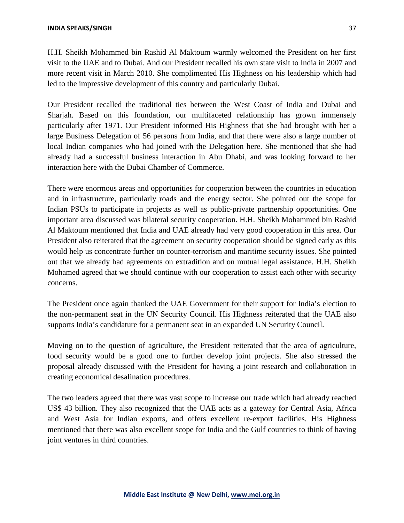H.H. Sheikh Mohammed bin Rashid Al Maktoum warmly welcomed the President on her first visit to the UAE and to Dubai. And our President recalled his own state visit to India in 2007 and more recent visit in March 2010. She complimented His Highness on his leadership which had led to the impressive development of this country and particularly Dubai.

Our President recalled the traditional ties between the West Coast of India and Dubai and Sharjah. Based on this foundation, our multifaceted relationship has grown immensely particularly after 1971. Our President informed His Highness that she had brought with her a large Business Delegation of 56 persons from India, and that there were also a large number of local Indian companies who had joined with the Delegation here. She mentioned that she had already had a successful business interaction in Abu Dhabi, and was looking forward to her interaction here with the Dubai Chamber of Commerce.

There were enormous areas and opportunities for cooperation between the countries in education and in infrastructure, particularly roads and the energy sector. She pointed out the scope for Indian PSUs to participate in projects as well as public-private partnership opportunities. One important area discussed was bilateral security cooperation. H.H. Sheikh Mohammed bin Rashid Al Maktoum mentioned that India and UAE already had very good cooperation in this area. Our President also reiterated that the agreement on security cooperation should be signed early as this would help us concentrate further on counter-terrorism and maritime security issues. She pointed out that we already had agreements on extradition and on mutual legal assistance. H.H. Sheikh Mohamed agreed that we should continue with our cooperation to assist each other with security concerns.

The President once again thanked the UAE Government for their support for India's election to the non-permanent seat in the UN Security Council. His Highness reiterated that the UAE also supports India's candidature for a permanent seat in an expanded UN Security Council.

Moving on to the question of agriculture, the President reiterated that the area of agriculture, food security would be a good one to further develop joint projects. She also stressed the proposal already discussed with the President for having a joint research and collaboration in creating economical desalination procedures.

The two leaders agreed that there was vast scope to increase our trade which had already reached US\$ 43 billion. They also recognized that the UAE acts as a gateway for Central Asia, Africa and West Asia for Indian exports, and offers excellent re-export facilities. His Highness mentioned that there was also excellent scope for India and the Gulf countries to think of having joint ventures in third countries.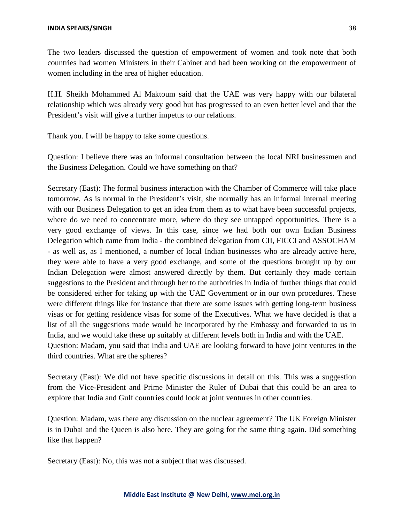The two leaders discussed the question of empowerment of women and took note that both countries had women Ministers in their Cabinet and had been working on the empowerment of women including in the area of higher education.

H.H. Sheikh Mohammed Al Maktoum said that the UAE was very happy with our bilateral relationship which was already very good but has progressed to an even better level and that the President's visit will give a further impetus to our relations.

Thank you. I will be happy to take some questions.

Question: I believe there was an informal consultation between the local NRI businessmen and the Business Delegation. Could we have something on that?

Secretary (East): The formal business interaction with the Chamber of Commerce will take place tomorrow. As is normal in the President's visit, she normally has an informal internal meeting with our Business Delegation to get an idea from them as to what have been successful projects, where do we need to concentrate more, where do they see untapped opportunities. There is a very good exchange of views. In this case, since we had both our own Indian Business Delegation which came from India - the combined delegation from CII, FICCI and ASSOCHAM - as well as, as I mentioned, a number of local Indian businesses who are already active here, they were able to have a very good exchange, and some of the questions brought up by our Indian Delegation were almost answered directly by them. But certainly they made certain suggestions to the President and through her to the authorities in India of further things that could be considered either for taking up with the UAE Government or in our own procedures. These were different things like for instance that there are some issues with getting long-term business visas or for getting residence visas for some of the Executives. What we have decided is that a list of all the suggestions made would be incorporated by the Embassy and forwarded to us in India, and we would take these up suitably at different levels both in India and with the UAE. Question: Madam, you said that India and UAE are looking forward to have joint ventures in the third countries. What are the spheres?

Secretary (East): We did not have specific discussions in detail on this. This was a suggestion from the Vice-President and Prime Minister the Ruler of Dubai that this could be an area to explore that India and Gulf countries could look at joint ventures in other countries.

Question: Madam, was there any discussion on the nuclear agreement? The UK Foreign Minister is in Dubai and the Queen is also here. They are going for the same thing again. Did something like that happen?

Secretary (East): No, this was not a subject that was discussed.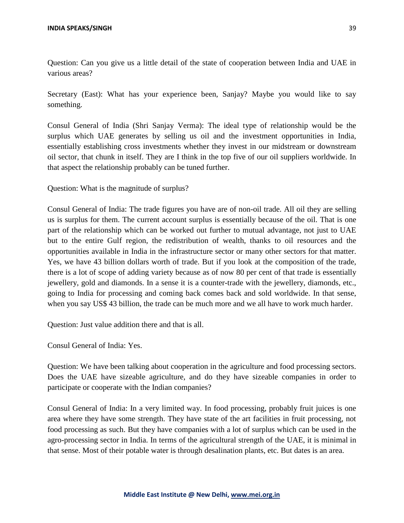Question: Can you give us a little detail of the state of cooperation between India and UAE in various areas?

Secretary (East): What has your experience been, Sanjay? Maybe you would like to say something.

Consul General of India (Shri Sanjay Verma): The ideal type of relationship would be the surplus which UAE generates by selling us oil and the investment opportunities in India, essentially establishing cross investments whether they invest in our midstream or downstream oil sector, that chunk in itself. They are I think in the top five of our oil suppliers worldwide. In that aspect the relationship probably can be tuned further.

Question: What is the magnitude of surplus?

Consul General of India: The trade figures you have are of non-oil trade. All oil they are selling us is surplus for them. The current account surplus is essentially because of the oil. That is one part of the relationship which can be worked out further to mutual advantage, not just to UAE but to the entire Gulf region, the redistribution of wealth, thanks to oil resources and the opportunities available in India in the infrastructure sector or many other sectors for that matter. Yes, we have 43 billion dollars worth of trade. But if you look at the composition of the trade, there is a lot of scope of adding variety because as of now 80 per cent of that trade is essentially jewellery, gold and diamonds. In a sense it is a counter-trade with the jewellery, diamonds, etc., going to India for processing and coming back comes back and sold worldwide. In that sense, when you say US\$ 43 billion, the trade can be much more and we all have to work much harder.

Question: Just value addition there and that is all.

Consul General of India: Yes.

Question: We have been talking about cooperation in the agriculture and food processing sectors. Does the UAE have sizeable agriculture, and do they have sizeable companies in order to participate or cooperate with the Indian companies?

Consul General of India: In a very limited way. In food processing, probably fruit juices is one area where they have some strength. They have state of the art facilities in fruit processing, not food processing as such. But they have companies with a lot of surplus which can be used in the agro-processing sector in India. In terms of the agricultural strength of the UAE, it is minimal in that sense. Most of their potable water is through desalination plants, etc. But dates is an area.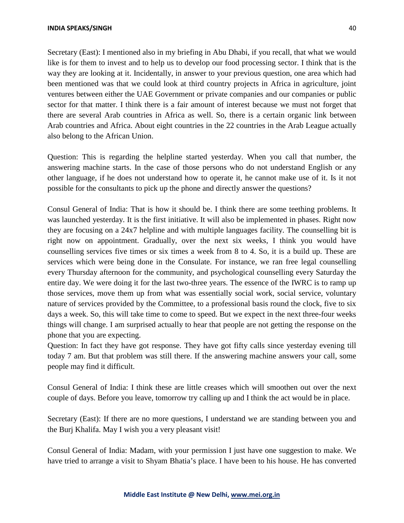#### **INDIA SPEAKS/SINGH** 40

Secretary (East): I mentioned also in my briefing in Abu Dhabi, if you recall, that what we would like is for them to invest and to help us to develop our food processing sector. I think that is the way they are looking at it. Incidentally, in answer to your previous question, one area which had been mentioned was that we could look at third country projects in Africa in agriculture, joint ventures between either the UAE Government or private companies and our companies or public sector for that matter. I think there is a fair amount of interest because we must not forget that there are several Arab countries in Africa as well. So, there is a certain organic link between Arab countries and Africa. About eight countries in the 22 countries in the Arab League actually also belong to the African Union.

Question: This is regarding the helpline started yesterday. When you call that number, the answering machine starts. In the case of those persons who do not understand English or any other language, if he does not understand how to operate it, he cannot make use of it. Is it not possible for the consultants to pick up the phone and directly answer the questions?

Consul General of India: That is how it should be. I think there are some teething problems. It was launched yesterday. It is the first initiative. It will also be implemented in phases. Right now they are focusing on a 24x7 helpline and with multiple languages facility. The counselling bit is right now on appointment. Gradually, over the next six weeks, I think you would have counselling services five times or six times a week from 8 to 4. So, it is a build up. These are services which were being done in the Consulate. For instance, we ran free legal counselling every Thursday afternoon for the community, and psychological counselling every Saturday the entire day. We were doing it for the last two-three years. The essence of the IWRC is to ramp up those services, move them up from what was essentially social work, social service, voluntary nature of services provided by the Committee, to a professional basis round the clock, five to six days a week. So, this will take time to come to speed. But we expect in the next three-four weeks things will change. I am surprised actually to hear that people are not getting the response on the phone that you are expecting.

Question: In fact they have got response. They have got fifty calls since yesterday evening till today 7 am. But that problem was still there. If the answering machine answers your call, some people may find it difficult.

Consul General of India: I think these are little creases which will smoothen out over the next couple of days. Before you leave, tomorrow try calling up and I think the act would be in place.

Secretary (East): If there are no more questions, I understand we are standing between you and the Burj Khalifa. May I wish you a very pleasant visit!

Consul General of India: Madam, with your permission I just have one suggestion to make. We have tried to arrange a visit to Shyam Bhatia's place. I have been to his house. He has converted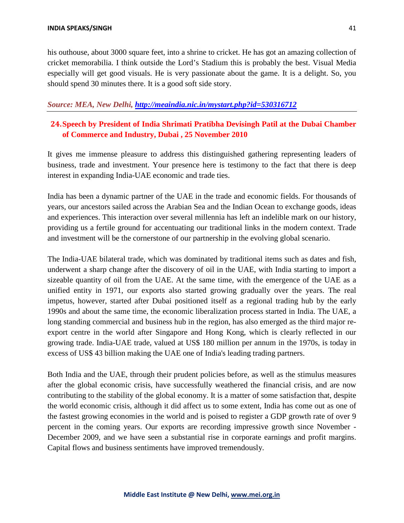his outhouse, about 3000 square feet, into a shrine to cricket. He has got an amazing collection of cricket memorabilia. I think outside the Lord's Stadium this is probably the best. Visual Media especially will get good visuals. He is very passionate about the game. It is a delight. So, you should spend 30 minutes there. It is a good soft side story.

### *Source: MEA, New Delhi, <http://meaindia.nic.in/mystart.php?id=530316712>*

## **24.Speech by President of India Shrimati Pratibha Devisingh Patil at the Dubai Chamber of Commerce and Industry, Dubai , 25 November 2010**

It gives me immense pleasure to address this distinguished gathering representing leaders of business, trade and investment. Your presence here is testimony to the fact that there is deep interest in expanding India-UAE economic and trade ties.

India has been a dynamic partner of the UAE in the trade and economic fields. For thousands of years, our ancestors sailed across the Arabian Sea and the Indian Ocean to exchange goods, ideas and experiences. This interaction over several millennia has left an indelible mark on our history, providing us a fertile ground for accentuating our traditional links in the modern context. Trade and investment will be the cornerstone of our partnership in the evolving global scenario.

The India-UAE bilateral trade, which was dominated by traditional items such as dates and fish, underwent a sharp change after the discovery of oil in the UAE, with India starting to import a sizeable quantity of oil from the UAE. At the same time, with the emergence of the UAE as a unified entity in 1971, our exports also started growing gradually over the years. The real impetus, however, started after Dubai positioned itself as a regional trading hub by the early 1990s and about the same time, the economic liberalization process started in India. The UAE, a long standing commercial and business hub in the region, has also emerged as the third major reexport centre in the world after Singapore and Hong Kong, which is clearly reflected in our growing trade. India-UAE trade, valued at US\$ 180 million per annum in the 1970s, is today in excess of US\$ 43 billion making the UAE one of India's leading trading partners.

Both India and the UAE, through their prudent policies before, as well as the stimulus measures after the global economic crisis, have successfully weathered the financial crisis, and are now contributing to the stability of the global economy. It is a matter of some satisfaction that, despite the world economic crisis, although it did affect us to some extent, India has come out as one of the fastest growing economies in the world and is poised to register a GDP growth rate of over 9 percent in the coming years. Our exports are recording impressive growth since November - December 2009, and we have seen a substantial rise in corporate earnings and profit margins. Capital flows and business sentiments have improved tremendously.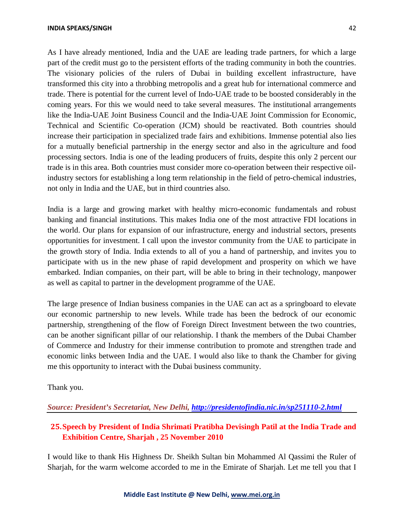#### **INDIA SPEAKS/SINGH** 42

As I have already mentioned, India and the UAE are leading trade partners, for which a large part of the credit must go to the persistent efforts of the trading community in both the countries. The visionary policies of the rulers of Dubai in building excellent infrastructure, have transformed this city into a throbbing metropolis and a great hub for international commerce and trade. There is potential for the current level of Indo-UAE trade to be boosted considerably in the coming years. For this we would need to take several measures. The institutional arrangements like the India-UAE Joint Business Council and the India-UAE Joint Commission for Economic, Technical and Scientific Co-operation (JCM) should be reactivated. Both countries should increase their participation in specialized trade fairs and exhibitions. Immense potential also lies for a mutually beneficial partnership in the energy sector and also in the agriculture and food processing sectors. India is one of the leading producers of fruits, despite this only 2 percent our trade is in this area. Both countries must consider more co-operation between their respective oilindustry sectors for establishing a long term relationship in the field of petro-chemical industries, not only in India and the UAE, but in third countries also.

India is a large and growing market with healthy micro-economic fundamentals and robust banking and financial institutions. This makes India one of the most attractive FDI locations in the world. Our plans for expansion of our infrastructure, energy and industrial sectors, presents opportunities for investment. I call upon the investor community from the UAE to participate in the growth story of India. India extends to all of you a hand of partnership, and invites you to participate with us in the new phase of rapid development and prosperity on which we have embarked. Indian companies, on their part, will be able to bring in their technology, manpower as well as capital to partner in the development programme of the UAE.

The large presence of Indian business companies in the UAE can act as a springboard to elevate our economic partnership to new levels. While trade has been the bedrock of our economic partnership, strengthening of the flow of Foreign Direct Investment between the two countries, can be another significant pillar of our relationship. I thank the members of the Dubai Chamber of Commerce and Industry for their immense contribution to promote and strengthen trade and economic links between India and the UAE. I would also like to thank the Chamber for giving me this opportunity to interact with the Dubai business community.

Thank you.

*Source: President's Secretariat, New Delhi, <http://presidentofindia.nic.in/sp251110-2.html>*

## **25.Speech by President of India Shrimati Pratibha Devisingh Patil at the India Trade and Exhibition Centre, Sharjah , 25 November 2010**

I would like to thank His Highness Dr. Sheikh Sultan bin Mohammed Al Qassimi the Ruler of Sharjah, for the warm welcome accorded to me in the Emirate of Sharjah. Let me tell you that I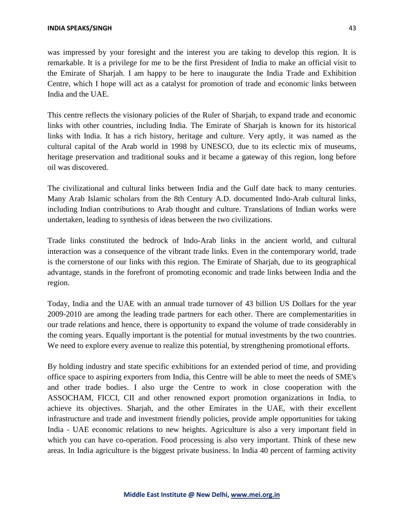was impressed by your foresight and the interest you are taking to develop this region. It is remarkable. It is a privilege for me to be the first President of India to make an official visit to the Emirate of Sharjah. I am happy to be here to inaugurate the India Trade and Exhibition Centre, which I hope will act as a catalyst for promotion of trade and economic links between India and the UAE.

This centre reflects the visionary policies of the Ruler of Sharjah, to expand trade and economic links with other countries, including India. The Emirate of Sharjah is known for its historical links with India. It has a rich history, heritage and culture. Very aptly, it was named as the cultural capital of the Arab world in 1998 by UNESCO, due to its eclectic mix of museums, heritage preservation and traditional souks and it became a gateway of this region, long before oil was discovered.

The civilizational and cultural links between India and the Gulf date back to many centuries. Many Arab Islamic scholars from the 8th Century A.D. documented Indo-Arab cultural links, including Indian contributions to Arab thought and culture. Translations of Indian works were undertaken, leading to synthesis of ideas between the two civilizations.

Trade links constituted the bedrock of Indo-Arab links in the ancient world, and cultural interaction was a consequence of the vibrant trade links. Even in the contemporary world, trade is the cornerstone of our links with this region. The Emirate of Sharjah, due to its geographical advantage, stands in the forefront of promoting economic and trade links between India and the region.

Today, India and the UAE with an annual trade turnover of 43 billion US Dollars for the year 2009-2010 are among the leading trade partners for each other. There are complementarities in our trade relations and hence, there is opportunity to expand the volume of trade considerably in the coming years. Equally important is the potential for mutual investments by the two countries. We need to explore every avenue to realize this potential, by strengthening promotional efforts.

By holding industry and state specific exhibitions for an extended period of time, and providing office space to aspiring exporters from India, this Centre will be able to meet the needs of SME's and other trade bodies. I also urge the Centre to work in close cooperation with the ASSOCHAM, FICCI, CII and other renowned export promotion organizations in India, to achieve its objectives. Sharjah, and the other Emirates in the UAE, with their excellent infrastructure and trade and investment friendly policies, provide ample opportunities for taking India - UAE economic relations to new heights. Agriculture is also a very important field in which you can have co-operation. Food processing is also very important. Think of these new areas. In India agriculture is the biggest private business. In India 40 percent of farming activity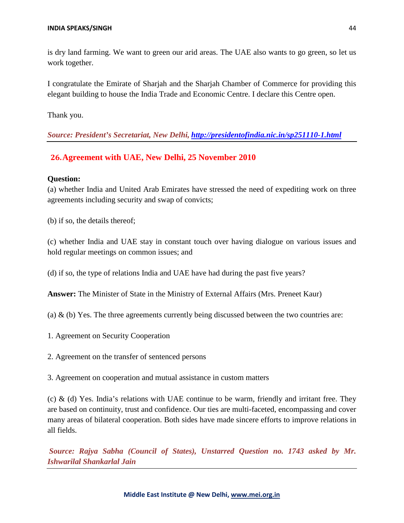is dry land farming. We want to green our arid areas. The UAE also wants to go green, so let us work together.

I congratulate the Emirate of Sharjah and the Sharjah Chamber of Commerce for providing this elegant building to house the India Trade and Economic Centre. I declare this Centre open.

Thank you.

*Source: President's Secretariat, New Delhi, <http://presidentofindia.nic.in/sp251110-1.html>*

### **26.Agreement with UAE, New Delhi, 25 November 2010**

### **Question:**

(a) whether India and United Arab Emirates have stressed the need of expediting work on three agreements including security and swap of convicts;

(b) if so, the details thereof;

(c) whether India and UAE stay in constant touch over having dialogue on various issues and hold regular meetings on common issues; and

(d) if so, the type of relations India and UAE have had during the past five years?

**Answer:** The Minister of State in the Ministry of External Affairs (Mrs. Preneet Kaur)

(a)  $\&$  (b) Yes. The three agreements currently being discussed between the two countries are:

- 1. Agreement on Security Cooperation
- 2. Agreement on the transfer of sentenced persons

3. Agreement on cooperation and mutual assistance in custom matters

(c) & (d) Yes. India's relations with UAE continue to be warm, friendly and irritant free. They are based on continuity, trust and confidence. Our ties are multi-faceted, encompassing and cover many areas of bilateral cooperation. Both sides have made sincere efforts to improve relations in all fields.

*Source: Rajya Sabha (Council of States), Unstarred Question no. 1743 asked by Mr. Ishwarilal Shankarlal Jain*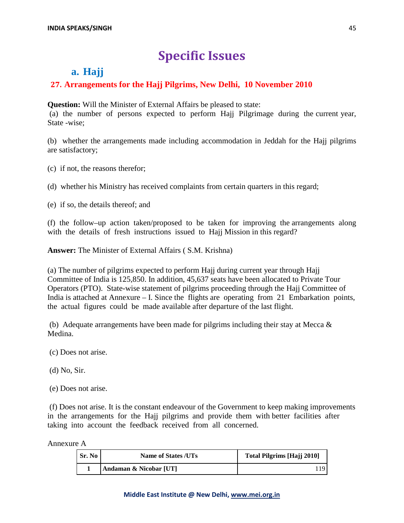# **Specific Issues**

## **a. Hajj**

## **27. Arrangements for the Hajj Pilgrims, New Delhi, 10 November 2010**

**Question:** Will the Minister of External Affairs be pleased to state:

(a) the number of persons expected to perform Hajj Pilgrimage during the current year, State -wise;

(b) whether the arrangements made including accommodation in Jeddah for the Hajj pilgrims are satisfactory;

(c) if not, the reasons therefor;

(d) whether his Ministry has received complaints from certain quarters in this regard;

(e) if so, the details thereof; and

(f) the follow–up action taken/proposed to be taken for improving the arrangements along with the details of fresh instructions issued to Hajj Mission in this regard?

**Answer:** The Minister of External Affairs ( S.M. Krishna)

(a) The number of pilgrims expected to perform Hajj during current year through Hajj Committee of India is 125,850. In addition, 45,637 seats have been allocated to Private Tour Operators (PTO). State-wise statement of pilgrims proceeding through the Hajj Committee of India is attached at Annexure – I. Since the flights are operating from 21 Embarkation points, the actual figures could be made available after departure of the last flight.

(b) Adequate arrangements have been made for pilgrims including their stay at Mecca  $\&$ Medina.

(c) Does not arise.

(d) No, Sir.

(e) Does not arise.

(f) Does not arise. It is the constant endeavour of the Government to keep making improvements in the arrangements for the Hajj pilgrims and provide them with better facilities after taking into account the feedback received from all concerned.

Annexure A

| Sr. No | <b>Name of States /UTs</b> | <b>Total Pilgrims [Hajj 2010]</b> |  |
|--------|----------------------------|-----------------------------------|--|
|        | Andaman & Nicobar [UT]     |                                   |  |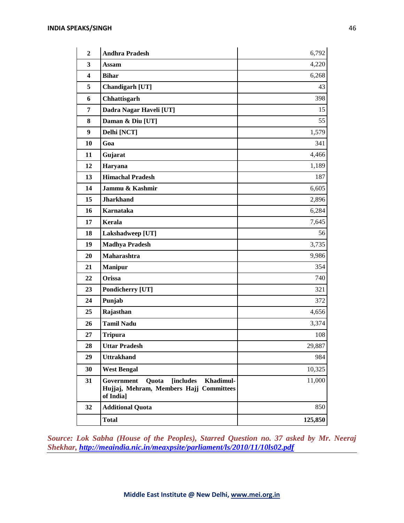| $\overline{2}$   | <b>Andhra Pradesh</b>                                                                                         | 6,792   |
|------------------|---------------------------------------------------------------------------------------------------------------|---------|
| 3                | Assam                                                                                                         | 4,220   |
| 4                | <b>Bihar</b>                                                                                                  | 6,268   |
| 5                | Chandigarh [UT]                                                                                               | 43      |
| 6                | Chhattisgarh                                                                                                  | 398     |
| 7                | Dadra Nagar Haveli [UT]                                                                                       | 15      |
| $\bf{8}$         | Daman & Diu [UT]                                                                                              | 55      |
| $\boldsymbol{9}$ | Delhi [NCT]                                                                                                   | 1,579   |
| 10               | Goa                                                                                                           | 341     |
| 11               | Gujarat                                                                                                       | 4,466   |
| 12               | Haryana                                                                                                       | 1,189   |
| 13               | <b>Himachal Pradesh</b>                                                                                       | 187     |
| 14               | Jammu & Kashmir                                                                                               | 6,605   |
| 15               | <b>Jharkhand</b>                                                                                              | 2,896   |
| 16               | Karnataka                                                                                                     | 6,284   |
| 17               | <b>Kerala</b>                                                                                                 | 7,645   |
| 18               | Lakshadweep [UT]                                                                                              | 56      |
| 19               | <b>Madhya Pradesh</b>                                                                                         | 3,735   |
| 20               | Maharashtra                                                                                                   | 9,986   |
| 21               | <b>Manipur</b>                                                                                                | 354     |
| 22               | Orissa                                                                                                        | 740     |
| 23               | Pondicherry [UT]                                                                                              | 321     |
| 24               | Punjab                                                                                                        | 372     |
| 25               | Rajasthan                                                                                                     | 4,656   |
| 26               | <b>Tamil Nadu</b>                                                                                             | 3,374   |
| 27               | <b>Tripura</b>                                                                                                | 108     |
| 28               | <b>Uttar Pradesh</b>                                                                                          | 29,887  |
| 29               | <b>Uttrakhand</b>                                                                                             | 984     |
| 30               | <b>West Bengal</b>                                                                                            | 10,325  |
| 31               | Government<br><b>[includes]</b><br>Khadimul-<br>Quota<br>Hujjaj, Mehram, Members Hajj Committees<br>of India] | 11,000  |
| 32               | <b>Additional Quota</b>                                                                                       | 850     |
|                  | <b>Total</b>                                                                                                  | 125,850 |

*Source: Lok Sabha (House of the Peoples), Starred Question no. 37 asked by Mr. Neeraj Shekhar, <http://meaindia.nic.in/meaxpsite/parliament/ls/2010/11/10ls02.pdf>*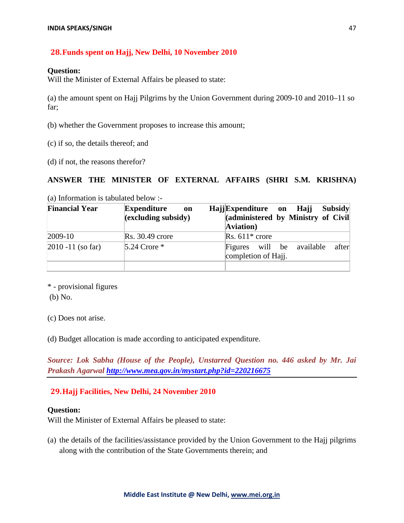### **28.Funds spent on Hajj, New Delhi, 10 November 2010**

### **Question:**

Will the Minister of External Affairs be pleased to state:

(a) the amount spent on Hajj Pilgrims by the Union Government during 2009-10 and 2010–11 so far;

- (b) whether the Government proposes to increase this amount;
- (c) if so, the details thereof; and
- (d) if not, the reasons therefor?

### **ANSWER THE MINISTER OF EXTERNAL AFFAIRS (SHRI S.M. KRISHNA)**

(a) Information is tabulated below :-

| <b>Financial Year</b> | <b>Expenditure</b><br>on             | HajjExpenditure on Hajj |                          |                                    | <b>Subsidy</b> |       |
|-----------------------|--------------------------------------|-------------------------|--------------------------|------------------------------------|----------------|-------|
|                       | $\left($ excluding subsidy $\right)$ |                         |                          | (administered by Ministry of Civil |                |       |
|                       |                                      | Aviation)               |                          |                                    |                |       |
| $2009-10$             | $Rs. 30.49$ crore                    |                         | $\text{Rs. } 611*$ crore |                                    |                |       |
| $2010 - 11$ (so far)  | 5.24 Crore $*$                       |                         | completion of Hajj.      | Figures will be available          |                | after |
|                       |                                      |                         |                          |                                    |                |       |

\* - provisional figures (b) No.

(c) Does not arise.

(d) Budget allocation is made according to anticipated expenditure.

*Source: Lok Sabha (House of the People), Unstarred Question no. 446 asked by Mr. Jai Prakash Agarwal<http://www.mea.gov.in/mystart.php?id=220216675>*

### **29.Hajj Facilities, New Delhi, 24 November 2010**

### **Question:**

Will the Minister of External Affairs be pleased to state:

(a) the details of the facilities/assistance provided by the Union Government to the Hajj pilgrims along with the contribution of the State Governments therein; and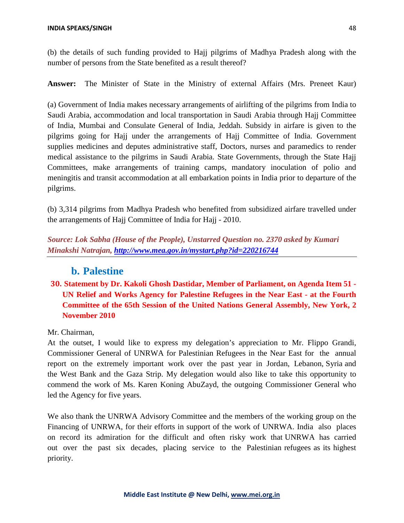(b) the details of such funding provided to Hajj pilgrims of Madhya Pradesh along with the number of persons from the State benefited as a result thereof?

**Answer:** The Minister of State in the Ministry of external Affairs (Mrs. Preneet Kaur)

(a) Government of India makes necessary arrangements of airlifting of the pilgrims from India to Saudi Arabia, accommodation and local transportation in Saudi Arabia through Hajj Committee of India, Mumbai and Consulate General of India, Jeddah. Subsidy in airfare is given to the pilgrims going for Hajj under the arrangements of Hajj Committee of India. Government supplies medicines and deputes administrative staff, Doctors, nurses and paramedics to render medical assistance to the pilgrims in Saudi Arabia. State Governments, through the State Hajj Committees, make arrangements of training camps, mandatory inoculation of polio and meningitis and transit accommodation at all embarkation points in India prior to departure of the pilgrims.

(b) 3,314 pilgrims from Madhya Pradesh who benefited from subsidized airfare travelled under the arrangements of Hajj Committee of India for Hajj - 2010.

*Source: Lok Sabha (House of the People), Unstarred Question no. 2370 asked by Kumari Minakshi Natrajan,<http://www.mea.gov.in/mystart.php?id=220216744>*

## **b. Palestine**

## **30. Statement by Dr. Kakoli Ghosh Dastidar, Member of Parliament, on Agenda Item 51 - UN Relief and Works Agency for Palestine Refugees in the Near East - at the Fourth Committee of the 65th Session of the United Nations General Assembly, New York, 2 November 2010**

### Mr. Chairman,

At the outset, I would like to express my delegation's appreciation to Mr. Flippo Grandi, Commissioner General of UNRWA for Palestinian Refugees in the Near East for the annual report on the extremely important work over the past year in Jordan, Lebanon, Syria and the West Bank and the Gaza Strip. My delegation would also like to take this opportunity to commend the work of Ms. Karen Koning AbuZayd, the outgoing Commissioner General who led the Agency for five years.

We also thank the UNRWA Advisory Committee and the members of the working group on the Financing of UNRWA, for their efforts in support of the work of UNRWA. India also places on record its admiration for the difficult and often risky work that UNRWA has carried out over the past six decades, placing service to the Palestinian refugees as its highest priority.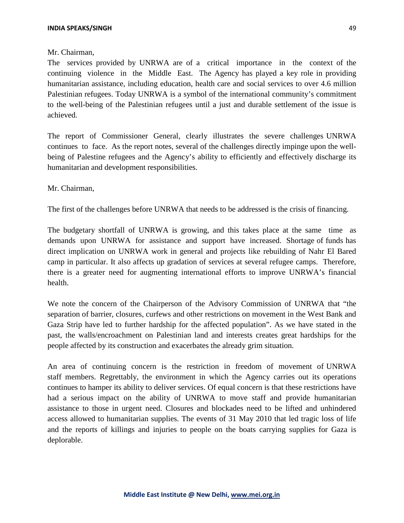### Mr. Chairman,

The services provided by UNRWA are of a critical importance in the context of the continuing violence in the Middle East. The Agency has played a key role in providing humanitarian assistance, including education, health care and social services to over 4.6 million Palestinian refugees. Today UNRWA is a symbol of the international community's commitment to the well-being of the Palestinian refugees until a just and durable settlement of the issue is achieved.

The report of Commissioner General, clearly illustrates the severe challenges UNRWA continues to face. As the report notes, several of the challenges directly impinge upon the wellbeing of Palestine refugees and the Agency's ability to efficiently and effectively discharge its humanitarian and development responsibilities.

Mr. Chairman,

The first of the challenges before UNRWA that needs to be addressed is the crisis of financing.

The budgetary shortfall of UNRWA is growing, and this takes place at the same time as demands upon UNRWA for assistance and support have increased. Shortage of funds has direct implication on UNRWA work in general and projects like rebuilding of Nahr El Bared camp in particular. It also affects up gradation of services at several refugee camps. Therefore, there is a greater need for augmenting international efforts to improve UNRWA's financial health.

We note the concern of the Chairperson of the Advisory Commission of UNRWA that "the separation of barrier, closures, curfews and other restrictions on movement in the West Bank and Gaza Strip have led to further hardship for the affected population". As we have stated in the past, the walls/encroachment on Palestinian land and interests creates great hardships for the people affected by its construction and exacerbates the already grim situation.

An area of continuing concern is the restriction in freedom of movement of UNRWA staff members. Regrettably, the environment in which the Agency carries out its operations continues to hamper its ability to deliver services. Of equal concern is that these restrictions have had a serious impact on the ability of UNRWA to move staff and provide humanitarian assistance to those in urgent need. Closures and blockades need to be lifted and unhindered access allowed to humanitarian supplies. The events of 31 May 2010 that led tragic loss of life and the reports of killings and injuries to people on the boats carrying supplies for Gaza is deplorable.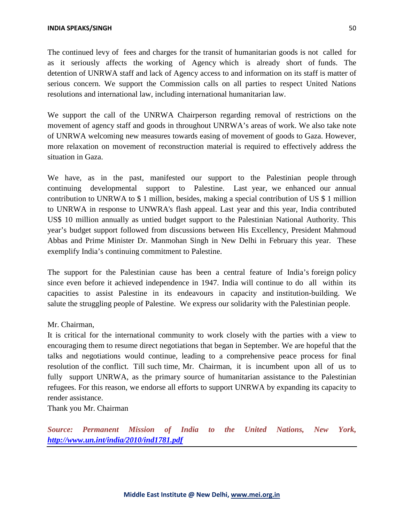The continued levy of fees and charges for the transit of humanitarian goods is not called for as it seriously affects the working of Agency which is already short of funds. The detention of UNRWA staff and lack of Agency access to and information on its staff is matter of serious concern. We support the Commission calls on all parties to respect United Nations resolutions and international law, including international humanitarian law.

We support the call of the UNRWA Chairperson regarding removal of restrictions on the movement of agency staff and goods in throughout UNRWA's areas of work. We also take note of UNRWA welcoming new measures towards easing of movement of goods to Gaza. However, more relaxation on movement of reconstruction material is required to effectively address the situation in Gaza.

We have, as in the past, manifested our support to the Palestinian people through continuing developmental support to Palestine. Last year, we enhanced our annual contribution to UNRWA to \$ 1 million, besides, making a special contribution of US \$ 1 million to UNRWA in response to UNWRA's flash appeal. Last year and this year, India contributed US\$ 10 million annually as untied budget support to the Palestinian National Authority. This year's budget support followed from discussions between His Excellency, President Mahmoud Abbas and Prime Minister Dr. Manmohan Singh in New Delhi in February this year. These exemplify India's continuing commitment to Palestine.

The support for the Palestinian cause has been a central feature of India's foreign policy since even before it achieved independence in 1947. India will continue to do all within its capacities to assist Palestine in its endeavours in capacity and institution-building. We salute the struggling people of Palestine. We express our solidarity with the Palestinian people.

### Mr. Chairman,

It is critical for the international community to work closely with the parties with a view to encouraging them to resume direct negotiations that began in September. We are hopeful that the talks and negotiations would continue, leading to a comprehensive peace process for final resolution of the conflict. Till such time, Mr. Chairman, it is incumbent upon all of us to fully support UNRWA, as the primary source of humanitarian assistance to the Palestinian refugees. For this reason, we endorse all efforts to support UNRWA by expanding its capacity to render assistance.

Thank you Mr. Chairman

*Source: Permanent Mission of India to the United Nations, New York, <http://www.un.int/india/2010/ind1781.pdf>*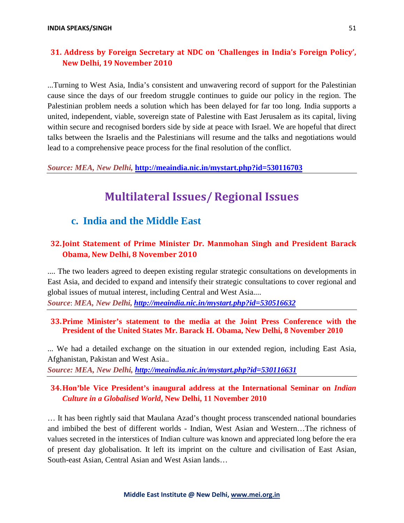## **31. Address by Foreign Secretary at NDC on 'Challenges in India's Foreign Policy', New Delhi, 19 November 2010**

...Turning to West Asia, India's consistent and unwavering record of support for the Palestinian cause since the days of our freedom struggle continues to guide our policy in the region. The Palestinian problem needs a solution which has been delayed for far too long. India supports a united, independent, viable, sovereign state of Palestine with East Jerusalem as its capital, living within secure and recognised borders side by side at peace with Israel. We are hopeful that direct talks between the Israelis and the Palestinians will resume and the talks and negotiations would lead to a comprehensive peace process for the final resolution of the conflict.

*Source: MEA, New Delhi,* **<http://meaindia.nic.in/mystart.php?id=530116703>**

# **Multilateral Issues/ Regional Issues**

## **c. India and the Middle East**

## **32.Joint Statement of Prime Minister Dr. Manmohan Singh and President Barack Obama, New Delhi, 8 November 2010**

.... The two leaders agreed to deepen existing regular strategic consultations on developments in East Asia, and decided to expand and intensify their strategic consultations to cover regional and global issues of mutual interest, including Central and West Asia....

*Source*: *MEA, New Delhi, <http://meaindia.nic.in/mystart.php?id=530516632>*

## **33.Prime Minister's statement to the media at the Joint Press Conference with the President of the United States Mr. Barack H. Obama, New Delhi, 8 November 2010**

... We had a detailed exchange on the situation in our extended region, including East Asia, Afghanistan, Pakistan and West Asia.. *Source: MEA, New Delhi,<http://meaindia.nic.in/mystart.php?id=530116631>*

# **34.Hon'ble Vice President's inaugural address at the International Seminar on** *Indian*

# *Culture in a Globalised World***, New Delhi, 11 November 2010**

… It has been rightly said that Maulana Azad's thought process transcended national boundaries and imbibed the best of different worlds - Indian, West Asian and Western…The richness of values secreted in the interstices of Indian culture was known and appreciated long before the era of present day globalisation. It left its imprint on the culture and civilisation of East Asian, South-east Asian, Central Asian and West Asian lands…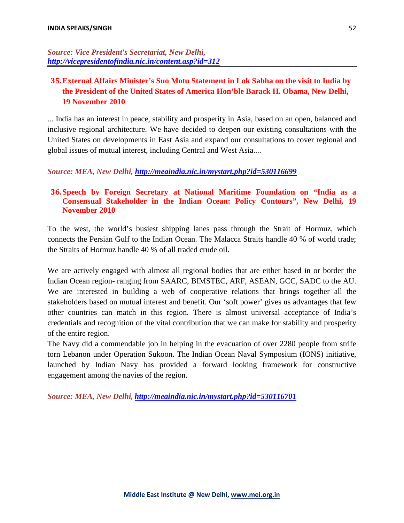*Source: Vice President's Secretariat, New Delhi, <http://vicepresidentofindia.nic.in/content.asp?id=312>*

## **35.External Affairs Minister's Suo Motu Statement in Lok Sabha on the visit to India by the President of the United States of America Hon'ble Barack H. Obama, New Delhi, 19 November 2010**

... India has an interest in peace, stability and prosperity in Asia, based on an open, balanced and inclusive regional architecture. We have decided to deepen our existing consultations with the United States on developments in East Asia and expand our consultations to cover regional and global issues of mutual interest, including Central and West Asia....

### *Source: MEA, New Delhi,<http://meaindia.nic.in/mystart.php?id=530116699>*

### **36.Speech by Foreign Secretary at National Maritime Foundation on "India as a Consensual Stakeholder in the Indian Ocean: Policy Contours", New Delhi, 19 November 2010**

To the west, the world's busiest shipping lanes pass through the Strait of Hormuz, which connects the Persian Gulf to the Indian Ocean. The Malacca Straits handle 40 % of world trade; the Straits of Hormuz handle 40 % of all traded crude oil.

We are actively engaged with almost all regional bodies that are either based in or border the Indian Ocean region- ranging from SAARC, BIMSTEC, ARF, ASEAN, GCC, SADC to the AU. We are interested in building a web of cooperative relations that brings together all the stakeholders based on mutual interest and benefit. Our 'soft power' gives us advantages that few other countries can match in this region. There is almost universal acceptance of India's credentials and recognition of the vital contribution that we can make for stability and prosperity of the entire region.

The Navy did a commendable job in helping in the evacuation of over 2280 people from strife torn Lebanon under Operation Sukoon. The Indian Ocean Naval Symposium (IONS) initiative, launched by Indian Navy has provided a forward looking framework for constructive engagement among the navies of the region.

*Source: MEA, New Delhi, <http://meaindia.nic.in/mystart.php?id=530116701>*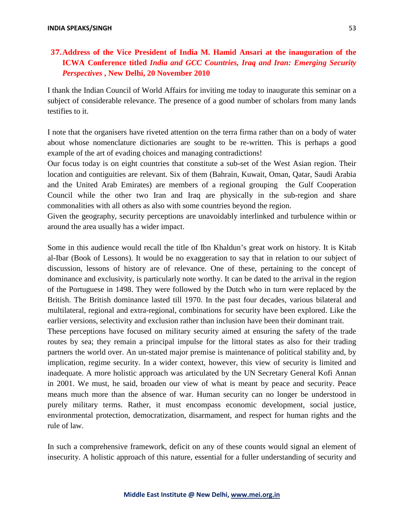## **37.Address of the Vice President of India M. Hamid Ansari at the inauguration of the ICWA Conference titled** *India and GCC Countries, Iraq and Iran: Emerging Security Perspectives* **, New Delhi, 20 November 2010**

I thank the Indian Council of World Affairs for inviting me today to inaugurate this seminar on a subject of considerable relevance. The presence of a good number of scholars from many lands testifies to it.

I note that the organisers have riveted attention on the terra firma rather than on a body of water about whose nomenclature dictionaries are sought to be re-written. This is perhaps a good example of the art of evading choices and managing contradictions!

Our focus today is on eight countries that constitute a sub-set of the West Asian region. Their location and contiguities are relevant. Six of them (Bahrain, Kuwait, Oman, Qatar, Saudi Arabia and the United Arab Emirates) are members of a regional grouping the Gulf Cooperation Council while the other two Iran and Iraq are physically in the sub-region and share commonalities with all others as also with some countries beyond the region.

Given the geography, security perceptions are unavoidably interlinked and turbulence within or around the area usually has a wider impact.

Some in this audience would recall the title of Ibn Khaldun's great work on history. It is Kitab al-Ibar (Book of Lessons). It would be no exaggeration to say that in relation to our subject of discussion, lessons of history are of relevance. One of these, pertaining to the concept of dominance and exclusivity, is particularly note worthy. It can be dated to the arrival in the region of the Portuguese in 1498. They were followed by the Dutch who in turn were replaced by the British. The British dominance lasted till 1970. In the past four decades, various bilateral and multilateral, regional and extra-regional, combinations for security have been explored. Like the earlier versions, selectivity and exclusion rather than inclusion have been their dominant trait.

These perceptions have focused on military security aimed at ensuring the safety of the trade routes by sea; they remain a principal impulse for the littoral states as also for their trading partners the world over. An un-stated major premise is maintenance of political stability and, by implication, regime security. In a wider context, however, this view of security is limited and inadequate. A more holistic approach was articulated by the UN Secretary General Kofi Annan in 2001. We must, he said, broaden our view of what is meant by peace and security. Peace means much more than the absence of war. Human security can no longer be understood in purely military terms. Rather, it must encompass economic development, social justice, environmental protection, democratization, disarmament, and respect for human rights and the rule of law.

In such a comprehensive framework, deficit on any of these counts would signal an element of insecurity. A holistic approach of this nature, essential for a fuller understanding of security and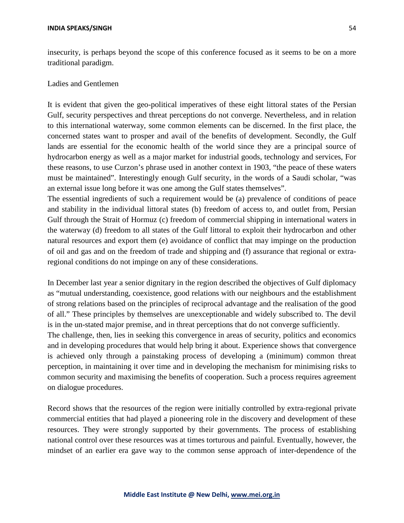insecurity, is perhaps beyond the scope of this conference focused as it seems to be on a more traditional paradigm.

### Ladies and Gentlemen

It is evident that given the geo-political imperatives of these eight littoral states of the Persian Gulf, security perspectives and threat perceptions do not converge. Nevertheless, and in relation to this international waterway, some common elements can be discerned. In the first place, the concerned states want to prosper and avail of the benefits of development. Secondly, the Gulf lands are essential for the economic health of the world since they are a principal source of hydrocarbon energy as well as a major market for industrial goods, technology and services, For these reasons, to use Curzon's phrase used in another context in 1903, "the peace of these waters must be maintained". Interestingly enough Gulf security, in the words of a Saudi scholar, "was an external issue long before it was one among the Gulf states themselves".

The essential ingredients of such a requirement would be (a) prevalence of conditions of peace and stability in the individual littoral states (b) freedom of access to, and outlet from, Persian Gulf through the Strait of Hormuz (c) freedom of commercial shipping in international waters in the waterway (d) freedom to all states of the Gulf littoral to exploit their hydrocarbon and other natural resources and export them (e) avoidance of conflict that may impinge on the production of oil and gas and on the freedom of trade and shipping and (f) assurance that regional or extraregional conditions do not impinge on any of these considerations.

In December last year a senior dignitary in the region described the objectives of Gulf diplomacy as "mutual understanding, coexistence, good relations with our neighbours and the establishment of strong relations based on the principles of reciprocal advantage and the realisation of the good of all." These principles by themselves are unexceptionable and widely subscribed to. The devil is in the un-stated major premise, and in threat perceptions that do not converge sufficiently.

The challenge, then, lies in seeking this convergence in areas of security, politics and economics and in developing procedures that would help bring it about. Experience shows that convergence is achieved only through a painstaking process of developing a (minimum) common threat perception, in maintaining it over time and in developing the mechanism for minimising risks to common security and maximising the benefits of cooperation. Such a process requires agreement on dialogue procedures.

Record shows that the resources of the region were initially controlled by extra-regional private commercial entities that had played a pioneering role in the discovery and development of these resources. They were strongly supported by their governments. The process of establishing national control over these resources was at times torturous and painful. Eventually, however, the mindset of an earlier era gave way to the common sense approach of inter-dependence of the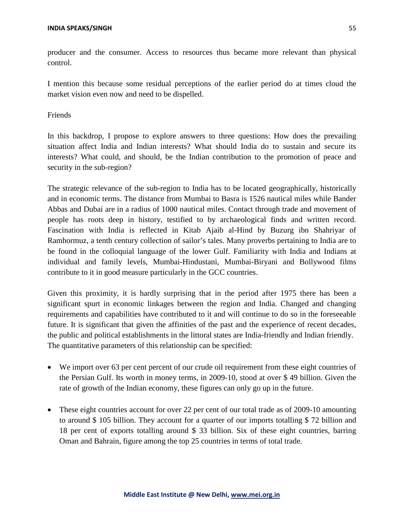producer and the consumer. Access to resources thus became more relevant than physical control.

I mention this because some residual perceptions of the earlier period do at times cloud the market vision even now and need to be dispelled.

Friends

In this backdrop, I propose to explore answers to three questions: How does the prevailing situation affect India and Indian interests? What should India do to sustain and secure its interests? What could, and should, be the Indian contribution to the promotion of peace and security in the sub-region?

The strategic relevance of the sub-region to India has to be located geographically, historically and in economic terms. The distance from Mumbai to Basra is 1526 nautical miles while Bander Abbas and Dubai are in a radius of 1000 nautical miles. Contact through trade and movement of people has roots deep in history, testified to by archaeological finds and written record. Fascination with India is reflected in Kitab Ajaib al-Hind by Buzurg ibn Shahriyar of Ramhormuz, a tenth century collection of sailor's tales. Many proverbs pertaining to India are to be found in the colloquial language of the lower Gulf. Familiarity with India and Indians at individual and family levels, Mumbai-Hindustani, Mumbai-Biryani and Bollywood films contribute to it in good measure particularly in the GCC countries.

Given this proximity, it is hardly surprising that in the period after 1975 there has been a significant spurt in economic linkages between the region and India. Changed and changing requirements and capabilities have contributed to it and will continue to do so in the foreseeable future. It is significant that given the affinities of the past and the experience of recent decades, the public and political establishments in the littoral states are India-friendly and Indian friendly. The quantitative parameters of this relationship can be specified:

- We import over 63 per cent percent of our crude oil requirement from these eight countries of the Persian Gulf. Its worth in money terms, in 2009-10, stood at over \$ 49 billion. Given the rate of growth of the Indian economy, these figures can only go up in the future.
- These eight countries account for over 22 per cent of our total trade as of 2009-10 amounting to around \$ 105 billion. They account for a quarter of our imports totalling \$ 72 billion and 18 per cent of exports totalling around \$ 33 billion. Six of these eight countries, barring Oman and Bahrain, figure among the top 25 countries in terms of total trade.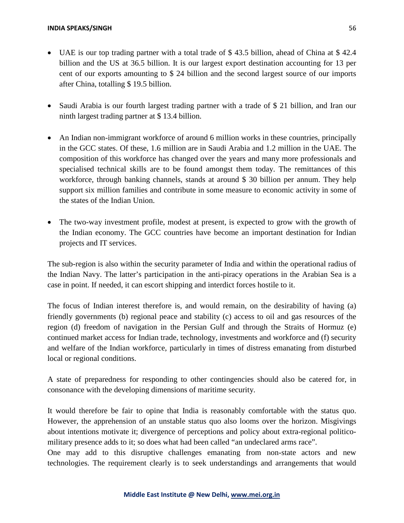- UAE is our top trading partner with a total trade of \$43.5 billion, ahead of China at \$42.4 billion and the US at 36.5 billion. It is our largest export destination accounting for 13 per cent of our exports amounting to \$ 24 billion and the second largest source of our imports after China, totalling \$ 19.5 billion.
- Saudi Arabia is our fourth largest trading partner with a trade of \$21 billion, and Iran our ninth largest trading partner at \$ 13.4 billion.
- An Indian non-immigrant workforce of around 6 million works in these countries, principally in the GCC states. Of these, 1.6 million are in Saudi Arabia and 1.2 million in the UAE. The composition of this workforce has changed over the years and many more professionals and specialised technical skills are to be found amongst them today. The remittances of this workforce, through banking channels, stands at around \$ 30 billion per annum. They help support six million families and contribute in some measure to economic activity in some of the states of the Indian Union.
- The two-way investment profile, modest at present, is expected to grow with the growth of the Indian economy. The GCC countries have become an important destination for Indian projects and IT services.

The sub-region is also within the security parameter of India and within the operational radius of the Indian Navy. The latter's participation in the anti-piracy operations in the Arabian Sea is a case in point. If needed, it can escort shipping and interdict forces hostile to it.

The focus of Indian interest therefore is, and would remain, on the desirability of having (a) friendly governments (b) regional peace and stability (c) access to oil and gas resources of the region (d) freedom of navigation in the Persian Gulf and through the Straits of Hormuz (e) continued market access for Indian trade, technology, investments and workforce and (f) security and welfare of the Indian workforce, particularly in times of distress emanating from disturbed local or regional conditions.

A state of preparedness for responding to other contingencies should also be catered for, in consonance with the developing dimensions of maritime security.

It would therefore be fair to opine that India is reasonably comfortable with the status quo. However, the apprehension of an unstable status quo also looms over the horizon. Misgivings about intentions motivate it; divergence of perceptions and policy about extra-regional politicomilitary presence adds to it; so does what had been called "an undeclared arms race".

One may add to this disruptive challenges emanating from non-state actors and new technologies. The requirement clearly is to seek understandings and arrangements that would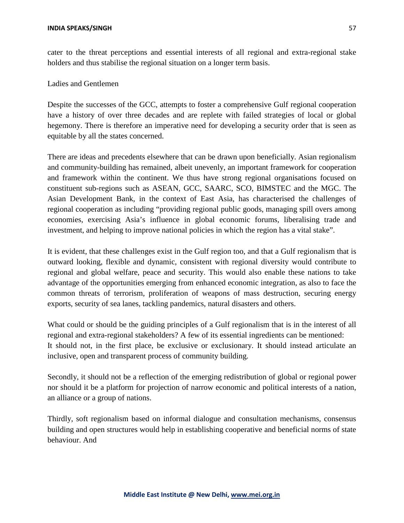cater to the threat perceptions and essential interests of all regional and extra-regional stake holders and thus stabilise the regional situation on a longer term basis.

Ladies and Gentlemen

Despite the successes of the GCC, attempts to foster a comprehensive Gulf regional cooperation have a history of over three decades and are replete with failed strategies of local or global hegemony. There is therefore an imperative need for developing a security order that is seen as equitable by all the states concerned.

There are ideas and precedents elsewhere that can be drawn upon beneficially. Asian regionalism and community-building has remained, albeit unevenly, an important framework for cooperation and framework within the continent. We thus have strong regional organisations focused on constituent sub-regions such as ASEAN, GCC, SAARC, SCO, BIMSTEC and the MGC. The Asian Development Bank, in the context of East Asia, has characterised the challenges of regional cooperation as including "providing regional public goods, managing spill overs among economies, exercising Asia's influence in global economic forums, liberalising trade and investment, and helping to improve national policies in which the region has a vital stake".

It is evident, that these challenges exist in the Gulf region too, and that a Gulf regionalism that is outward looking, flexible and dynamic, consistent with regional diversity would contribute to regional and global welfare, peace and security. This would also enable these nations to take advantage of the opportunities emerging from enhanced economic integration, as also to face the common threats of terrorism, proliferation of weapons of mass destruction, securing energy exports, security of sea lanes, tackling pandemics, natural disasters and others.

What could or should be the guiding principles of a Gulf regionalism that is in the interest of all regional and extra-regional stakeholders? A few of its essential ingredients can be mentioned: It should not, in the first place, be exclusive or exclusionary. It should instead articulate an inclusive, open and transparent process of community building.

Secondly, it should not be a reflection of the emerging redistribution of global or regional power nor should it be a platform for projection of narrow economic and political interests of a nation, an alliance or a group of nations.

Thirdly, soft regionalism based on informal dialogue and consultation mechanisms, consensus building and open structures would help in establishing cooperative and beneficial norms of state behaviour. And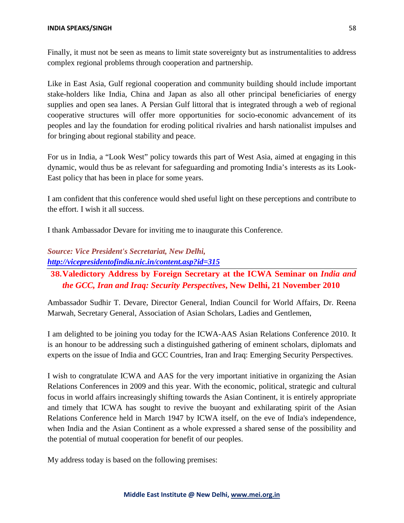Finally, it must not be seen as means to limit state sovereignty but as instrumentalities to address complex regional problems through cooperation and partnership.

Like in East Asia, Gulf regional cooperation and community building should include important stake-holders like India, China and Japan as also all other principal beneficiaries of energy supplies and open sea lanes. A Persian Gulf littoral that is integrated through a web of regional cooperative structures will offer more opportunities for socio-economic advancement of its peoples and lay the foundation for eroding political rivalries and harsh nationalist impulses and for bringing about regional stability and peace.

For us in India, a "Look West" policy towards this part of West Asia, aimed at engaging in this dynamic, would thus be as relevant for safeguarding and promoting India's interests as its Look-East policy that has been in place for some years.

I am confident that this conference would shed useful light on these perceptions and contribute to the effort. I wish it all success.

I thank Ambassador Devare for inviting me to inaugurate this Conference.

## *Source: Vice President's Secretariat, New Delhi, <http://vicepresidentofindia.nic.in/content.asp?id=315>*

## **38.Valedictory Address by Foreign Secretary at the ICWA Seminar on** *India and the GCC, Iran and Iraq: Security Perspectives***, New Delhi, 21 November 2010**

Ambassador Sudhir T. Devare, Director General, Indian Council for World Affairs, Dr. Reena Marwah, Secretary General, Association of Asian Scholars, Ladies and Gentlemen,

I am delighted to be joining you today for the ICWA-AAS Asian Relations Conference 2010. It is an honour to be addressing such a distinguished gathering of eminent scholars, diplomats and experts on the issue of India and GCC Countries, Iran and Iraq: Emerging Security Perspectives.

I wish to congratulate ICWA and AAS for the very important initiative in organizing the Asian Relations Conferences in 2009 and this year. With the economic, political, strategic and cultural focus in world affairs increasingly shifting towards the Asian Continent, it is entirely appropriate and timely that ICWA has sought to revive the buoyant and exhilarating spirit of the Asian Relations Conference held in March 1947 by ICWA itself, on the eve of India's independence, when India and the Asian Continent as a whole expressed a shared sense of the possibility and the potential of mutual cooperation for benefit of our peoples.

My address today is based on the following premises: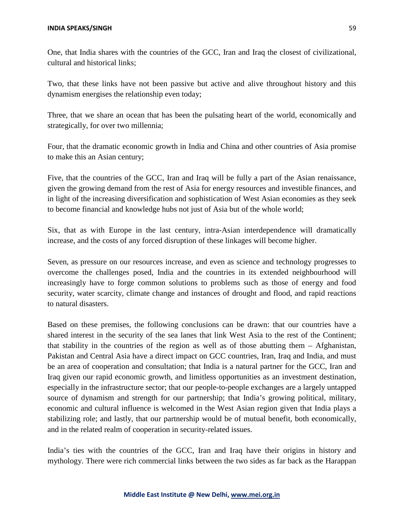One, that India shares with the countries of the GCC, Iran and Iraq the closest of civilizational, cultural and historical links;

Two, that these links have not been passive but active and alive throughout history and this dynamism energises the relationship even today;

Three, that we share an ocean that has been the pulsating heart of the world, economically and strategically, for over two millennia;

Four, that the dramatic economic growth in India and China and other countries of Asia promise to make this an Asian century;

Five, that the countries of the GCC, Iran and Iraq will be fully a part of the Asian renaissance, given the growing demand from the rest of Asia for energy resources and investible finances, and in light of the increasing diversification and sophistication of West Asian economies as they seek to become financial and knowledge hubs not just of Asia but of the whole world;

Six, that as with Europe in the last century, intra-Asian interdependence will dramatically increase, and the costs of any forced disruption of these linkages will become higher.

Seven, as pressure on our resources increase, and even as science and technology progresses to overcome the challenges posed, India and the countries in its extended neighbourhood will increasingly have to forge common solutions to problems such as those of energy and food security, water scarcity, climate change and instances of drought and flood, and rapid reactions to natural disasters.

Based on these premises, the following conclusions can be drawn: that our countries have a shared interest in the security of the sea lanes that link West Asia to the rest of the Continent; that stability in the countries of the region as well as of those abutting them – Afghanistan, Pakistan and Central Asia have a direct impact on GCC countries, Iran, Iraq and India, and must be an area of cooperation and consultation; that India is a natural partner for the GCC, Iran and Iraq given our rapid economic growth, and limitless opportunities as an investment destination, especially in the infrastructure sector; that our people-to-people exchanges are a largely untapped source of dynamism and strength for our partnership; that India's growing political, military, economic and cultural influence is welcomed in the West Asian region given that India plays a stabilizing role; and lastly, that our partnership would be of mutual benefit, both economically, and in the related realm of cooperation in security-related issues.

India's ties with the countries of the GCC, Iran and Iraq have their origins in history and mythology. There were rich commercial links between the two sides as far back as the Harappan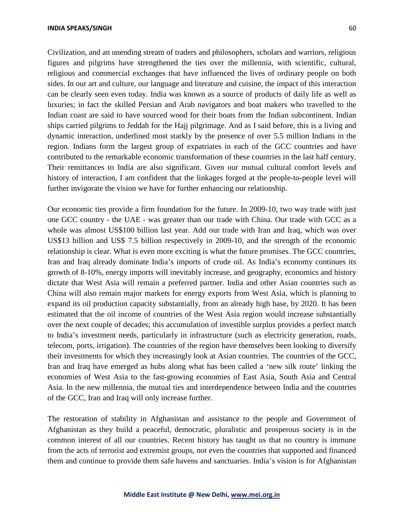Civilization, and an unending stream of traders and philosophers, scholars and warriors, religious figures and pilgrims have strengthened the ties over the millennia, with scientific, cultural, religious and commercial exchanges that have influenced the lives of ordinary people on both sides. In our art and culture, our language and literature and cuisine, the impact of this interaction can be clearly seen even today. India was known as a source of products of daily life as well as luxuries; in fact the skilled Persian and Arab navigators and boat makers who travelled to the Indian coast are said to have sourced wood for their boats from the Indian subcontinent. Indian ships carried pilgrims to Jeddah for the Hajj pilgrimage. And as I said before, this is a living and dynamic interaction, underlined most starkly by the presence of over 5.5 million Indians in the region. Indians form the largest group of expatriates in each of the GCC countries and have contributed to the remarkable economic transformation of these countries in the last half century. Their remittances to India are also significant. Given our mutual cultural comfort levels and history of interaction, I am confident that the linkages forged at the people-to-people level will further invigorate the vision we have for further enhancing our relationship.

Our economic ties provide a firm foundation for the future. In 2009-10, two way trade with just one GCC country - the UAE - was greater than our trade with China. Our trade with GCC as a whole was almost US\$100 billion last year. Add our trade with Iran and Iraq, which was over US\$13 billion and US\$ 7.5 billion respectively in 2009-10, and the strength of the economic relationship is clear. What is even more exciting is what the future promises. The GCC countries, Iran and Iraq already dominate India's imports of crude oil. As India's economy continues its growth of 8-10%, energy imports will inevitably increase, and geography, economics and history dictate that West Asia will remain a preferred partner. India and other Asian countries such as China will also remain major markets for energy exports from West Asia, which is planning to expand its oil production capacity substantially, from an already high base, by 2020. It has been estimated that the oil income of countries of the West Asia region would increase substantially over the next couple of decades; this accumulation of investible surplus provides a perfect match to India's investment needs, particularly in infrastructure (such as electricity generation, roads, telecom, ports, irrigation). The countries of the region have themselves been looking to diversify their investments for which they increasingly look at Asian countries. The countries of the GCC, Iran and Iraq have emerged as hubs along what has been called a 'new silk route' linking the economies of West Asia to the fast-growing economies of East Asia, South Asia and Central Asia. In the new millennia, the mutual ties and interdependence between India and the countries of the GCC, Iran and Iraq will only increase further.

The restoration of stability in Afghanistan and assistance to the people and Government of Afghanistan as they build a peaceful, democratic, pluralistic and prosperous society is in the common interest of all our countries. Recent history has taught us that no country is immune from the acts of terrorist and extremist groups, not even the countries that supported and financed them and continue to provide them safe havens and sanctuaries. India's vision is for Afghanistan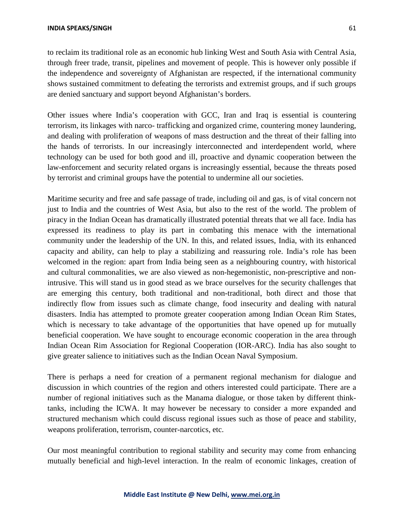to reclaim its traditional role as an economic hub linking West and South Asia with Central Asia, through freer trade, transit, pipelines and movement of people. This is however only possible if the independence and sovereignty of Afghanistan are respected, if the international community shows sustained commitment to defeating the terrorists and extremist groups, and if such groups are denied sanctuary and support beyond Afghanistan's borders.

Other issues where India's cooperation with GCC, Iran and Iraq is essential is countering terrorism, its linkages with narco- trafficking and organized crime, countering money laundering, and dealing with proliferation of weapons of mass destruction and the threat of their falling into the hands of terrorists. In our increasingly interconnected and interdependent world, where technology can be used for both good and ill, proactive and dynamic cooperation between the law-enforcement and security related organs is increasingly essential, because the threats posed by terrorist and criminal groups have the potential to undermine all our societies.

Maritime security and free and safe passage of trade, including oil and gas, is of vital concern not just to India and the countries of West Asia, but also to the rest of the world. The problem of piracy in the Indian Ocean has dramatically illustrated potential threats that we all face. India has expressed its readiness to play its part in combating this menace with the international community under the leadership of the UN. In this, and related issues, India, with its enhanced capacity and ability, can help to play a stabilizing and reassuring role. India's role has been welcomed in the region: apart from India being seen as a neighbouring country, with historical and cultural commonalities, we are also viewed as non-hegemonistic, non-prescriptive and nonintrusive. This will stand us in good stead as we brace ourselves for the security challenges that are emerging this century, both traditional and non-traditional, both direct and those that indirectly flow from issues such as climate change, food insecurity and dealing with natural disasters. India has attempted to promote greater cooperation among Indian Ocean Rim States, which is necessary to take advantage of the opportunities that have opened up for mutually beneficial cooperation. We have sought to encourage economic cooperation in the area through Indian Ocean Rim Association for Regional Cooperation (IOR-ARC). India has also sought to give greater salience to initiatives such as the Indian Ocean Naval Symposium.

There is perhaps a need for creation of a permanent regional mechanism for dialogue and discussion in which countries of the region and others interested could participate. There are a number of regional initiatives such as the Manama dialogue, or those taken by different thinktanks, including the ICWA. It may however be necessary to consider a more expanded and structured mechanism which could discuss regional issues such as those of peace and stability, weapons proliferation, terrorism, counter-narcotics, etc.

Our most meaningful contribution to regional stability and security may come from enhancing mutually beneficial and high-level interaction. In the realm of economic linkages, creation of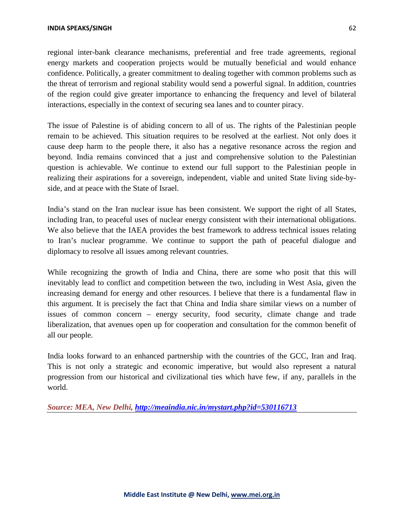regional inter-bank clearance mechanisms, preferential and free trade agreements, regional energy markets and cooperation projects would be mutually beneficial and would enhance confidence. Politically, a greater commitment to dealing together with common problems such as the threat of terrorism and regional stability would send a powerful signal. In addition, countries of the region could give greater importance to enhancing the frequency and level of bilateral interactions, especially in the context of securing sea lanes and to counter piracy.

The issue of Palestine is of abiding concern to all of us. The rights of the Palestinian people remain to be achieved. This situation requires to be resolved at the earliest. Not only does it cause deep harm to the people there, it also has a negative resonance across the region and beyond. India remains convinced that a just and comprehensive solution to the Palestinian question is achievable. We continue to extend our full support to the Palestinian people in realizing their aspirations for a sovereign, independent, viable and united State living side-byside, and at peace with the State of Israel.

India's stand on the Iran nuclear issue has been consistent. We support the right of all States, including Iran, to peaceful uses of nuclear energy consistent with their international obligations. We also believe that the IAEA provides the best framework to address technical issues relating to Iran's nuclear programme. We continue to support the path of peaceful dialogue and diplomacy to resolve all issues among relevant countries.

While recognizing the growth of India and China, there are some who posit that this will inevitably lead to conflict and competition between the two, including in West Asia, given the increasing demand for energy and other resources. I believe that there is a fundamental flaw in this argument. It is precisely the fact that China and India share similar views on a number of issues of common concern – energy security, food security, climate change and trade liberalization, that avenues open up for cooperation and consultation for the common benefit of all our people.

India looks forward to an enhanced partnership with the countries of the GCC, Iran and Iraq. This is not only a strategic and economic imperative, but would also represent a natural progression from our historical and civilizational ties which have few, if any, parallels in the world.

*Source: MEA, New Delhi,<http://meaindia.nic.in/mystart.php?id=530116713>*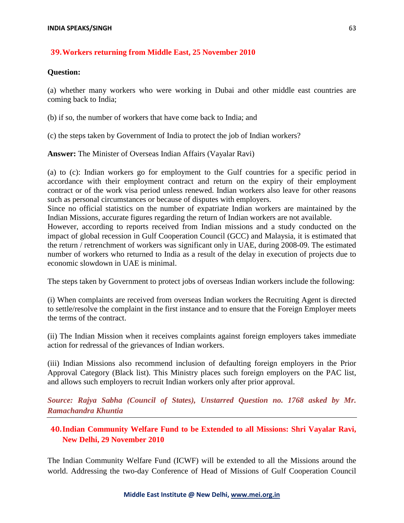### **39.Workers returning from Middle East, 25 November 2010**

### **Question:**

(a) whether many workers who were working in Dubai and other middle east countries are coming back to India;

(b) if so, the number of workers that have come back to India; and

(c) the steps taken by Government of India to protect the job of Indian workers?

**Answer:** The Minister of Overseas Indian Affairs (Vayalar Ravi)

(a) to (c): Indian workers go for employment to the Gulf countries for a specific period in accordance with their employment contract and return on the expiry of their employment contract or of the work visa period unless renewed. Indian workers also leave for other reasons such as personal circumstances or because of disputes with employers.

Since no official statistics on the number of expatriate Indian workers are maintained by the Indian Missions, accurate figures regarding the return of Indian workers are not available.

However, according to reports received from Indian missions and a study conducted on the impact of global recession in Gulf Cooperation Council (GCC) and Malaysia, it is estimated that the return / retrenchment of workers was significant only in UAE, during 2008-09. The estimated number of workers who returned to India as a result of the delay in execution of projects due to economic slowdown in UAE is minimal.

The steps taken by Government to protect jobs of overseas Indian workers include the following:

(i) When complaints are received from overseas Indian workers the Recruiting Agent is directed to settle/resolve the complaint in the first instance and to ensure that the Foreign Employer meets the terms of the contract.

(ii) The Indian Mission when it receives complaints against foreign employers takes immediate action for redressal of the grievances of Indian workers.

(iii) Indian Missions also recommend inclusion of defaulting foreign employers in the Prior Approval Category (Black list). This Ministry places such foreign employers on the PAC list, and allows such employers to recruit Indian workers only after prior approval.

*Source: Rajya Sabha (Council of States), Unstarred Question no. 1768 asked by Mr. Ramachandra Khuntia*

## **40.Indian Community Welfare Fund to be Extended to all Missions: Shri Vayalar Ravi, New Delhi, 29 November 2010**

The Indian Community Welfare Fund (ICWF) will be extended to all the Missions around the world. Addressing the two-day Conference of Head of Missions of Gulf Cooperation Council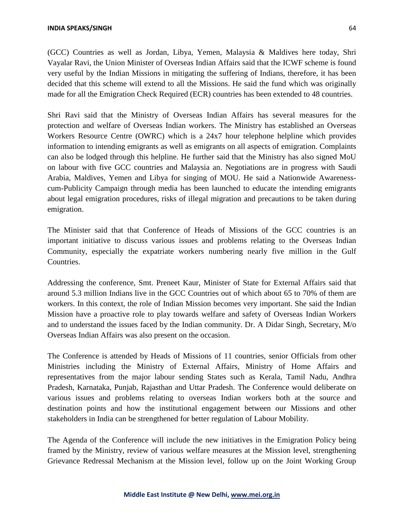(GCC) Countries as well as Jordan, Libya, Yemen, Malaysia & Maldives here today, Shri Vayalar Ravi, the Union Minister of Overseas Indian Affairs said that the ICWF scheme is found very useful by the Indian Missions in mitigating the suffering of Indians, therefore, it has been decided that this scheme will extend to all the Missions. He said the fund which was originally made for all the Emigration Check Required (ECR) countries has been extended to 48 countries.

Shri Ravi said that the Ministry of Overseas Indian Affairs has several measures for the protection and welfare of Overseas Indian workers. The Ministry has established an Overseas Workers Resource Centre (OWRC) which is a 24x7 hour telephone helpline which provides information to intending emigrants as well as emigrants on all aspects of emigration. Complaints can also be lodged through this helpline. He further said that the Ministry has also signed MoU on labour with five GCC countries and Malaysia an. Negotiations are in progress with Saudi Arabia, Maldives, Yemen and Libya for singing of MOU. He said a Nationwide Awarenesscum-Publicity Campaign through media has been launched to educate the intending emigrants about legal emigration procedures, risks of illegal migration and precautions to be taken during emigration.

The Minister said that that Conference of Heads of Missions of the GCC countries is an important initiative to discuss various issues and problems relating to the Overseas Indian Community, especially the expatriate workers numbering nearly five million in the Gulf Countries.

Addressing the conference, Smt. Preneet Kaur, Minister of State for External Affairs said that around 5.3 million Indians live in the GCC Countries out of which about 65 to 70% of them are workers. In this context, the role of Indian Mission becomes very important. She said the Indian Mission have a proactive role to play towards welfare and safety of Overseas Indian Workers and to understand the issues faced by the Indian community. Dr. A Didar Singh, Secretary, M/o Overseas Indian Affairs was also present on the occasion.

The Conference is attended by Heads of Missions of 11 countries, senior Officials from other Ministries including the Ministry of External Affairs, Ministry of Home Affairs and representatives from the major labour sending States such as Kerala, Tamil Nadu, Andhra Pradesh, Karnataka, Punjab, Rajasthan and Uttar Pradesh. The Conference would deliberate on various issues and problems relating to overseas Indian workers both at the source and destination points and how the institutional engagement between our Missions and other stakeholders in India can be strengthened for better regulation of Labour Mobility.

The Agenda of the Conference will include the new initiatives in the Emigration Policy being framed by the Ministry, review of various welfare measures at the Mission level, strengthening Grievance Redressal Mechanism at the Mission level, follow up on the Joint Working Group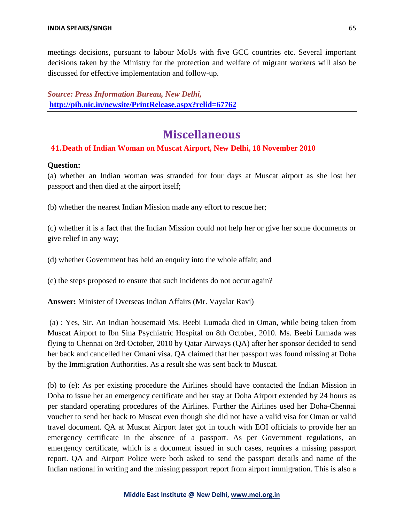meetings decisions, pursuant to labour MoUs with five GCC countries etc. Several important decisions taken by the Ministry for the protection and welfare of migrant workers will also be discussed for effective implementation and follow-up.

*Source: Press Information Bureau, New Delhi,* **<http://pib.nic.in/newsite/PrintRelease.aspx?relid=67762>**

# **Miscellaneous**

### **41.Death of Indian Woman on Muscat Airport, New Delhi, 18 November 2010**

### **Question:**

(a) whether an Indian woman was stranded for four days at Muscat airport as she lost her passport and then died at the airport itself;

(b) whether the nearest Indian Mission made any effort to rescue her;

(c) whether it is a fact that the Indian Mission could not help her or give her some documents or give relief in any way;

(d) whether Government has held an enquiry into the whole affair; and

(e) the steps proposed to ensure that such incidents do not occur again?

**Answer:** Minister of Overseas Indian Affairs (Mr. Vayalar Ravi)

(a) : Yes, Sir. An Indian housemaid Ms. Beebi Lumada died in Oman, while being taken from Muscat Airport to Ibn Sina Psychiatric Hospital on 8th October, 2010. Ms. Beebi Lumada was flying to Chennai on 3rd October, 2010 by Qatar Airways (QA) after her sponsor decided to send her back and cancelled her Omani visa. QA claimed that her passport was found missing at Doha by the Immigration Authorities. As a result she was sent back to Muscat.

(b) to (e): As per existing procedure the Airlines should have contacted the Indian Mission in Doha to issue her an emergency certificate and her stay at Doha Airport extended by 24 hours as per standard operating procedures of the Airlines. Further the Airlines used her Doha-Chennai voucher to send her back to Muscat even though she did not have a valid visa for Oman or valid travel document. QA at Muscat Airport later got in touch with EOI officials to provide her an emergency certificate in the absence of a passport. As per Government regulations, an emergency certificate, which is a document issued in such cases, requires a missing passport report. QA and Airport Police were both asked to send the passport details and name of the Indian national in writing and the missing passport report from airport immigration. This is also a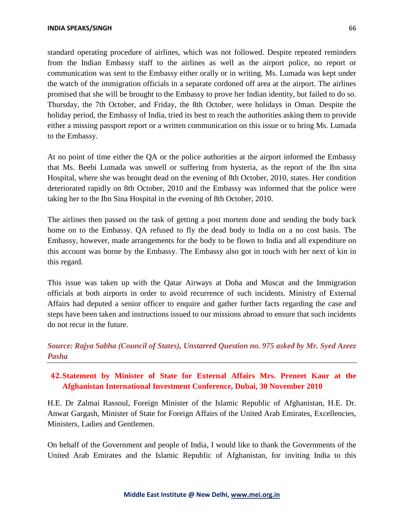standard operating procedure of airlines, which was not followed. Despite repeated reminders from the Indian Embassy staff to the airlines as well as the airport police, no report or communication was sent to the Embassy either orally or in writing. Ms. Lumada was kept under the watch of the immigration officials in a separate cordoned off area at the airport. The airlines promised that she will be brought to the Embassy to prove her Indian identity, but failed to do so. Thursday, the 7th October, and Friday, the 8th October, were holidays in Oman. Despite the holiday period, the Embassy of India, tried its best to reach the authorities asking them to provide either a missing passport report or a written communication on this issue or to bring Ms. Lumada to the Embassy.

At no point of time either the QA or the police authorities at the airport informed the Embassy that Ms. Beebi Lumada was unwell or suffering from hysteria, as the report of the Ibn sina Hospital, where she was brought dead on the evening of 8th October, 2010, states. Her condition deteriorated rapidly on 8th October, 2010 and the Embassy was informed that the police were taking her to the Ibn Sina Hospital in the evening of 8th October, 2010.

The airlines then passed on the task of getting a post mortem done and sending the body back home on to the Embassy. QA refused to fly the dead body to India on a no cost basis. The Embassy, however, made arrangements for the body to be flown to India and all expenditure on this account was borne by the Embassy. The Embassy also got in touch with her next of kin in this regard.

This issue was taken up with the Qatar Airways at Doha and Muscat and the Immigration officials at both airports in order to avoid recurrence of such incidents. Ministry of External Affairs had deputed a senior officer to enquire and gather further facts regarding the case and steps have been taken and instructions issued to our missions abroad to ensure that such incidents do not recur in the future.

## *Source: Rajya Sabha (Council of States), Unstarred Question no. 975 asked by Mr. Syed Azeez Pasha*

## **42.Statement by Minister of State for External Affairs Mrs. Preneet Kaur at the Afghanistan International Investment Conference, Dubai, 30 November 2010**

H.E. Dr Zalmai Rassoul, Foreign Minister of the Islamic Republic of Afghanistan, H.E. Dr. Anwar Gargash, Minister of State for Foreign Affairs of the United Arab Emirates, Excellencies, Ministers, Ladies and Gentlemen.

On behalf of the Government and people of India, I would like to thank the Governments of the United Arab Emirates and the Islamic Republic of Afghanistan, for inviting India to this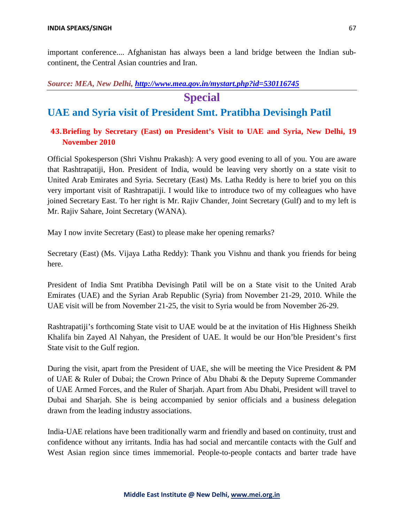important conference.... Afghanistan has always been a land bridge between the Indian subcontinent, the Central Asian countries and Iran.

### *Source: MEA, New Delhi,<http://www.mea.gov.in/mystart.php?id=530116745>*

## **Special**

## **UAE and Syria visit of President Smt. Pratibha Devisingh Patil**

### **43.Briefing by Secretary (East) on President's Visit to UAE and Syria, New Delhi, 19 November 2010**

Official Spokesperson (Shri Vishnu Prakash): A very good evening to all of you. You are aware that Rashtrapatiji, Hon. President of India, would be leaving very shortly on a state visit to United Arab Emirates and Syria. Secretary (East) Ms. Latha Reddy is here to brief you on this very important visit of Rashtrapatiji. I would like to introduce two of my colleagues who have joined Secretary East. To her right is Mr. Rajiv Chander, Joint Secretary (Gulf) and to my left is Mr. Rajiv Sahare, Joint Secretary (WANA).

May I now invite Secretary (East) to please make her opening remarks?

Secretary (East) (Ms. Vijaya Latha Reddy): Thank you Vishnu and thank you friends for being here.

President of India Smt Pratibha Devisingh Patil will be on a State visit to the United Arab Emirates (UAE) and the Syrian Arab Republic (Syria) from November 21-29, 2010. While the UAE visit will be from November 21-25, the visit to Syria would be from November 26-29.

Rashtrapatiji's forthcoming State visit to UAE would be at the invitation of His Highness Sheikh Khalifa bin Zayed Al Nahyan, the President of UAE. It would be our Hon'ble President's first State visit to the Gulf region.

During the visit, apart from the President of UAE, she will be meeting the Vice President & PM of UAE & Ruler of Dubai; the Crown Prince of Abu Dhabi & the Deputy Supreme Commander of UAE Armed Forces, and the Ruler of Sharjah. Apart from Abu Dhabi, President will travel to Dubai and Sharjah. She is being accompanied by senior officials and a business delegation drawn from the leading industry associations.

India-UAE relations have been traditionally warm and friendly and based on continuity, trust and confidence without any irritants. India has had social and mercantile contacts with the Gulf and West Asian region since times immemorial. People-to-people contacts and barter trade have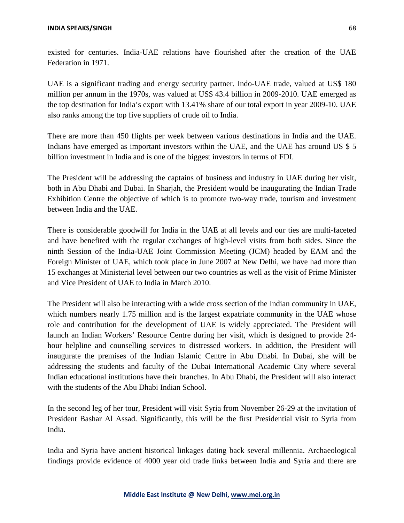existed for centuries. India-UAE relations have flourished after the creation of the UAE Federation in 1971.

UAE is a significant trading and energy security partner. Indo-UAE trade, valued at US\$ 180 million per annum in the 1970s, was valued at US\$ 43.4 billion in 2009-2010. UAE emerged as the top destination for India's export with 13.41% share of our total export in year 2009-10. UAE also ranks among the top five suppliers of crude oil to India.

There are more than 450 flights per week between various destinations in India and the UAE. Indians have emerged as important investors within the UAE, and the UAE has around US \$ 5 billion investment in India and is one of the biggest investors in terms of FDI.

The President will be addressing the captains of business and industry in UAE during her visit, both in Abu Dhabi and Dubai. In Sharjah, the President would be inaugurating the Indian Trade Exhibition Centre the objective of which is to promote two-way trade, tourism and investment between India and the UAE.

There is considerable goodwill for India in the UAE at all levels and our ties are multi-faceted and have benefited with the regular exchanges of high-level visits from both sides. Since the ninth Session of the India-UAE Joint Commission Meeting (JCM) headed by EAM and the Foreign Minister of UAE, which took place in June 2007 at New Delhi, we have had more than 15 exchanges at Ministerial level between our two countries as well as the visit of Prime Minister and Vice President of UAE to India in March 2010.

The President will also be interacting with a wide cross section of the Indian community in UAE, which numbers nearly 1.75 million and is the largest expatriate community in the UAE whose role and contribution for the development of UAE is widely appreciated. The President will launch an Indian Workers' Resource Centre during her visit, which is designed to provide 24 hour helpline and counselling services to distressed workers. In addition, the President will inaugurate the premises of the Indian Islamic Centre in Abu Dhabi. In Dubai, she will be addressing the students and faculty of the Dubai International Academic City where several Indian educational institutions have their branches. In Abu Dhabi, the President will also interact with the students of the Abu Dhabi Indian School.

In the second leg of her tour, President will visit Syria from November 26-29 at the invitation of President Bashar Al Assad. Significantly, this will be the first Presidential visit to Syria from India.

India and Syria have ancient historical linkages dating back several millennia. Archaeological findings provide evidence of 4000 year old trade links between India and Syria and there are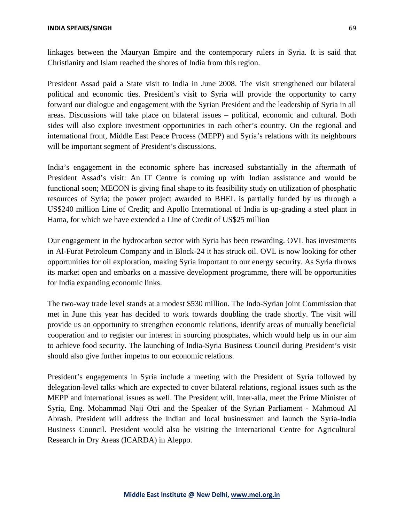linkages between the Mauryan Empire and the contemporary rulers in Syria. It is said that Christianity and Islam reached the shores of India from this region.

President Assad paid a State visit to India in June 2008. The visit strengthened our bilateral political and economic ties. President's visit to Syria will provide the opportunity to carry forward our dialogue and engagement with the Syrian President and the leadership of Syria in all areas. Discussions will take place on bilateral issues – political, economic and cultural. Both sides will also explore investment opportunities in each other's country. On the regional and international front, Middle East Peace Process (MEPP) and Syria's relations with its neighbours will be important segment of President's discussions.

India's engagement in the economic sphere has increased substantially in the aftermath of President Assad's visit: An IT Centre is coming up with Indian assistance and would be functional soon; MECON is giving final shape to its feasibility study on utilization of phosphatic resources of Syria; the power project awarded to BHEL is partially funded by us through a US\$240 million Line of Credit; and Apollo International of India is up-grading a steel plant in Hama, for which we have extended a Line of Credit of US\$25 million

Our engagement in the hydrocarbon sector with Syria has been rewarding. OVL has investments in Al-Furat Petroleum Company and in Block-24 it has struck oil. OVL is now looking for other opportunities for oil exploration, making Syria important to our energy security. As Syria throws its market open and embarks on a massive development programme, there will be opportunities for India expanding economic links.

The two-way trade level stands at a modest \$530 million. The Indo-Syrian joint Commission that met in June this year has decided to work towards doubling the trade shortly. The visit will provide us an opportunity to strengthen economic relations, identify areas of mutually beneficial cooperation and to register our interest in sourcing phosphates, which would help us in our aim to achieve food security. The launching of India-Syria Business Council during President's visit should also give further impetus to our economic relations.

President's engagements in Syria include a meeting with the President of Syria followed by delegation-level talks which are expected to cover bilateral relations, regional issues such as the MEPP and international issues as well. The President will, inter-alia, meet the Prime Minister of Syria, Eng. Mohammad Naji Otri and the Speaker of the Syrian Parliament - Mahmoud Al Abrash. President will address the Indian and local businessmen and launch the Syria-India Business Council. President would also be visiting the International Centre for Agricultural Research in Dry Areas (ICARDA) in Aleppo.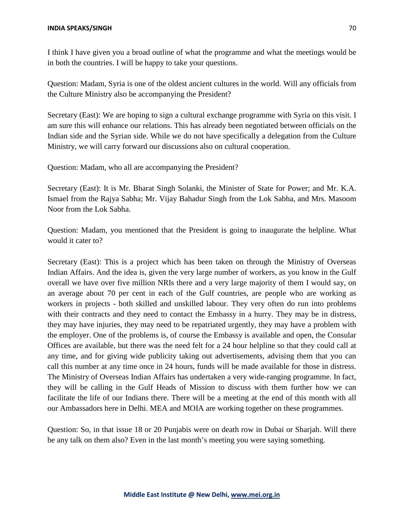I think I have given you a broad outline of what the programme and what the meetings would be in both the countries. I will be happy to take your questions.

Question: Madam, Syria is one of the oldest ancient cultures in the world. Will any officials from the Culture Ministry also be accompanying the President?

Secretary (East): We are hoping to sign a cultural exchange programme with Syria on this visit. I am sure this will enhance our relations. This has already been negotiated between officials on the Indian side and the Syrian side. While we do not have specifically a delegation from the Culture Ministry, we will carry forward our discussions also on cultural cooperation.

Question: Madam, who all are accompanying the President?

Secretary (East): It is Mr. Bharat Singh Solanki, the Minister of State for Power; and Mr. K.A. Ismael from the Rajya Sabha; Mr. Vijay Bahadur Singh from the Lok Sabha, and Mrs. Masoom Noor from the Lok Sabha.

Question: Madam, you mentioned that the President is going to inaugurate the helpline. What would it cater to?

Secretary (East): This is a project which has been taken on through the Ministry of Overseas Indian Affairs. And the idea is, given the very large number of workers, as you know in the Gulf overall we have over five million NRIs there and a very large majority of them I would say, on an average about 70 per cent in each of the Gulf countries, are people who are working as workers in projects - both skilled and unskilled labour. They very often do run into problems with their contracts and they need to contact the Embassy in a hurry. They may be in distress, they may have injuries, they may need to be repatriated urgently, they may have a problem with the employer. One of the problems is, of course the Embassy is available and open, the Consular Offices are available, but there was the need felt for a 24 hour helpline so that they could call at any time, and for giving wide publicity taking out advertisements, advising them that you can call this number at any time once in 24 hours, funds will be made available for those in distress. The Ministry of Overseas Indian Affairs has undertaken a very wide-ranging programme. In fact, they will be calling in the Gulf Heads of Mission to discuss with them further how we can facilitate the life of our Indians there. There will be a meeting at the end of this month with all our Ambassadors here in Delhi. MEA and MOIA are working together on these programmes.

Question: So, in that issue 18 or 20 Punjabis were on death row in Dubai or Sharjah. Will there be any talk on them also? Even in the last month's meeting you were saying something.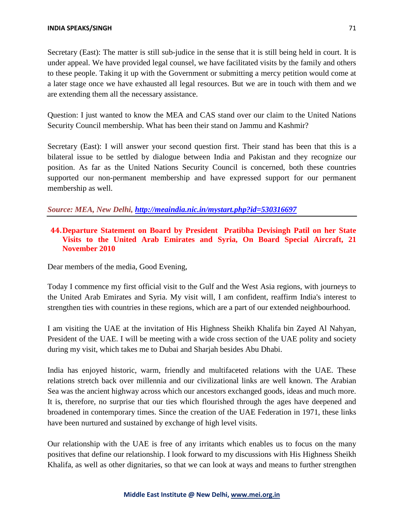Secretary (East): The matter is still sub-judice in the sense that it is still being held in court. It is under appeal. We have provided legal counsel, we have facilitated visits by the family and others to these people. Taking it up with the Government or submitting a mercy petition would come at a later stage once we have exhausted all legal resources. But we are in touch with them and we are extending them all the necessary assistance.

Question: I just wanted to know the MEA and CAS stand over our claim to the United Nations Security Council membership. What has been their stand on Jammu and Kashmir?

Secretary (East): I will answer your second question first. Their stand has been that this is a bilateral issue to be settled by dialogue between India and Pakistan and they recognize our position. As far as the United Nations Security Council is concerned, both these countries supported our non-permanent membership and have expressed support for our permanent membership as well.

*Source: MEA, New Delhi, <http://meaindia.nic.in/mystart.php?id=530316697>*

### **44.Departure Statement on Board by President Pratibha Devisingh Patil on her State Visits to the United Arab Emirates and Syria, On Board Special Aircraft, 21 November 2010**

Dear members of the media, Good Evening,

Today I commence my first official visit to the Gulf and the West Asia regions, with journeys to the United Arab Emirates and Syria. My visit will, I am confident, reaffirm India's interest to strengthen ties with countries in these regions, which are a part of our extended neighbourhood.

I am visiting the UAE at the invitation of His Highness Sheikh Khalifa bin Zayed Al Nahyan, President of the UAE. I will be meeting with a wide cross section of the UAE polity and society during my visit, which takes me to Dubai and Sharjah besides Abu Dhabi.

India has enjoyed historic, warm, friendly and multifaceted relations with the UAE. These relations stretch back over millennia and our civilizational links are well known. The Arabian Sea was the ancient highway across which our ancestors exchanged goods, ideas and much more. It is, therefore, no surprise that our ties which flourished through the ages have deepened and broadened in contemporary times. Since the creation of the UAE Federation in 1971, these links have been nurtured and sustained by exchange of high level visits.

Our relationship with the UAE is free of any irritants which enables us to focus on the many positives that define our relationship. I look forward to my discussions with His Highness Sheikh Khalifa, as well as other dignitaries, so that we can look at ways and means to further strengthen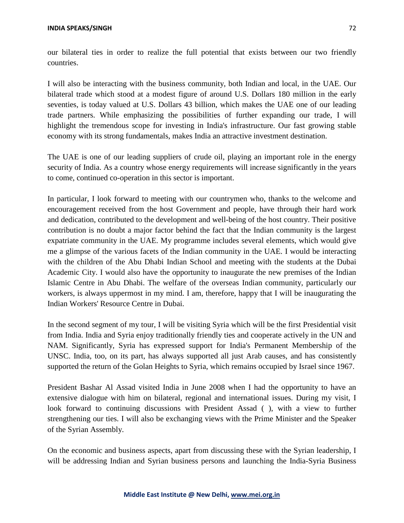our bilateral ties in order to realize the full potential that exists between our two friendly countries.

I will also be interacting with the business community, both Indian and local, in the UAE. Our bilateral trade which stood at a modest figure of around U.S. Dollars 180 million in the early seventies, is today valued at U.S. Dollars 43 billion, which makes the UAE one of our leading trade partners. While emphasizing the possibilities of further expanding our trade, I will highlight the tremendous scope for investing in India's infrastructure. Our fast growing stable economy with its strong fundamentals, makes India an attractive investment destination.

The UAE is one of our leading suppliers of crude oil, playing an important role in the energy security of India. As a country whose energy requirements will increase significantly in the years to come, continued co-operation in this sector is important.

In particular, I look forward to meeting with our countrymen who, thanks to the welcome and encouragement received from the host Government and people, have through their hard work and dedication, contributed to the development and well-being of the host country. Their positive contribution is no doubt a major factor behind the fact that the Indian community is the largest expatriate community in the UAE. My programme includes several elements, which would give me a glimpse of the various facets of the Indian community in the UAE. I would be interacting with the children of the Abu Dhabi Indian School and meeting with the students at the Dubai Academic City. I would also have the opportunity to inaugurate the new premises of the Indian Islamic Centre in Abu Dhabi. The welfare of the overseas Indian community, particularly our workers, is always uppermost in my mind. I am, therefore, happy that I will be inaugurating the Indian Workers' Resource Centre in Dubai.

In the second segment of my tour, I will be visiting Syria which will be the first Presidential visit from India. India and Syria enjoy traditionally friendly ties and cooperate actively in the UN and NAM. Significantly, Syria has expressed support for India's Permanent Membership of the UNSC. India, too, on its part, has always supported all just Arab causes, and has consistently supported the return of the Golan Heights to Syria, which remains occupied by Israel since 1967.

President Bashar Al Assad visited India in June 2008 when I had the opportunity to have an extensive dialogue with him on bilateral, regional and international issues. During my visit, I look forward to continuing discussions with President Assad ( ), with a view to further strengthening our ties. I will also be exchanging views with the Prime Minister and the Speaker of the Syrian Assembly.

On the economic and business aspects, apart from discussing these with the Syrian leadership, I will be addressing Indian and Syrian business persons and launching the India-Syria Business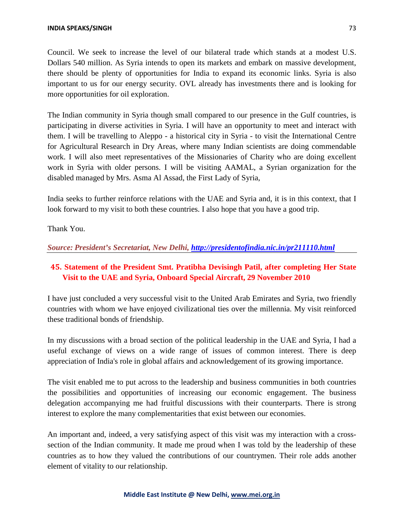Council. We seek to increase the level of our bilateral trade which stands at a modest U.S. Dollars 540 million. As Syria intends to open its markets and embark on massive development, there should be plenty of opportunities for India to expand its economic links. Syria is also important to us for our energy security. OVL already has investments there and is looking for more opportunities for oil exploration.

The Indian community in Syria though small compared to our presence in the Gulf countries, is participating in diverse activities in Syria. I will have an opportunity to meet and interact with them. I will be travelling to Aleppo - a historical city in Syria - to visit the International Centre for Agricultural Research in Dry Areas, where many Indian scientists are doing commendable work. I will also meet representatives of the Missionaries of Charity who are doing excellent work in Syria with older persons. I will be visiting AAMAL, a Syrian organization for the disabled managed by Mrs. Asma Al Assad, the First Lady of Syria,

India seeks to further reinforce relations with the UAE and Syria and, it is in this context, that I look forward to my visit to both these countries. I also hope that you have a good trip.

Thank You.

*Source: President's Secretariat, New Delhi, <http://presidentofindia.nic.in/pr211110.html>*

## **45. Statement of the President Smt. Pratibha Devisingh Patil, after completing Her State Visit to the UAE and Syria, Onboard Special Aircraft, 29 November 2010**

I have just concluded a very successful visit to the United Arab Emirates and Syria, two friendly countries with whom we have enjoyed civilizational ties over the millennia. My visit reinforced these traditional bonds of friendship.

In my discussions with a broad section of the political leadership in the UAE and Syria, I had a useful exchange of views on a wide range of issues of common interest. There is deep appreciation of India's role in global affairs and acknowledgement of its growing importance.

The visit enabled me to put across to the leadership and business communities in both countries the possibilities and opportunities of increasing our economic engagement. The business delegation accompanying me had fruitful discussions with their counterparts. There is strong interest to explore the many complementarities that exist between our economies.

An important and, indeed, a very satisfying aspect of this visit was my interaction with a crosssection of the Indian community. It made me proud when I was told by the leadership of these countries as to how they valued the contributions of our countrymen. Their role adds another element of vitality to our relationship.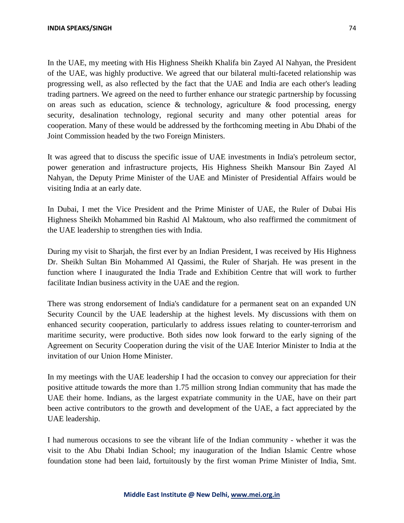In the UAE, my meeting with His Highness Sheikh Khalifa bin Zayed Al Nahyan, the President of the UAE, was highly productive. We agreed that our bilateral multi-faceted relationship was progressing well, as also reflected by the fact that the UAE and India are each other's leading trading partners. We agreed on the need to further enhance our strategic partnership by focussing on areas such as education, science  $\&$  technology, agriculture  $\&$  food processing, energy security, desalination technology, regional security and many other potential areas for cooperation. Many of these would be addressed by the forthcoming meeting in Abu Dhabi of the Joint Commission headed by the two Foreign Ministers.

It was agreed that to discuss the specific issue of UAE investments in India's petroleum sector, power generation and infrastructure projects, His Highness Sheikh Mansour Bin Zayed Al Nahyan, the Deputy Prime Minister of the UAE and Minister of Presidential Affairs would be visiting India at an early date.

In Dubai, I met the Vice President and the Prime Minister of UAE, the Ruler of Dubai His Highness Sheikh Mohammed bin Rashid Al Maktoum, who also reaffirmed the commitment of the UAE leadership to strengthen ties with India.

During my visit to Sharjah, the first ever by an Indian President, I was received by His Highness Dr. Sheikh Sultan Bin Mohammed Al Qassimi, the Ruler of Sharjah. He was present in the function where I inaugurated the India Trade and Exhibition Centre that will work to further facilitate Indian business activity in the UAE and the region.

There was strong endorsement of India's candidature for a permanent seat on an expanded UN Security Council by the UAE leadership at the highest levels. My discussions with them on enhanced security cooperation, particularly to address issues relating to counter-terrorism and maritime security, were productive. Both sides now look forward to the early signing of the Agreement on Security Cooperation during the visit of the UAE Interior Minister to India at the invitation of our Union Home Minister.

In my meetings with the UAE leadership I had the occasion to convey our appreciation for their positive attitude towards the more than 1.75 million strong Indian community that has made the UAE their home. Indians, as the largest expatriate community in the UAE, have on their part been active contributors to the growth and development of the UAE, a fact appreciated by the UAE leadership.

I had numerous occasions to see the vibrant life of the Indian community - whether it was the visit to the Abu Dhabi Indian School; my inauguration of the Indian Islamic Centre whose foundation stone had been laid, fortuitously by the first woman Prime Minister of India, Smt.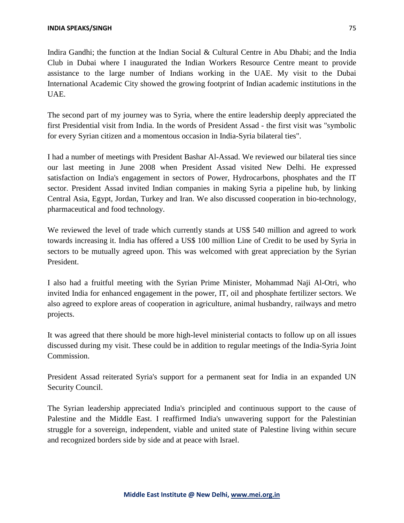Indira Gandhi; the function at the Indian Social & Cultural Centre in Abu Dhabi; and the India Club in Dubai where I inaugurated the Indian Workers Resource Centre meant to provide assistance to the large number of Indians working in the UAE. My visit to the Dubai International Academic City showed the growing footprint of Indian academic institutions in the UAE.

The second part of my journey was to Syria, where the entire leadership deeply appreciated the first Presidential visit from India. In the words of President Assad - the first visit was "symbolic for every Syrian citizen and a momentous occasion in India-Syria bilateral ties".

I had a number of meetings with President Bashar Al-Assad. We reviewed our bilateral ties since our last meeting in June 2008 when President Assad visited New Delhi. He expressed satisfaction on India's engagement in sectors of Power, Hydrocarbons, phosphates and the IT sector. President Assad invited Indian companies in making Syria a pipeline hub, by linking Central Asia, Egypt, Jordan, Turkey and Iran. We also discussed cooperation in bio-technology, pharmaceutical and food technology.

We reviewed the level of trade which currently stands at US\$ 540 million and agreed to work towards increasing it. India has offered a US\$ 100 million Line of Credit to be used by Syria in sectors to be mutually agreed upon. This was welcomed with great appreciation by the Syrian President.

I also had a fruitful meeting with the Syrian Prime Minister, Mohammad Naji Al-Otri, who invited India for enhanced engagement in the power, IT, oil and phosphate fertilizer sectors. We also agreed to explore areas of cooperation in agriculture, animal husbandry, railways and metro projects.

It was agreed that there should be more high-level ministerial contacts to follow up on all issues discussed during my visit. These could be in addition to regular meetings of the India-Syria Joint Commission.

President Assad reiterated Syria's support for a permanent seat for India in an expanded UN Security Council.

The Syrian leadership appreciated India's principled and continuous support to the cause of Palestine and the Middle East. I reaffirmed India's unwavering support for the Palestinian struggle for a sovereign, independent, viable and united state of Palestine living within secure and recognized borders side by side and at peace with Israel.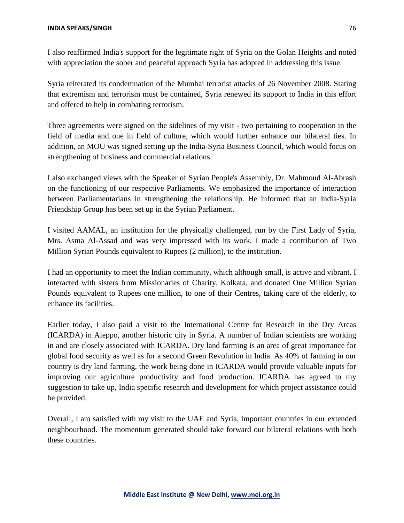I also reaffirmed India's support for the legitimate right of Syria on the Golan Heights and noted with appreciation the sober and peaceful approach Syria has adopted in addressing this issue.

Syria reiterated its condemnation of the Mumbai terrorist attacks of 26 November 2008. Stating that extremism and terrorism must be contained, Syria renewed its support to India in this effort and offered to help in combating terrorism.

Three agreements were signed on the sidelines of my visit - two pertaining to cooperation in the field of media and one in field of culture, which would further enhance our bilateral ties. In addition, an MOU was signed setting up the India-Syria Business Council, which would focus on strengthening of business and commercial relations.

I also exchanged views with the Speaker of Syrian People's Assembly, Dr. Mahmoud Al-Abrash on the functioning of our respective Parliaments. We emphasized the importance of interaction between Parliamentarians in strengthening the relationship. He informed that an India-Syria Friendship Group has been set up in the Syrian Parliament.

I visited AAMAL, an institution for the physically challenged, run by the First Lady of Syria, Mrs. Asma Al-Assad and was very impressed with its work. I made a contribution of Two Million Syrian Pounds equivalent to Rupees (2 million), to the institution.

I had an opportunity to meet the Indian community, which although small, is active and vibrant. I interacted with sisters from Missionaries of Charity, Kolkata, and donated One Million Syrian Pounds equivalent to Rupees one million, to one of their Centres, taking care of the elderly, to enhance its facilities.

Earlier today, I also paid a visit to the International Centre for Research in the Dry Areas (ICARDA) in Aleppo, another historic city in Syria. A number of Indian scientists are working in and are closely associated with ICARDA. Dry land farming is an area of great importance for global food security as well as for a second Green Revolution in India. As 40% of farming in our country is dry land farming, the work being done in ICARDA would provide valuable inputs for improving our agriculture productivity and food production. ICARDA has agreed to my suggestion to take up, India specific research and development for which project assistance could be provided.

Overall, I am satisfied with my visit to the UAE and Syria, important countries in our extended neighbourhood. The momentum generated should take forward our bilateral relations with both these countries.